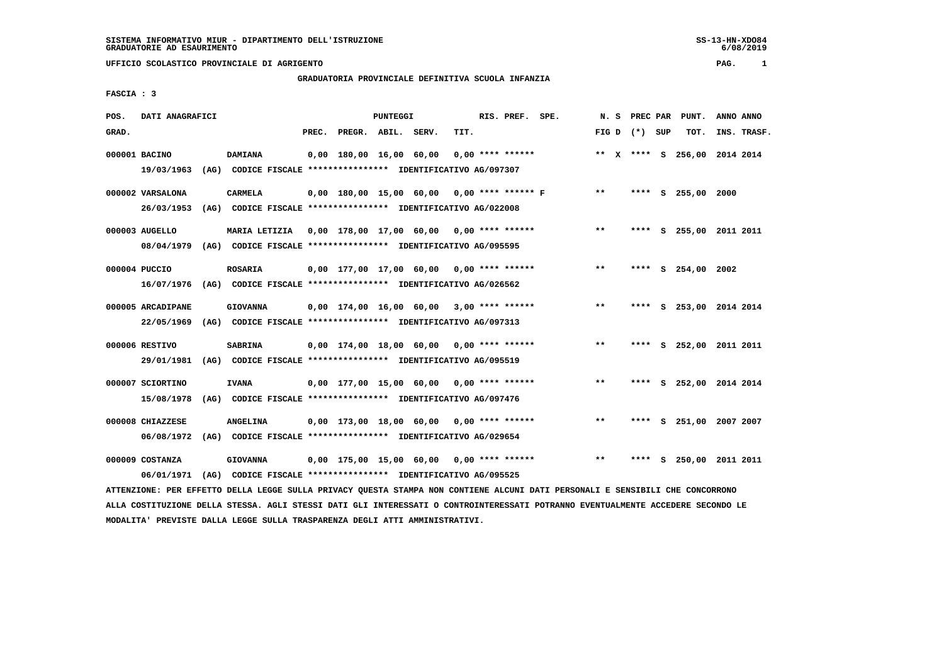# **GRADUATORIA PROVINCIALE DEFINITIVA SCUOLA INFANZIA**

 **FASCIA : 3**

| POS.  | DATI ANAGRAFICI   |      |                                                                                                                               |                          | PUNTEGGI |                                              |      | RIS. PREF. SPE.    | N. S            | PREC PAR | PUNT.                        | ANNO ANNO   |
|-------|-------------------|------|-------------------------------------------------------------------------------------------------------------------------------|--------------------------|----------|----------------------------------------------|------|--------------------|-----------------|----------|------------------------------|-------------|
| GRAD. |                   |      |                                                                                                                               | PREC. PREGR. ABIL. SERV. |          |                                              | TIT. |                    | FIG D $(*)$ SUP |          | TOT.                         | INS. TRASF. |
|       | 000001 BACINO     |      | <b>DAMIANA</b>                                                                                                                | 0,00 180,00 16,00 60,00  |          |                                              |      | $0.00$ **** ****** |                 |          | ** X **** S 256,00 2014 2014 |             |
|       | 19/03/1963        |      | (AG) CODICE FISCALE **************** IDENTIFICATIVO AG/097307                                                                 |                          |          |                                              |      |                    |                 |          |                              |             |
|       | 000002 VARSALONA  |      | <b>CARMELA</b>                                                                                                                |                          |          | $0,00$ 180,00 15,00 60,00 0,00 **** ****** F |      |                    | $* *$           |          | **** S 255,00 2000           |             |
|       | 26/03/1953        |      | (AG) CODICE FISCALE **************** IDENTIFICATIVO AG/022008                                                                 |                          |          |                                              |      |                    |                 |          |                              |             |
|       | 000003 AUGELLO    |      | <b>MARIA LETIZIA</b>                                                                                                          |                          |          | 0,00 178,00 17,00 60,00 0,00 **** ******     |      |                    | $* *$           |          | **** S 255,00 2011 2011      |             |
|       | 08/04/1979        |      | (AG) CODICE FISCALE *************** IDENTIFICATIVO AG/095595                                                                  |                          |          |                                              |      |                    |                 |          |                              |             |
|       | 000004 PUCCIO     |      | <b>ROSARIA</b>                                                                                                                |                          |          | $0,00$ 177,00 17,00 60,00 0,00 **** ******   |      |                    | $\star\star$    |          | **** S 254,00 2002           |             |
|       | 16/07/1976        |      | (AG) CODICE FISCALE **************** IDENTIFICATIVO AG/026562                                                                 |                          |          |                                              |      |                    |                 |          |                              |             |
|       | 000005 ARCADIPANE |      | <b>GIOVANNA</b>                                                                                                               |                          |          | $0,00$ 174,00 16,00 60,00 3,00 **** ******   |      |                    | $***$           |          | **** S 253,00 2014 2014      |             |
|       | 22/05/1969        |      | (AG) CODICE FISCALE **************** IDENTIFICATIVO AG/097313                                                                 |                          |          |                                              |      |                    |                 |          |                              |             |
|       | 000006 RESTIVO    |      | <b>SABRINA</b>                                                                                                                |                          |          | $0,00$ 174,00 18,00 60,00 0,00 **** ******   |      |                    | $* *$           |          | S 252,00 2011 2011           |             |
|       | 29/01/1981        |      | (AG) CODICE FISCALE **************** IDENTIFICATIVO AG/095519                                                                 |                          |          |                                              |      |                    |                 |          |                              |             |
|       | 000007 SCIORTINO  |      | <b>IVANA</b>                                                                                                                  |                          |          | $0,00$ 177,00 15,00 60,00 0,00 **** ******   |      |                    | $***$           |          | **** S 252,00 2014 2014      |             |
|       | 15/08/1978        |      | (AG) CODICE FISCALE **************** IDENTIFICATIVO AG/097476                                                                 |                          |          |                                              |      |                    |                 |          |                              |             |
|       | 000008 CHIAZZESE  |      | <b>ANGELINA</b>                                                                                                               |                          |          | $0,00$ 173,00 18,00 60,00 0,00 **** ******   |      |                    | $***$           |          | **** S 251,00 2007 2007      |             |
|       | 06/08/1972        |      | (AG) CODICE FISCALE **************** IDENTIFICATIVO AG/029654                                                                 |                          |          |                                              |      |                    |                 |          |                              |             |
|       | 000009 COSTANZA   |      | <b>GIOVANNA</b>                                                                                                               |                          |          | $0,00$ 175,00 15,00 60,00 0,00 **** ******   |      |                    | **              |          | **** S 250,00 2011 2011      |             |
|       | 06/01/1971        | (AG) | CODICE FISCALE **************** IDENTIFICATIVO AG/095525                                                                      |                          |          |                                              |      |                    |                 |          |                              |             |
|       |                   |      | ATTENZIONE: PER EFFETTO DELLA LEGGE SULLA PRIVACY QUESTA STAMPA NON CONTIENE ALCUNI DATI PERSONALI E SENSIBILI CHE CONCORRONO |                          |          |                                              |      |                    |                 |          |                              |             |

 **ALLA COSTITUZIONE DELLA STESSA. AGLI STESSI DATI GLI INTERESSATI O CONTROINTERESSATI POTRANNO EVENTUALMENTE ACCEDERE SECONDO LE MODALITA' PREVISTE DALLA LEGGE SULLA TRASPARENZA DEGLI ATTI AMMINISTRATIVI.**

SS-13-HN-XDO84<br>6/08/2019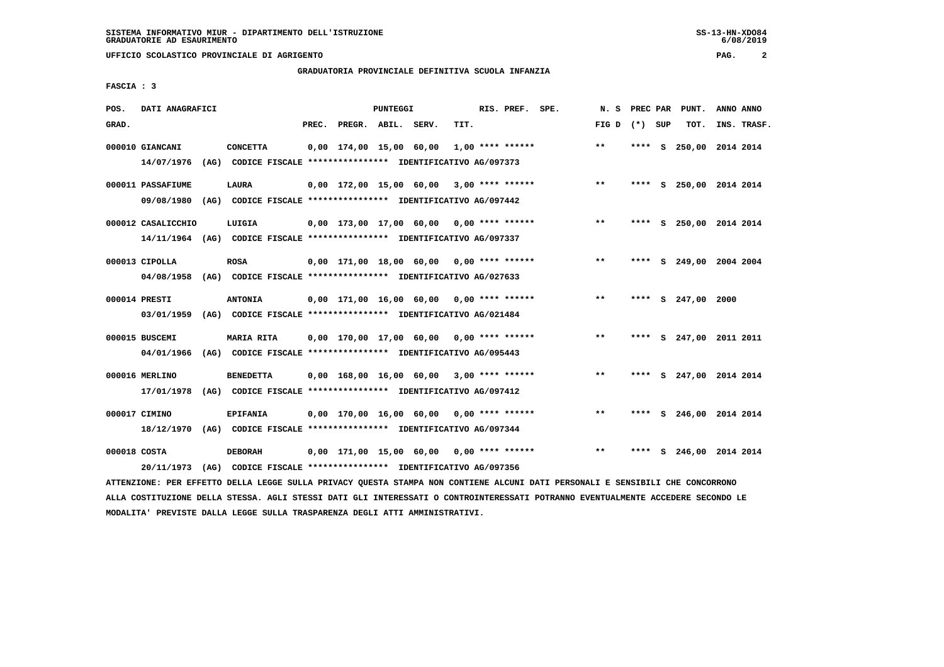# **GRADUATORIA PROVINCIALE DEFINITIVA SCUOLA INFANZIA**

 **FASCIA : 3**

| POS.         | DATI ANAGRAFICI    |                                                                         |       |                         | PUNTEGGI |                                            |      | RIS. PREF. SPE.    | N.S             |      | PREC PAR PUNT.          | ANNO ANNO |             |
|--------------|--------------------|-------------------------------------------------------------------------|-------|-------------------------|----------|--------------------------------------------|------|--------------------|-----------------|------|-------------------------|-----------|-------------|
| GRAD.        |                    |                                                                         | PREC. | PREGR. ABIL. SERV.      |          |                                            | TIT. |                    | FIG D $(*)$ SUP |      | TOT.                    |           | INS. TRASF. |
|              | 000010 GIANCANI    | <b>CONCETTA</b>                                                         |       | 0,00 174,00 15,00 60,00 |          |                                            |      | $1,00$ **** ****** | $***$           | **** | S 250,00 2014 2014      |           |             |
|              | 14/07/1976         | (AG) CODICE FISCALE **************** IDENTIFICATIVO AG/097373           |       |                         |          |                                            |      |                    |                 |      |                         |           |             |
|              | 000011 PASSAFIUME  | LAURA                                                                   |       |                         |          | $0.00$ 172.00 15.00 60.00 3.00 **** ****** |      |                    | $***$           |      | **** S 250,00 2014 2014 |           |             |
|              | 09/08/1980         | (AG) CODICE FISCALE **************** IDENTIFICATIVO AG/097442           |       |                         |          |                                            |      |                    |                 |      |                         |           |             |
|              | 000012 CASALICCHIO | LUIGIA                                                                  |       |                         |          | $0.00$ 173.00 17.00 60.00 0.00 **** ****** |      |                    | $* *$           |      | **** S 250,00 2014 2014 |           |             |
|              |                    | 14/11/1964 (AG) CODICE FISCALE *************** IDENTIFICATIVO AG/097337 |       |                         |          |                                            |      |                    |                 |      |                         |           |             |
|              | 000013 CIPOLLA     | <b>ROSA</b>                                                             |       |                         |          | $0,00$ 171,00 18,00 60,00 0,00 **** ****** |      |                    | $***$           |      | **** S 249,00 2004 2004 |           |             |
|              | 04/08/1958         | (AG) CODICE FISCALE *************** IDENTIFICATIVO AG/027633            |       |                         |          |                                            |      |                    |                 |      |                         |           |             |
|              | 000014 PRESTI      | <b>ANTONIA</b>                                                          |       |                         |          | $0,00$ 171,00 16,00 60,00 0,00 **** ****** |      |                    | $***$           |      | **** S 247,00 2000      |           |             |
|              | 03/01/1959         | (AG) CODICE FISCALE **************** IDENTIFICATIVO AG/021484           |       |                         |          |                                            |      |                    |                 |      |                         |           |             |
|              | 000015 BUSCEMI     | <b>MARIA RITA</b>                                                       |       |                         |          | $0.00$ 170.00 17.00 60.00 0.00 **** ****** |      |                    | $***$           |      | **** S 247,00 2011 2011 |           |             |
|              | 04/01/1966         | (AG) CODICE FISCALE **************** IDENTIFICATIVO AG/095443           |       |                         |          |                                            |      |                    |                 |      |                         |           |             |
|              | 000016 MERLINO     | <b>BENEDETTA</b>                                                        |       |                         |          | $0,00$ 168,00 16,00 60,00 3,00 **** ****** |      |                    | $***$           |      | **** S 247,00 2014 2014 |           |             |
|              | 17/01/1978         | (AG) CODICE FISCALE **************** IDENTIFICATIVO AG/097412           |       |                         |          |                                            |      |                    |                 |      |                         |           |             |
|              | 000017 CIMINO      | <b>EPIFANIA</b>                                                         |       |                         |          | 0,00 170,00 16,00 60,00 0,00 **** ******   |      |                    | $***$           | **** | S 246,00 2014 2014      |           |             |
|              | 18/12/1970         | (AG) CODICE FISCALE **************** IDENTIFICATIVO AG/097344           |       |                         |          |                                            |      |                    |                 |      |                         |           |             |
| 000018 COSTA |                    | <b>DEBORAH</b>                                                          |       |                         |          | 0,00 171,00 15,00 60,00                    |      | $0.00$ **** ****** | $* *$           | **** | S 246,00 2014 2014      |           |             |
|              |                    | 20/11/1973 (AG) CODICE FISCALE *************** IDENTIFICATIVO AG/097356 |       |                         |          |                                            |      |                    |                 |      |                         |           |             |

 **ATTENZIONE: PER EFFETTO DELLA LEGGE SULLA PRIVACY QUESTA STAMPA NON CONTIENE ALCUNI DATI PERSONALI E SENSIBILI CHE CONCORRONO ALLA COSTITUZIONE DELLA STESSA. AGLI STESSI DATI GLI INTERESSATI O CONTROINTERESSATI POTRANNO EVENTUALMENTE ACCEDERE SECONDO LE MODALITA' PREVISTE DALLA LEGGE SULLA TRASPARENZA DEGLI ATTI AMMINISTRATIVI.**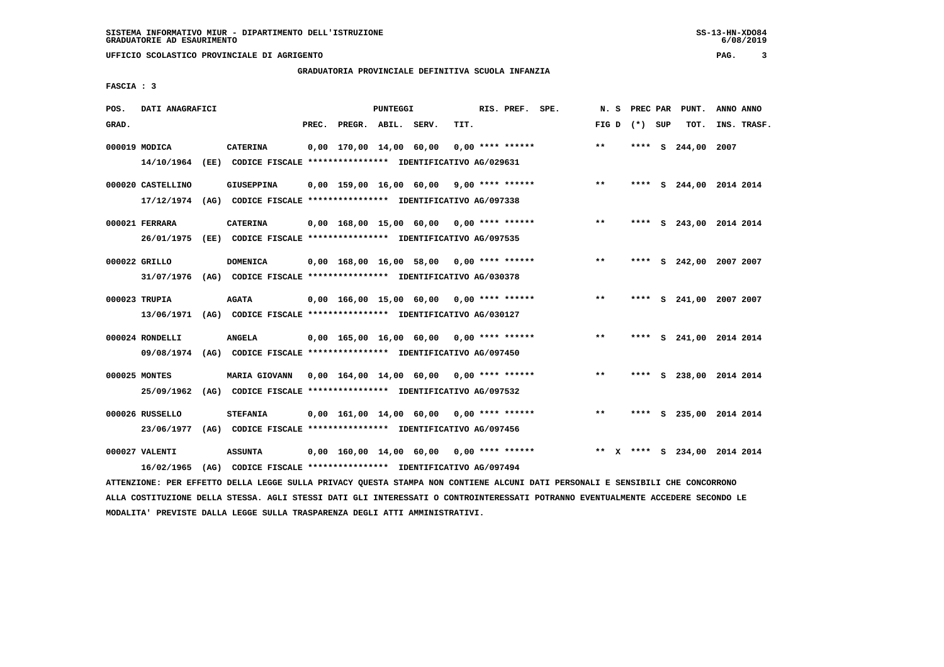# **GRADUATORIA PROVINCIALE DEFINITIVA SCUOLA INFANZIA**

 **FASCIA : 3**

| POS.  | DATI ANAGRAFICI   |                                                                         |       |                         | PUNTEGGI |                                            |      | RIS. PREF. SPE.    | N.S   | PREC PAR | PUNT.                        | ANNO ANNO |             |
|-------|-------------------|-------------------------------------------------------------------------|-------|-------------------------|----------|--------------------------------------------|------|--------------------|-------|----------|------------------------------|-----------|-------------|
| GRAD. |                   |                                                                         | PREC. | PREGR. ABIL. SERV.      |          |                                            | TIT. |                    | FIG D | (*) SUP  | TOT.                         |           | INS. TRASF. |
|       | 000019 MODICA     | <b>CATERINA</b>                                                         |       | 0,00 170,00 14,00 60,00 |          |                                            |      | $0.00$ **** ****** | $* *$ | ****     | S 244,00                     | 2007      |             |
|       |                   | 14/10/1964 (EE) CODICE FISCALE *************** IDENTIFICATIVO AG/029631 |       |                         |          |                                            |      |                    |       |          |                              |           |             |
|       | 000020 CASTELLINO | <b>GIUSEPPINA</b>                                                       |       |                         |          | $0,00$ 159,00 16,00 60,00 9,00 **** ****** |      |                    | $***$ |          | **** S 244,00 2014 2014      |           |             |
|       |                   | 17/12/1974 (AG) CODICE FISCALE *************** IDENTIFICATIVO AG/097338 |       |                         |          |                                            |      |                    |       |          |                              |           |             |
|       | 000021 FERRARA    | <b>CATERINA</b>                                                         |       |                         |          | $0.00$ 168.00 15.00 60.00 0.00 **** ****** |      |                    | $***$ |          | **** S 243,00 2014 2014      |           |             |
|       | 26/01/1975        | (EE) CODICE FISCALE *************** IDENTIFICATIVO AG/097535            |       |                         |          |                                            |      |                    |       |          |                              |           |             |
|       | 000022 GRILLO     | <b>DOMENICA</b>                                                         |       |                         |          | $0.00$ 168.00 16.00 58.00 0.00 **** ****** |      |                    | **    | ****     | S 242,00 2007 2007           |           |             |
|       | 31/07/1976        | (AG) CODICE FISCALE *************** IDENTIFICATIVO AG/030378            |       |                         |          |                                            |      |                    |       |          |                              |           |             |
|       | 000023 TRUPIA     | <b>AGATA</b>                                                            |       |                         |          | $0.00$ 166.00 15.00 60.00 0.00 **** ****** |      |                    | $***$ |          | **** S 241,00 2007 2007      |           |             |
|       | 13/06/1971        | (AG) CODICE FISCALE **************** IDENTIFICATIVO AG/030127           |       |                         |          |                                            |      |                    |       |          |                              |           |             |
|       | 000024 RONDELLI   | <b>ANGELA</b>                                                           |       |                         |          | $0,00$ 165,00 16,00 60,00 0,00 **** ****** |      |                    | $***$ | ****     | S 241,00 2014 2014           |           |             |
|       | 09/08/1974        | (AG) CODICE FISCALE **************** IDENTIFICATIVO AG/097450           |       |                         |          |                                            |      |                    |       |          |                              |           |             |
|       | 000025 MONTES     | <b>MARIA GIOVANN</b>                                                    |       |                         |          | $0,00$ 164,00 14,00 60,00 0,00 **** ****** |      |                    | $***$ | ****     | S 238,00 2014 2014           |           |             |
|       | 25/09/1962        | (AG) CODICE FISCALE **************** IDENTIFICATIVO AG/097532           |       |                         |          |                                            |      |                    |       |          |                              |           |             |
|       | 000026 RUSSELLO   | <b>STEFANIA</b>                                                         |       |                         |          | $0,00$ 161,00 14,00 60,00 0,00 **** ****** |      |                    | $***$ |          | **** S 235,00 2014 2014      |           |             |
|       | 23/06/1977        | (AG) CODICE FISCALE **************** IDENTIFICATIVO AG/097456           |       |                         |          |                                            |      |                    |       |          |                              |           |             |
|       | 000027 VALENTI    | <b>ASSUNTA</b>                                                          |       |                         |          | $0,00$ 160,00 14,00 60,00 0,00 **** ****** |      |                    |       |          | ** X **** S 234,00 2014 2014 |           |             |
|       | 16/02/1965        | (AG) CODICE FISCALE **************** IDENTIFICATIVO AG/097494           |       |                         |          |                                            |      |                    |       |          |                              |           |             |

 **ATTENZIONE: PER EFFETTO DELLA LEGGE SULLA PRIVACY QUESTA STAMPA NON CONTIENE ALCUNI DATI PERSONALI E SENSIBILI CHE CONCORRONO ALLA COSTITUZIONE DELLA STESSA. AGLI STESSI DATI GLI INTERESSATI O CONTROINTERESSATI POTRANNO EVENTUALMENTE ACCEDERE SECONDO LE MODALITA' PREVISTE DALLA LEGGE SULLA TRASPARENZA DEGLI ATTI AMMINISTRATIVI.**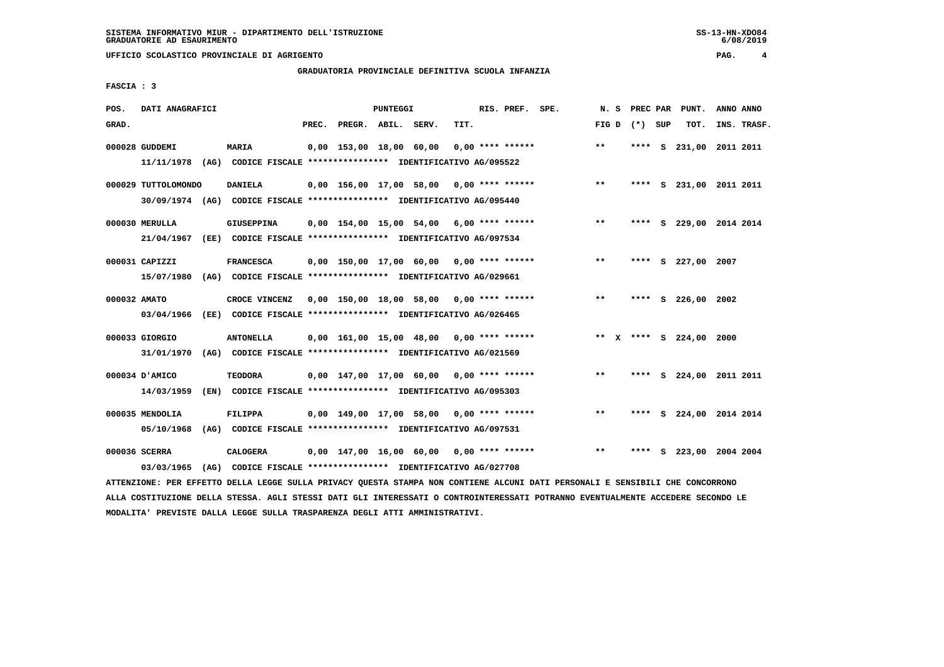# **GRADUATORIA PROVINCIALE DEFINITIVA SCUOLA INFANZIA**

 **FASCIA : 3**

| POS.         | DATI ANAGRAFICI     |                                                                                                                               |                                            | PUNTEGGI |      | RIS. PREF. SPE.  |                                                   | N.S   |                 | PREC PAR PUNT.          | ANNO ANNO |             |
|--------------|---------------------|-------------------------------------------------------------------------------------------------------------------------------|--------------------------------------------|----------|------|------------------|---------------------------------------------------|-------|-----------------|-------------------------|-----------|-------------|
| GRAD.        |                     |                                                                                                                               | PREC. PREGR. ABIL. SERV.                   |          | TIT. |                  |                                                   |       | FIG D $(*)$ SUP | TOT.                    |           | INS. TRASF. |
|              | 000028 GUDDEMI      | <b>MARIA</b>                                                                                                                  | 0,00 153,00 18,00 60,00                    |          |      | 0,00 **** ****** |                                                   | $***$ |                 | **** S 231,00 2011 2011 |           |             |
|              |                     | 11/11/1978 (AG) CODICE FISCALE *************** IDENTIFICATIVO AG/095522                                                       |                                            |          |      |                  |                                                   |       |                 |                         |           |             |
|              | 000029 TUTTOLOMONDO | <b>DANIELA</b>                                                                                                                | 0,00 156,00 17,00 58,00 0,00 **** ******   |          |      |                  |                                                   | $***$ |                 | **** S 231,00 2011 2011 |           |             |
|              |                     | 30/09/1974 (AG) CODICE FISCALE *************** IDENTIFICATIVO AG/095440                                                       |                                            |          |      |                  |                                                   |       |                 |                         |           |             |
|              | 000030 MERULLA      | GIUSEPPINA                                                                                                                    | $0.00$ 154.00 15.00 54.00 6.00 **** ****** |          |      |                  |                                                   | $***$ |                 | **** S 229,00 2014 2014 |           |             |
|              |                     | 21/04/1967 (EE) CODICE FISCALE *************** IDENTIFICATIVO AG/097534                                                       |                                            |          |      |                  |                                                   |       |                 |                         |           |             |
|              | 000031 CAPIZZI      | <b>FRANCESCA</b>                                                                                                              | $0,00$ 150,00 17,00 60,00 0,00 **** ****** |          |      |                  |                                                   | $***$ |                 | **** S 227,00 2007      |           |             |
|              |                     | 15/07/1980 (AG) CODICE FISCALE *************** IDENTIFICATIVO AG/029661                                                       |                                            |          |      |                  |                                                   |       |                 |                         |           |             |
| 000032 AMATO |                     | CROCE VINCENZ                                                                                                                 | $0,00$ 150,00 18,00 58,00 0,00 **** ****** |          |      |                  |                                                   | $***$ |                 | **** S 226,00 2002      |           |             |
|              |                     | 03/04/1966 (EE) CODICE FISCALE *************** IDENTIFICATIVO AG/026465                                                       |                                            |          |      |                  |                                                   |       |                 |                         |           |             |
|              | 000033 GIORGIO      | <b>ANTONELLA</b>                                                                                                              | 0,00 161,00 15,00 48,00 0,00 **** ******   |          |      |                  |                                                   |       |                 | ** X **** S 224,00 2000 |           |             |
|              | 31/01/1970          | (AG) CODICE FISCALE **************** IDENTIFICATIVO AG/021569                                                                 |                                            |          |      |                  |                                                   |       |                 |                         |           |             |
|              | 000034 D'AMICO      | <b>TEODORA</b>                                                                                                                |                                            |          |      |                  | $0,00$ 147,00 17,00 60,00 0,00 **** ******        | $***$ |                 | **** S 224,00 2011 2011 |           |             |
|              | 14/03/1959          | (EN) CODICE FISCALE **************** IDENTIFICATIVO AG/095303                                                                 |                                            |          |      |                  |                                                   |       |                 |                         |           |             |
|              | 000035 MENDOLIA     | <b>FILIPPA</b>                                                                                                                | $0,00$ 149,00 17,00 58,00 0,00 **** ****** |          |      |                  |                                                   | $* *$ |                 | **** S 224,00 2014 2014 |           |             |
|              |                     | 05/10/1968 (AG) CODICE FISCALE *************** IDENTIFICATIVO AG/097531                                                       |                                            |          |      |                  |                                                   |       |                 |                         |           |             |
|              | 000036 SCERRA       | <b>CALOGERA</b>                                                                                                               |                                            |          |      |                  | $0,00$ 147,00 16,00 60,00 0,00 **** ****** *** ** |       |                 | **** S 223,00 2004 2004 |           |             |
|              | 03/03/1965          | (AG) CODICE FISCALE **************** IDENTIFICATIVO AG/027708                                                                 |                                            |          |      |                  |                                                   |       |                 |                         |           |             |
|              |                     | ATTENZIONE: PER EFFETTO DELLA LEGGE SULLA PRIVACY QUESTA STAMPA NON CONTIENE ALCUNI DATI PERSONALI E SENSIBILI CHE CONCORRONO |                                            |          |      |                  |                                                   |       |                 |                         |           |             |

 **ALLA COSTITUZIONE DELLA STESSA. AGLI STESSI DATI GLI INTERESSATI O CONTROINTERESSATI POTRANNO EVENTUALMENTE ACCEDERE SECONDO LE MODALITA' PREVISTE DALLA LEGGE SULLA TRASPARENZA DEGLI ATTI AMMINISTRATIVI.**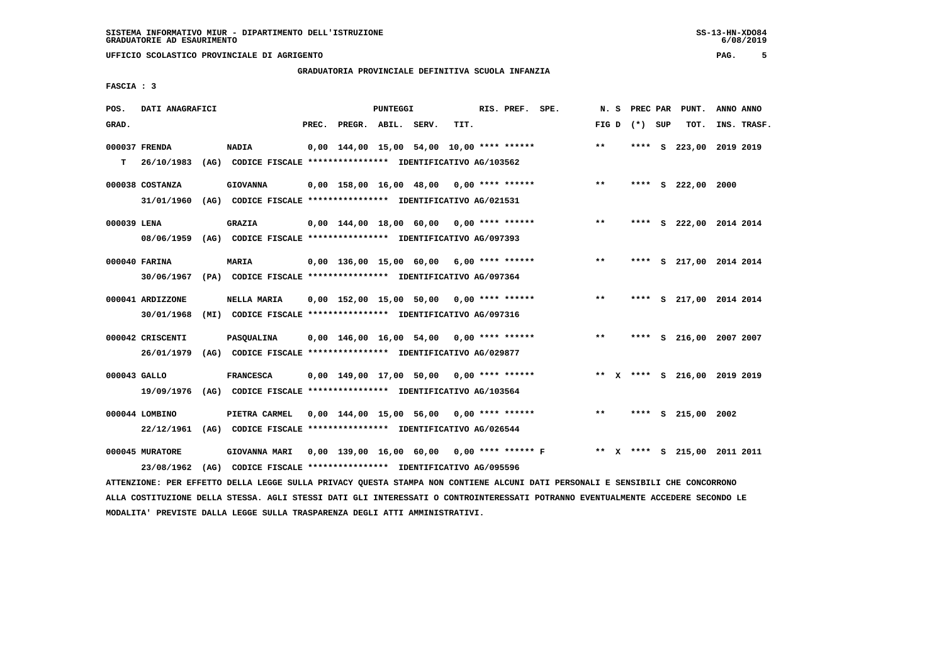# **GRADUATORIA PROVINCIALE DEFINITIVA SCUOLA INFANZIA**

 **FASCIA : 3**

| POS.         | DATI ANAGRAFICI  |                                                               |       |                                             | PUNTEGGI |      | RIS. PREF. SPE. |                                            | N.S   |                 | PREC PAR PUNT.               | ANNO ANNO |             |
|--------------|------------------|---------------------------------------------------------------|-------|---------------------------------------------|----------|------|-----------------|--------------------------------------------|-------|-----------------|------------------------------|-----------|-------------|
| GRAD.        |                  |                                                               | PREC. | PREGR. ABIL. SERV.                          |          | TIT. |                 |                                            |       | FIG D $(*)$ SUP | TOT.                         |           | INS. TRASF. |
|              | 000037 FRENDA    | <b>NADIA</b>                                                  |       | $0,00$ 144,00 15,00 54,00 10,00 **** ****** |          |      |                 |                                            | $***$ | ****            | S 223,00 2019 2019           |           |             |
| т            | 26/10/1983       | (AG) CODICE FISCALE **************** IDENTIFICATIVO AG/103562 |       |                                             |          |      |                 |                                            |       |                 |                              |           |             |
|              | 000038 COSTANZA  | <b>GIOVANNA</b>                                               |       | $0.00$ 158.00 16.00 48.00 0.00 **** ******  |          |      |                 |                                            | $***$ |                 | **** S 222,00 2000           |           |             |
|              | 31/01/1960       | (AG) CODICE FISCALE **************** IDENTIFICATIVO AG/021531 |       |                                             |          |      |                 |                                            |       |                 |                              |           |             |
| 000039 LENA  |                  | <b>GRAZIA</b>                                                 |       | $0.00$ 144.00 18.00 60.00 0.00 **** ******  |          |      |                 |                                            | $***$ |                 | **** S 222,00 2014 2014      |           |             |
|              | 08/06/1959       | (AG) CODICE FISCALE **************** IDENTIFICATIVO AG/097393 |       |                                             |          |      |                 |                                            |       |                 |                              |           |             |
|              | 000040 FARINA    | <b>MARIA</b>                                                  |       | $0,00$ 136,00 15,00 60,00 6,00 **** ******  |          |      |                 |                                            | $***$ |                 | **** S 217,00 2014 2014      |           |             |
|              | 30/06/1967       | (PA) CODICE FISCALE **************** IDENTIFICATIVO AG/097364 |       |                                             |          |      |                 |                                            |       |                 |                              |           |             |
|              | 000041 ARDIZZONE | NELLA MARIA                                                   |       | $0,00$ 152,00 15,00 50,00 0,00 **** ******  |          |      |                 |                                            | $***$ | ****            | S 217,00 2014 2014           |           |             |
|              | 30/01/1968       | (MI) CODICE FISCALE **************** IDENTIFICATIVO AG/097316 |       |                                             |          |      |                 |                                            |       |                 |                              |           |             |
|              | 000042 CRISCENTI | <b>PASOUALINA</b>                                             |       | $0.00$ 146.00 16.00 54.00 0.00 **** ******  |          |      |                 |                                            | $***$ |                 | **** S 216,00 2007 2007      |           |             |
|              | 26/01/1979       | (AG) CODICE FISCALE **************** IDENTIFICATIVO AG/029877 |       |                                             |          |      |                 |                                            |       |                 |                              |           |             |
| 000043 GALLO |                  | <b>FRANCESCA</b>                                              |       | $0.00$ 149.00 17.00 50.00 0.00 **** ******  |          |      |                 |                                            |       |                 | ** X **** S 216,00 2019 2019 |           |             |
|              | 19/09/1976       | (AG) CODICE FISCALE **************** IDENTIFICATIVO AG/103564 |       |                                             |          |      |                 |                                            |       |                 |                              |           |             |
|              | 000044 LOMBINO   | PIETRA CARMEL                                                 |       | 0,00 144,00 15,00 56,00 0,00 **** ******    |          |      |                 |                                            | $***$ | ****            | S 215,00 2002                |           |             |
|              | 22/12/1961       | (AG) CODICE FISCALE **************** IDENTIFICATIVO AG/026544 |       |                                             |          |      |                 |                                            |       |                 |                              |           |             |
|              | 000045 MURATORE  | GIOVANNA MARI                                                 |       |                                             |          |      |                 | 0,00 139,00 16,00 60,00 0,00 **** ****** F |       |                 | ** X **** S 215,00 2011 2011 |           |             |
|              | 23/08/1962       | (AG) CODICE FISCALE **************** IDENTIFICATIVO AG/095596 |       |                                             |          |      |                 |                                            |       |                 |                              |           |             |

 **ATTENZIONE: PER EFFETTO DELLA LEGGE SULLA PRIVACY QUESTA STAMPA NON CONTIENE ALCUNI DATI PERSONALI E SENSIBILI CHE CONCORRONO ALLA COSTITUZIONE DELLA STESSA. AGLI STESSI DATI GLI INTERESSATI O CONTROINTERESSATI POTRANNO EVENTUALMENTE ACCEDERE SECONDO LE MODALITA' PREVISTE DALLA LEGGE SULLA TRASPARENZA DEGLI ATTI AMMINISTRATIVI.**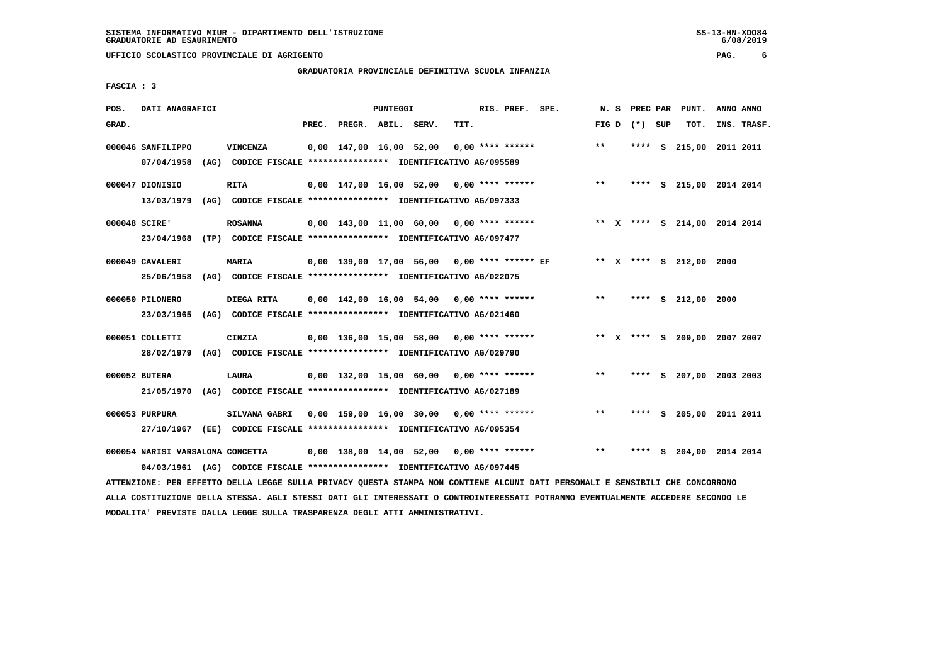# **GRADUATORIA PROVINCIALE DEFINITIVA SCUOLA INFANZIA**

 **FASCIA : 3**

| POS.          | DATI ANAGRAFICI                                                                                             |                                                                                       |       |                         | PUNTEGGI |                                               |      | RIS. PREF. SPE.    | N. S  | PREC PAR |     | PUNT.                        | ANNO ANNO |             |
|---------------|-------------------------------------------------------------------------------------------------------------|---------------------------------------------------------------------------------------|-------|-------------------------|----------|-----------------------------------------------|------|--------------------|-------|----------|-----|------------------------------|-----------|-------------|
| GRAD.         |                                                                                                             |                                                                                       | PREC. | PREGR. ABIL. SERV.      |          |                                               | TIT. |                    | FIG D | (*) SUP  |     | TOT.                         |           | INS. TRASF. |
|               | 000046 SANFILIPPO<br>07/04/1958                                                                             | <b>VINCENZA</b><br>(AG) CODICE FISCALE **************** IDENTIFICATIVO AG/095589      |       | 0,00 147,00 16,00 52,00 |          |                                               |      | $0,00$ **** ****** | $* *$ |          |     | **** S 215,00 2011 2011      |           |             |
|               | 000047 DIONISIO<br>13/03/1979                                                                               | <b>RITA</b><br>(AG) CODICE FISCALE **************** IDENTIFICATIVO AG/097333          |       |                         |          | $0,00$ 147,00 16,00 52,00 0,00 **** ******    |      |                    | $***$ | ****     |     | S 215,00 2014 2014           |           |             |
| 000048 SCIRE' | 23/04/1968                                                                                                  | <b>ROSANNA</b><br>(TP) CODICE FISCALE **************** IDENTIFICATIVO AG/097477       |       |                         |          | $0,00$ 143,00 11,00 60,00 0,00 **** ******    |      |                    |       |          |     | ** X **** S 214,00 2014 2014 |           |             |
|               | 000049 CAVALERI<br>25/06/1958                                                                               | <b>MARIA</b><br>(AG) CODICE FISCALE **************** IDENTIFICATIVO AG/022075         |       |                         |          | $0,00$ 139,00 17,00 56,00 0,00 **** ****** EF |      |                    |       |          |     | ** X **** S 212,00 2000      |           |             |
|               | 000050 PILONERO<br>23/03/1965                                                                               | DIEGA RITA<br>(AG) CODICE FISCALE **************** IDENTIFICATIVO AG/021460           |       |                         |          | $0,00$ 142,00 16,00 54,00 0,00 **** ******    |      |                    | $***$ |          |     | **** S 212,00 2000           |           |             |
|               | 000051 COLLETTI<br>28/02/1979                                                                               | <b>CINZIA</b><br>(AG) CODICE FISCALE **************** IDENTIFICATIVO AG/029790        |       |                         |          | $0,00$ 136,00 15,00 58,00 0,00 **** ******    |      |                    |       |          |     | ** X **** S 209,00 2007 2007 |           |             |
|               | 000052 BUTERA<br>21/05/1970                                                                                 | LAURA<br>(AG) CODICE FISCALE **************** IDENTIFICATIVO AG/027189                |       |                         |          | 0,00 132,00 15,00 60,00                       |      | $0.00$ **** ****** | **    | ****     |     | S 207,00 2003 2003           |           |             |
|               | 000053 PURPURA<br>27/10/1967                                                                                | <b>SILVANA GABRI</b><br>(EE) CODICE FISCALE **************** IDENTIFICATIVO AG/095354 |       | 0,00 159,00 16,00 30,00 |          |                                               |      | $0.00$ **** ****** | $* *$ | ****     | - S | 205,00 2011 2011             |           |             |
|               | 000054 NARISI VARSALONA CONCETTA<br>04/03/1961 (AG) CODICE FISCALE *************** IDENTIFICATIVO AG/097445 |                                                                                       |       |                         |          | $0,00$ 138,00 14,00 52,00 0,00 **** ******    |      |                    | $* *$ | ****     | - S | 204,00 2014 2014             |           |             |

 **ATTENZIONE: PER EFFETTO DELLA LEGGE SULLA PRIVACY QUESTA STAMPA NON CONTIENE ALCUNI DATI PERSONALI E SENSIBILI CHE CONCORRONO ALLA COSTITUZIONE DELLA STESSA. AGLI STESSI DATI GLI INTERESSATI O CONTROINTERESSATI POTRANNO EVENTUALMENTE ACCEDERE SECONDO LE MODALITA' PREVISTE DALLA LEGGE SULLA TRASPARENZA DEGLI ATTI AMMINISTRATIVI.**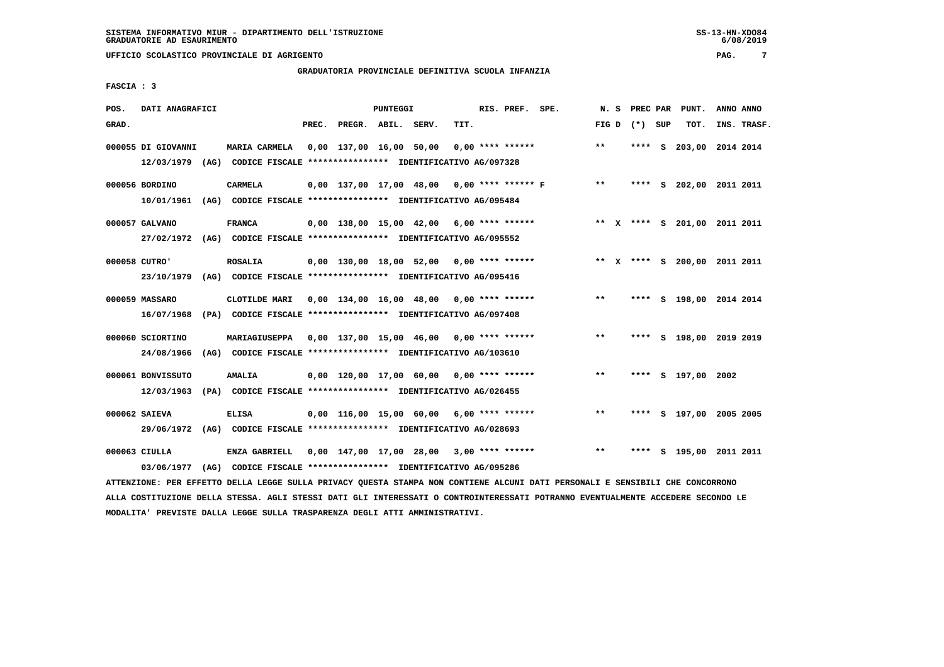# **GRADUATORIA PROVINCIALE DEFINITIVA SCUOLA INFANZIA**

 **FASCIA : 3**

| POS.             | DATI ANAGRAFICI                                                                               |                                                                                 |       |                         | PUNTEGGI |                                            |      | RIS. PREF. SPE.    | N. S         | PREC PAR |          | PUNT.                        | ANNO ANNO |             |
|------------------|-----------------------------------------------------------------------------------------------|---------------------------------------------------------------------------------|-------|-------------------------|----------|--------------------------------------------|------|--------------------|--------------|----------|----------|------------------------------|-----------|-------------|
| GRAD.            |                                                                                               |                                                                                 | PREC. | PREGR. ABIL. SERV.      |          |                                            | TIT. |                    | FIG D        | (*) SUP  |          | TOT.                         |           | INS. TRASF. |
|                  | 000055 DI GIOVANNI<br>12/03/1979 (AG) CODICE FISCALE *************** IDENTIFICATIVO AG/097328 | MARIA CARMELA                                                                   |       | 0,00 137,00 16,00 50,00 |          |                                            |      | $0.00$ **** ****** | $* *$        | ****     | <b>S</b> | 203,00 2014 2014             |           |             |
| 000056 BORDINO   | 10/01/1961                                                                                    | <b>CARMELA</b><br>(AG) CODICE FISCALE **************** IDENTIFICATIVO AG/095484 |       |                         |          | 0,00 137,00 17,00 48,00 0,00 **** ****** F |      |                    | $***$        | ****     | - S      | 202,00 2011 2011             |           |             |
| 000057 GALVANO   | 27/02/1972                                                                                    | <b>FRANCA</b><br>(AG) CODICE FISCALE *************** IDENTIFICATIVO AG/095552   |       |                         |          | 0,00 138,00 15,00 42,00                    |      | $6,00$ **** ****** |              |          |          | ** X **** S 201,00 2011 2011 |           |             |
| 000058 CUTRO'    | 23/10/1979                                                                                    | <b>ROSALIA</b><br>(AG) CODICE FISCALE **************** IDENTIFICATIVO AG/095416 |       |                         |          | 0,00 130,00 18,00 52,00                    |      | $0.00$ **** ****** |              |          |          | ** X **** S 200,00 2011 2011 |           |             |
| 000059 MASSARO   | 16/07/1968                                                                                    | CLOTILDE MARI<br>(PA) CODICE FISCALE **************** IDENTIFICATIVO AG/097408  |       | 0,00 134,00 16,00 48,00 |          |                                            |      | $0.00$ **** ****** | $\star\star$ | ****     |          | S 198,00 2014 2014           |           |             |
| 000060 SCIORTINO | 24/08/1966                                                                                    | MARIAGIUSEPPA<br>(AG) CODICE FISCALE **************** IDENTIFICATIVO AG/103610  |       |                         |          | $0,00$ 137,00 15,00 46,00 0,00 **** ****** |      |                    | $***$        |          |          | **** S 198,00 2019 2019      |           |             |
|                  | 000061 BONVISSUTO<br>12/03/1963                                                               | <b>AMALIA</b><br>(PA) CODICE FISCALE **************** IDENTIFICATIVO AG/026455  |       |                         |          | 0,00 120,00 17,00 60,00                    |      | $0.00$ **** ****** | $* *$        |          |          | **** S 197,00 2002           |           |             |
| 000062 SAIEVA    | 29/06/1972                                                                                    | <b>ELISA</b><br>(AG) CODICE FISCALE **************** IDENTIFICATIVO AG/028693   |       |                         |          | $0,00$ 116,00 15,00 60,00 6,00 **** ****** |      |                    | **           | ****     |          | S 197,00 2005 2005           |           |             |
| $000063$ CIULLA  | 03/06/1977                                                                                    | ENZA GABRIELL<br>(AG) CODICE FISCALE *************** IDENTIFICATIVO AG/095286   |       | 0,00 147,00 17,00 28,00 |          |                                            |      | $3,00$ **** ****** | $* *$        | ****     | s        | 195,00 2011 2011             |           |             |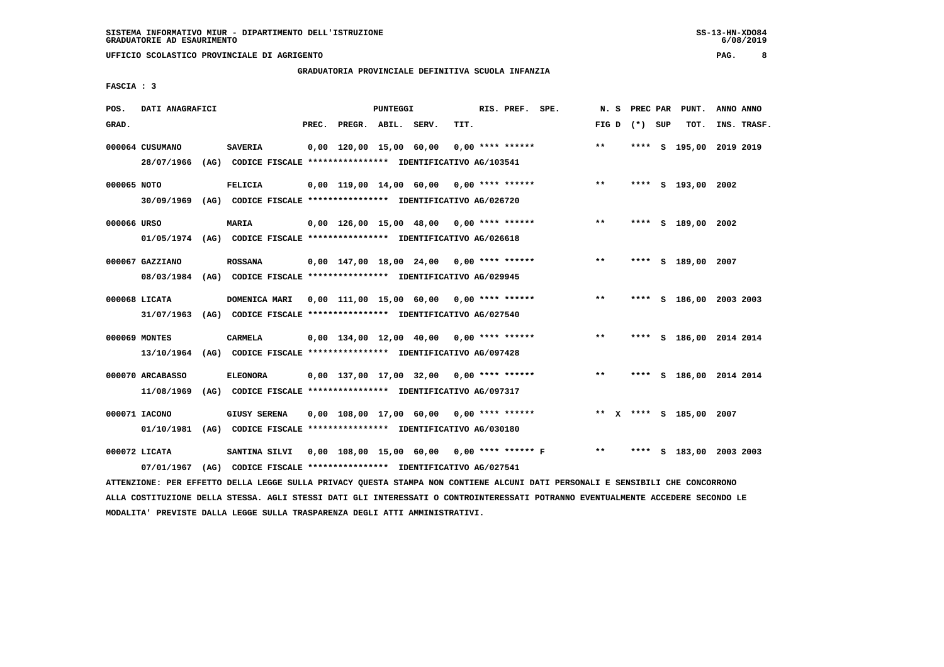# **GRADUATORIA PROVINCIALE DEFINITIVA SCUOLA INFANZIA**

 **FASCIA : 3**

| POS.        | DATI ANAGRAFICI  |                                                                                                                               |       |                                            | PUNTEGGI |      | RIS. PREF. SPE. | N.S   |                 | PREC PAR PUNT.          | ANNO ANNO |             |
|-------------|------------------|-------------------------------------------------------------------------------------------------------------------------------|-------|--------------------------------------------|----------|------|-----------------|-------|-----------------|-------------------------|-----------|-------------|
| GRAD.       |                  |                                                                                                                               | PREC. | PREGR. ABIL. SERV.                         |          | TIT. |                 |       | FIG D $(*)$ SUP | TOT.                    |           | INS. TRASF. |
|             | 000064 CUSUMANO  | <b>SAVERIA</b>                                                                                                                |       | 0,00 120,00 15,00 60,00 0,00 **** ******   |          |      |                 | $***$ |                 | **** S 195,00 2019 2019 |           |             |
|             | 28/07/1966       | (AG) CODICE FISCALE **************** IDENTIFICATIVO AG/103541                                                                 |       |                                            |          |      |                 |       |                 |                         |           |             |
| 000065 NOTO |                  | <b>FELICIA</b>                                                                                                                |       | $0.00$ 119.00 14.00 60.00 0.00 **** ****** |          |      |                 | $* *$ |                 | **** S 193,00 2002      |           |             |
|             |                  | 30/09/1969 (AG) CODICE FISCALE *************** IDENTIFICATIVO AG/026720                                                       |       |                                            |          |      |                 |       |                 |                         |           |             |
| 000066 URSO |                  | <b>MARIA</b>                                                                                                                  |       | 0,00 126,00 15,00 48,00 0,00 **** ******   |          |      |                 | $***$ |                 | **** S 189,00 2002      |           |             |
|             |                  | 01/05/1974 (AG) CODICE FISCALE *************** IDENTIFICATIVO AG/026618                                                       |       |                                            |          |      |                 |       |                 |                         |           |             |
|             | 000067 GAZZIANO  | <b>ROSSANA</b>                                                                                                                |       | 0,00 147,00 18,00 24,00 0,00 **** ******   |          |      |                 | $***$ |                 | **** S 189,00 2007      |           |             |
|             |                  | 08/03/1984 (AG) CODICE FISCALE *************** IDENTIFICATIVO AG/029945                                                       |       |                                            |          |      |                 |       |                 |                         |           |             |
|             | 000068 LICATA    | DOMENICA MARI  0,00  111,00  15,00  60,00  0,00  ****  ******                                                                 |       |                                            |          |      |                 | $***$ |                 | **** S 186,00 2003 2003 |           |             |
|             |                  | 31/07/1963 (AG) CODICE FISCALE *************** IDENTIFICATIVO AG/027540                                                       |       |                                            |          |      |                 |       |                 |                         |           |             |
|             | 000069 MONTES    | CARMELA                                                                                                                       |       | 0,00 134,00 12,00 40,00 0,00 **** ******   |          |      |                 | $***$ |                 | **** S 186,00 2014 2014 |           |             |
|             |                  | 13/10/1964 (AG) CODICE FISCALE *************** IDENTIFICATIVO AG/097428                                                       |       |                                            |          |      |                 |       |                 |                         |           |             |
|             | 000070 ARCABASSO | <b>ELEONORA</b>                                                                                                               |       | $0,00$ 137,00 17,00 32,00 0,00 **** ****** |          |      |                 | $***$ |                 | **** S 186,00 2014 2014 |           |             |
|             | 11/08/1969       | (AG) CODICE FISCALE **************** IDENTIFICATIVO AG/097317                                                                 |       |                                            |          |      |                 |       |                 |                         |           |             |
|             | 000071 IACONO    | <b>GIUSY SERENA</b>                                                                                                           |       | $0,00$ 108,00 17,00 60,00 0,00 **** ****** |          |      |                 |       |                 | ** X **** S 185,00 2007 |           |             |
|             | 01/10/1981       | (AG) CODICE FISCALE **************** IDENTIFICATIVO AG/030180                                                                 |       |                                            |          |      |                 |       |                 |                         |           |             |
|             | 000072 LICATA    | SANTINA SILVI 0,00 108,00 15,00 60,00 0,00 **** ****** F ** **                                                                |       |                                            |          |      |                 |       |                 | **** S 183,00 2003 2003 |           |             |
|             |                  |                                                                                                                               |       |                                            |          |      |                 |       |                 |                         |           |             |
|             | 07/01/1967       | (AG) CODICE FISCALE **************** IDENTIFICATIVO AG/027541                                                                 |       |                                            |          |      |                 |       |                 |                         |           |             |
|             |                  | ATTENZIONE: PER EFFETTO DELLA LEGGE SULLA PRIVACY QUESTA STAMPA NON CONTIENE ALCUNI DATI PERSONALI E SENSIBILI CHE CONCORRONO |       |                                            |          |      |                 |       |                 |                         |           |             |

 **ALLA COSTITUZIONE DELLA STESSA. AGLI STESSI DATI GLI INTERESSATI O CONTROINTERESSATI POTRANNO EVENTUALMENTE ACCEDERE SECONDO LE MODALITA' PREVISTE DALLA LEGGE SULLA TRASPARENZA DEGLI ATTI AMMINISTRATIVI.**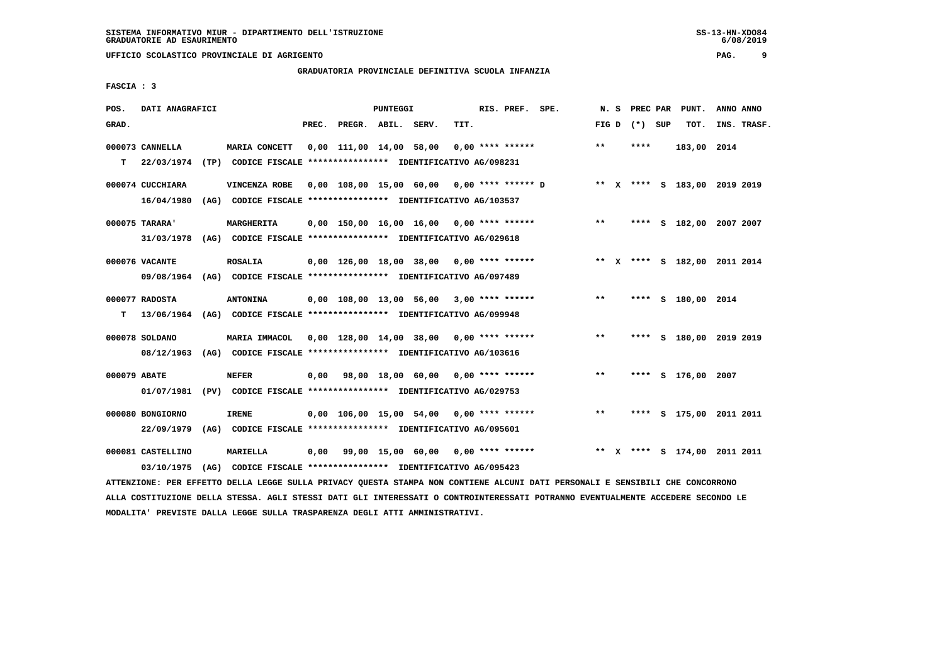# **GRADUATORIA PROVINCIALE DEFINITIVA SCUOLA INFANZIA**

 **FASCIA : 3**

| POS.         | DATI ANAGRAFICI   |                                                                         |       |                         | PUNTEGGI |                                            |      | RIS. PREF. SPE.    |                                                                         | N.S   |                   | PREC PAR PUNT.               | ANNO ANNO |             |
|--------------|-------------------|-------------------------------------------------------------------------|-------|-------------------------|----------|--------------------------------------------|------|--------------------|-------------------------------------------------------------------------|-------|-------------------|------------------------------|-----------|-------------|
| GRAD.        |                   |                                                                         | PREC. | PREGR. ABIL. SERV.      |          |                                            | TIT. |                    |                                                                         |       | FIG $D$ $(*)$ SUP | TOT.                         |           | INS. TRASF. |
|              | 000073 CANNELLA   | MARIA CONCETT                                                           |       | 0,00 111,00 14,00 58,00 |          |                                            |      | $0.00$ **** ****** |                                                                         | $**$  | ****              | 183,00 2014                  |           |             |
| T.           | 22/03/1974        | (TP) CODICE FISCALE **************** IDENTIFICATIVO AG/098231           |       |                         |          |                                            |      |                    |                                                                         |       |                   |                              |           |             |
|              | 000074 CUCCHIARA  | VINCENZA ROBE                                                           |       |                         |          |                                            |      |                    | 0,00 108,00 15,00 60,00 0,00 **** ****** D ** X **** S 183,00 2019 2019 |       |                   |                              |           |             |
|              | 16/04/1980        | (AG) CODICE FISCALE **************** IDENTIFICATIVO AG/103537           |       |                         |          |                                            |      |                    |                                                                         |       |                   |                              |           |             |
|              | 000075 TARARA'    | MARGHERITA                                                              |       |                         |          | $0.00$ 150.00 16.00 16.00 0.00 **** ****** |      |                    |                                                                         | $***$ |                   | **** S 182,00 2007 2007      |           |             |
|              | 31/03/1978        | (AG) CODICE FISCALE *************** IDENTIFICATIVO AG/029618            |       |                         |          |                                            |      |                    |                                                                         |       |                   |                              |           |             |
|              | 000076 VACANTE    | <b>ROSALIA</b>                                                          |       |                         |          |                                            |      |                    | 0,00 126,00 18,00 38,00 0,00 **** ******                                |       |                   | ** X **** S 182,00 2011 2014 |           |             |
|              |                   | 09/08/1964 (AG) CODICE FISCALE *************** IDENTIFICATIVO AG/097489 |       |                         |          |                                            |      |                    |                                                                         |       |                   |                              |           |             |
|              | 000077 RADOSTA    | <b>ANTONINA</b>                                                         |       |                         |          | 0,00 108,00 13,00 56,00 3,00 **** ******   |      |                    |                                                                         | $***$ |                   | **** S 180,00 2014           |           |             |
| т            |                   | 13/06/1964 (AG) CODICE FISCALE *************** IDENTIFICATIVO AG/099948 |       |                         |          |                                            |      |                    |                                                                         |       |                   |                              |           |             |
|              | 000078 SOLDANO    | MARIA IMMACOL                                                           |       |                         |          | $0.00$ 128.00 14.00 38.00 0.00 **** ****** |      |                    |                                                                         | $***$ | ****              | S 180,00 2019 2019           |           |             |
|              | 08/12/1963        | (AG) CODICE FISCALE **************** IDENTIFICATIVO AG/103616           |       |                         |          |                                            |      |                    |                                                                         |       |                   |                              |           |             |
| 000079 ABATE |                   | <b>NEFER</b>                                                            | 0.00  |                         |          | 98,00 18,00 60,00 0,00 **** ******         |      |                    |                                                                         | $**$  |                   | **** S 176,00 2007           |           |             |
|              | 01/07/1981        | (PV) CODICE FISCALE **************** IDENTIFICATIVO AG/029753           |       |                         |          |                                            |      |                    |                                                                         |       |                   |                              |           |             |
|              | 000080 BONGIORNO  | <b>IRENE</b>                                                            |       |                         |          | $0.00$ 106.00 15.00 54.00 0.00 **** ****** |      |                    |                                                                         | $***$ |                   | **** S 175,00 2011 2011      |           |             |
|              | 22/09/1979        | (AG) CODICE FISCALE **************** IDENTIFICATIVO AG/095601           |       |                         |          |                                            |      |                    |                                                                         |       |                   |                              |           |             |
|              | 000081 CASTELLINO | MARIELLA                                                                | 0,00  |                         |          | 99,00 15,00 60,00 0,00 **** ******         |      |                    |                                                                         |       |                   | ** X **** S 174,00 2011 2011 |           |             |
|              | 03/10/1975        | (AG) CODICE FISCALE **************** IDENTIFICATIVO AG/095423           |       |                         |          |                                            |      |                    |                                                                         |       |                   |                              |           |             |

 **ATTENZIONE: PER EFFETTO DELLA LEGGE SULLA PRIVACY QUESTA STAMPA NON CONTIENE ALCUNI DATI PERSONALI E SENSIBILI CHE CONCORRONO ALLA COSTITUZIONE DELLA STESSA. AGLI STESSI DATI GLI INTERESSATI O CONTROINTERESSATI POTRANNO EVENTUALMENTE ACCEDERE SECONDO LE MODALITA' PREVISTE DALLA LEGGE SULLA TRASPARENZA DEGLI ATTI AMMINISTRATIVI.**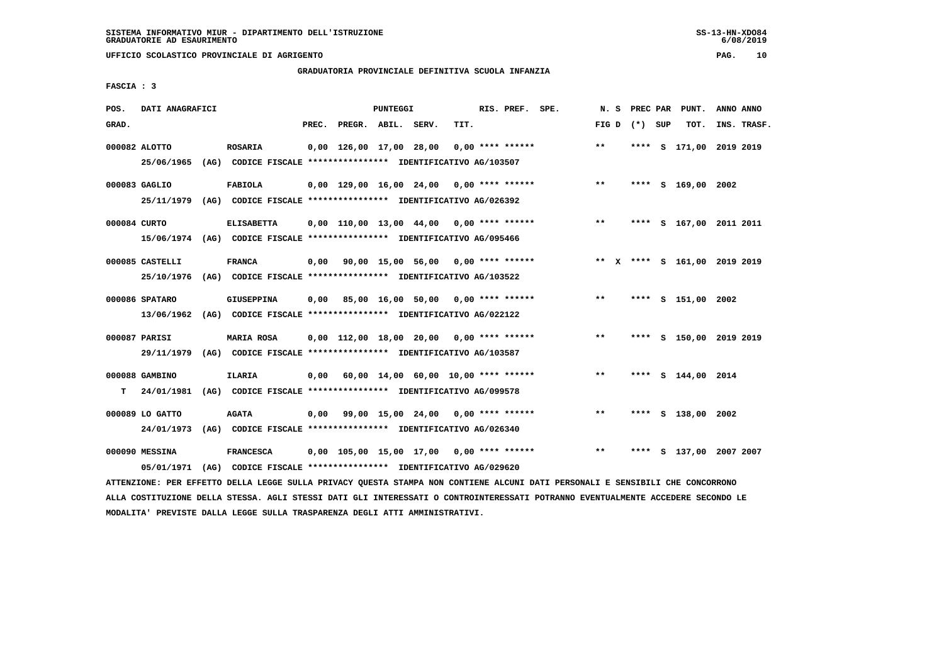# **GRADUATORIA PROVINCIALE DEFINITIVA SCUOLA INFANZIA**

 **FASCIA : 3**

| POS.         | DATI ANAGRAFICI |                                                                         |       |                                            | PUNTEGGI |      | RIS. PREF. SPE. |                                            | N.S             |      | PREC PAR | PUNT.                        | ANNO ANNO |             |
|--------------|-----------------|-------------------------------------------------------------------------|-------|--------------------------------------------|----------|------|-----------------|--------------------------------------------|-----------------|------|----------|------------------------------|-----------|-------------|
| GRAD.        |                 |                                                                         | PREC. | PREGR. ABIL. SERV.                         |          | TIT. |                 |                                            | FIG D $(*)$ SUP |      |          | TOT.                         |           | INS. TRASF. |
|              | 000082 ALOTTO   | ROSARIA                                                                 |       | 0,00 126,00 17,00 28,00                    |          |      |                 | $0.00$ **** ******                         | $***$           | **** |          | S 171,00 2019 2019           |           |             |
|              | 25/06/1965      | (AG) CODICE FISCALE **************** IDENTIFICATIVO AG/103507           |       |                                            |          |      |                 |                                            |                 |      |          |                              |           |             |
|              | 000083 GAGLIO   | <b>FABIOLA</b>                                                          |       | 0,00 129,00 16,00 24,00 0,00 **** ******   |          |      |                 |                                            | $***$           |      |          | **** S 169,00 2002           |           |             |
|              |                 | 25/11/1979 (AG) CODICE FISCALE *************** IDENTIFICATIVO AG/026392 |       |                                            |          |      |                 |                                            |                 |      |          |                              |           |             |
| 000084 CURTO |                 | <b>ELISABETTA</b>                                                       |       |                                            |          |      |                 | $0,00$ 110,00 13,00 44,00 0,00 **** ****** | $***$           |      |          | **** S 167,00 2011 2011      |           |             |
|              |                 | 15/06/1974 (AG) CODICE FISCALE *************** IDENTIFICATIVO AG/095466 |       |                                            |          |      |                 |                                            |                 |      |          |                              |           |             |
|              | 000085 CASTELLI | <b>FRANCA</b>                                                           |       |                                            |          |      |                 | 0,00 90,00 15,00 56,00 0,00 **** ******    |                 |      |          | ** X **** S 161,00 2019 2019 |           |             |
|              | 25/10/1976      | (AG) CODICE FISCALE *************** IDENTIFICATIVO AG/103522            |       |                                            |          |      |                 |                                            |                 |      |          |                              |           |             |
|              | 000086 SPATARO  | GIUSEPPINA                                                              |       | 0,00 85,00 16,00 50,00 0,00 **** ******    |          |      |                 |                                            | $***$           |      |          | **** S 151,00 2002           |           |             |
|              |                 | 13/06/1962 (AG) CODICE FISCALE *************** IDENTIFICATIVO AG/022122 |       |                                            |          |      |                 |                                            |                 |      |          |                              |           |             |
|              | 000087 PARISI   | <b>MARIA ROSA</b>                                                       |       | $0,00$ 112,00 18,00 20,00 0,00 **** ****** |          |      |                 |                                            | $**$            |      |          | **** S 150,00 2019 2019      |           |             |
|              |                 | 29/11/1979 (AG) CODICE FISCALE *************** IDENTIFICATIVO AG/103587 |       |                                            |          |      |                 |                                            |                 |      |          |                              |           |             |
|              |                 |                                                                         |       |                                            |          |      |                 |                                            |                 |      |          |                              |           |             |
|              | 000088 GAMBINO  | <b>ILARIA</b>                                                           |       | $0,00$ 60,00 14,00 60,00 10,00 **** ****** |          |      |                 |                                            | $***$           |      |          | **** S 144,00 2014           |           |             |
| T.           | 24/01/1981      | (AG) CODICE FISCALE **************** IDENTIFICATIVO AG/099578           |       |                                            |          |      |                 |                                            |                 |      |          |                              |           |             |
|              | 000089 LO GATTO | <b>AGATA</b>                                                            |       | $0,00$ 99,00 15,00 24,00 0,00 **** ******  |          |      |                 |                                            | $**$            |      |          | **** S 138,00 2002           |           |             |
|              |                 | 24/01/1973 (AG) CODICE FISCALE *************** IDENTIFICATIVO AG/026340 |       |                                            |          |      |                 |                                            |                 |      |          |                              |           |             |
|              | 000090 MESSINA  | <b>FRANCESCA</b>                                                        |       | 0,00 105,00 15,00 17,00 0,00 **** ******   |          |      |                 |                                            | $***$           | **** |          | S 137,00 2007 2007           |           |             |
|              | 05/01/1971      | (AG) CODICE FISCALE **************** IDENTIFICATIVO AG/029620           |       |                                            |          |      |                 |                                            |                 |      |          |                              |           |             |

 **ATTENZIONE: PER EFFETTO DELLA LEGGE SULLA PRIVACY QUESTA STAMPA NON CONTIENE ALCUNI DATI PERSONALI E SENSIBILI CHE CONCORRONO ALLA COSTITUZIONE DELLA STESSA. AGLI STESSI DATI GLI INTERESSATI O CONTROINTERESSATI POTRANNO EVENTUALMENTE ACCEDERE SECONDO LE MODALITA' PREVISTE DALLA LEGGE SULLA TRASPARENZA DEGLI ATTI AMMINISTRATIVI.**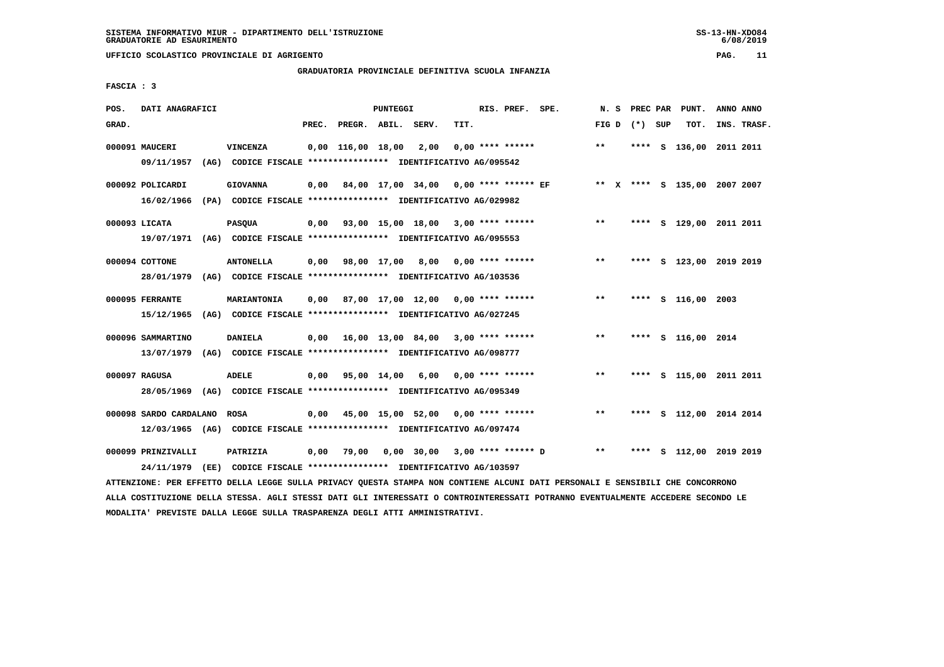# **GRADUATORIA PROVINCIALE DEFINITIVA SCUOLA INFANZIA**

 **FASCIA : 3**

| POS.  | DATI ANAGRAFICI                           |      |                                                                                           |       |                                           | <b>PUNTEGGI</b> |                  |      | RIS. PREF. SPE.       | N. S  | PREC PAR        | PUNT.                        | ANNO ANNO |             |
|-------|-------------------------------------------|------|-------------------------------------------------------------------------------------------|-------|-------------------------------------------|-----------------|------------------|------|-----------------------|-------|-----------------|------------------------------|-----------|-------------|
| GRAD. |                                           |      |                                                                                           | PREC. | PREGR. ABIL. SERV.                        |                 |                  | TIT. |                       |       | FIG D $(*)$ SUP | TOT.                         |           | INS. TRASF. |
|       | 000091 MAUCERI<br>09/11/1957              |      | VINCENZA<br>(AG) CODICE FISCALE **************** IDENTIFICATIVO AG/095542                 |       | $0.00$ 116.00 18.00                       |                 | 2,00             |      | $0.00$ **** ******    | **    |                 | **** S 136,00 2011 2011      |           |             |
|       | 000092 POLICARDI<br>16/02/1966            |      | <b>GIOVANNA</b><br>(PA) CODICE FISCALE **************** IDENTIFICATIVO AG/029982          |       | 0,00 84,00 17,00 34,00                    |                 |                  |      | $0.00$ **** ****** EF |       |                 | ** X **** S 135,00 2007 2007 |           |             |
|       | 000093 LICATA<br>19/07/1971               |      | <b>PASQUA</b><br>(AG) CODICE FISCALE **************** IDENTIFICATIVO AG/095553            |       | $0,00$ 93,00 15,00 18,00 3,00 **** ****** |                 |                  |      |                       | $***$ | ****            | S 129,00 2011 2011           |           |             |
|       | 000094 COTTONE<br>28/01/1979              |      | <b>ANTONELLA</b><br>(AG) CODICE FISCALE **************** IDENTIFICATIVO AG/103536         |       | $0,00$ $98,00$ $17,00$                    |                 | 8,00             |      | $0.00$ **** ******    | **    | ****            | s 123,00 2019 2019           |           |             |
|       | 000095 FERRANTE<br>15/12/1965             |      | MARIANTONIA<br>(AG) CODICE FISCALE **************** IDENTIFICATIVO AG/027245              |       | $0.00$ 87.00 17.00 12.00 0.00 **** ****** |                 |                  |      |                       | $* *$ | ****            | S 116,00 2003                |           |             |
|       | 000096 SAMMARTINO                         |      | <b>DANIELA</b><br>13/07/1979 (AG) CODICE FISCALE *************** IDENTIFICATIVO AG/098777 |       | $0,00$ 16,00 13,00 84,00 3,00 **** ****** |                 |                  |      |                       | $* *$ |                 | **** S 116,00 2014           |           |             |
|       | 000097 RAGUSA<br>28/05/1969               | (AG) | ADELE<br>CODICE FISCALE **************** IDENTIFICATIVO AG/095349                         | 0,00  |                                           |                 | 95,00 14,00 6,00 |      | $0.00$ **** ******    | $***$ | ****            | s 115,00 2011 2011           |           |             |
|       | 000098 SARDO CARDALANO<br>12/03/1965 (AG) |      | <b>ROSA</b><br>CODICE FISCALE **************** IDENTIFICATIVO AG/097474                   | 0,00  | 45,00 15,00 52,00 0,00 **** ******        |                 |                  |      |                       | $***$ | ****            | S 112,00 2014 2014           |           |             |
|       | 000099 PRINZIVALLI<br>24/11/1979          | (EE) | PATRIZIA<br>CODICE FISCALE **************** IDENTIFICATIVO AG/103597                      | 0,00  | 79,00                                     |                 | 0,00 30,00       |      | $3,00$ **** ****** D  | $***$ | ****            | S 112,00 2019 2019           |           |             |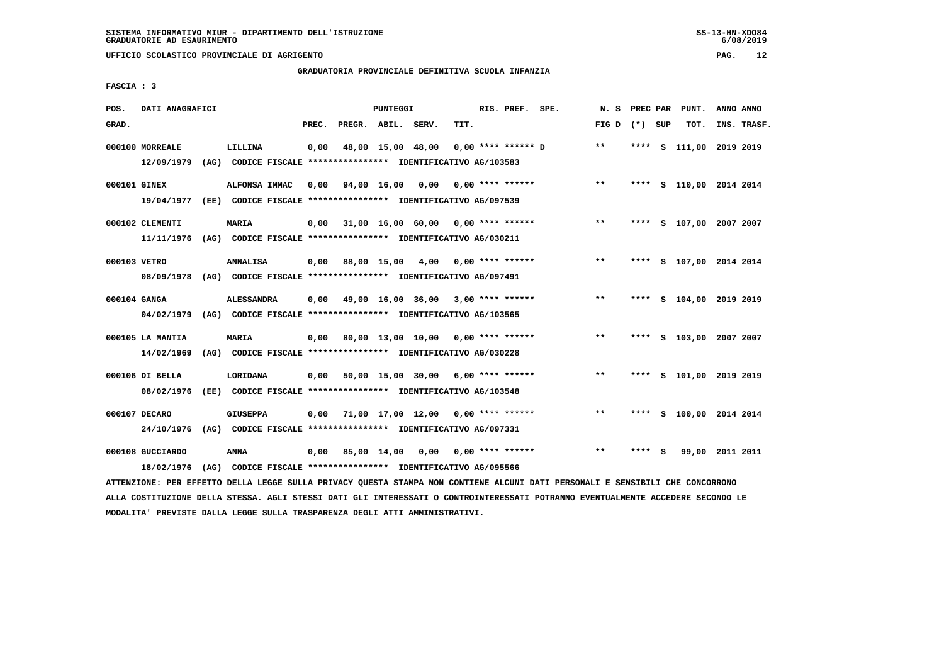#### **GRADUATORIA PROVINCIALE DEFINITIVA SCUOLA INFANZIA**

 **FASCIA : 3**

| POS.         | DATI ANAGRAFICI                                                                            |                   |       |                    | <b>PUNTEGGI</b> |                                                                                                            |      | RIS. PREF. SPE.      | N. S            | PREC PAR |     | PUNT.                   | ANNO ANNO |             |
|--------------|--------------------------------------------------------------------------------------------|-------------------|-------|--------------------|-----------------|------------------------------------------------------------------------------------------------------------|------|----------------------|-----------------|----------|-----|-------------------------|-----------|-------------|
| GRAD.        |                                                                                            |                   | PREC. | PREGR. ABIL. SERV. |                 |                                                                                                            | TIT. |                      | FIG D $(*)$ SUP |          |     | тот.                    |           | INS. TRASF. |
|              | 000100 MORREALE<br>12/09/1979                                                              | LILLINA           | 0,00  |                    |                 | 48,00 15,00 48,00<br>(AG) CODICE FISCALE **************** IDENTIFICATIVO AG/103583                         |      | $0.00$ **** ****** D | $***$           |          |     | **** S 111,00 2019 2019 |           |             |
| 000101 GINEX | 19/04/1977                                                                                 | ALFONSA IMMAC     | 0,00  | 94,00 16,00 0,00   |                 | (EE) CODICE FISCALE *************** IDENTIFICATIVO AG/097539                                               |      | $0.00$ **** ******   | $***$           |          |     | **** S 110,00 2014 2014 |           |             |
|              | 000102 CLEMENTI<br>11/11/1976 (AG) CODICE FISCALE *************** IDENTIFICATIVO AG/030211 | <b>MARIA</b>      | 0,00  |                    |                 | 31,00 16,00 60,00 0,00 **** ******                                                                         |      |                      | $***$           |          |     | **** S 107,00 2007 2007 |           |             |
| 000103 VETRO | 08/09/1978 (AG) CODICE FISCALE *************** IDENTIFICATIVO AG/097491                    | <b>ANNALISA</b>   | 0.00  | 88,00 15,00        |                 | 4,00                                                                                                       |      | $0.00$ **** ******   | **              | ****     |     | S 107,00 2014 2014      |           |             |
| 000104 GANGA | 04/02/1979                                                                                 | <b>ALESSANDRA</b> |       |                    |                 | $0,00$ 49,00 16,00 36,00 3,00 **** ******<br>(AG) CODICE FISCALE **************** IDENTIFICATIVO AG/103565 |      |                      | $***$           |          |     | **** S 104,00 2019 2019 |           |             |
|              | 000105 LA MANTIA<br>14/02/1969                                                             | <b>MARIA</b>      |       |                    |                 | 0,00 80,00 13,00 10,00<br>(AG) CODICE FISCALE **************** IDENTIFICATIVO AG/030228                    |      | $0.00$ **** ******   | $***$           | ****     |     | S 103,00 2007 2007      |           |             |
|              | 000106 DI BELLA<br>08/02/1976                                                              | LORIDANA          | 0,00  |                    |                 | 50,00 15,00 30,00 6,00 **** ******<br>(EE) CODICE FISCALE **************** IDENTIFICATIVO AG/103548        |      |                      | $***$           | ****     |     | S 101,00 2019 2019      |           |             |
|              | 000107 DECARO<br>24/10/1976 (AG) CODICE FISCALE *************** IDENTIFICATIVO AG/097331   | <b>GIUSEPPA</b>   | 0,00  | 71,00 17,00 12,00  |                 |                                                                                                            |      | 0,00 **** ******     | $***$           | ****     |     | S 100,00 2014 2014      |           |             |
|              | 000108 GUCCIARDO<br>18/02/1976                                                             | <b>ANNA</b>       | 0,00  | 85,00 14,00        |                 | 0,00<br>(AG) CODICE FISCALE **************** IDENTIFICATIVO AG/095566                                      |      | $0.00$ **** ******   | $* *$           |          | - 5 | 99,00 2011 2011         |           |             |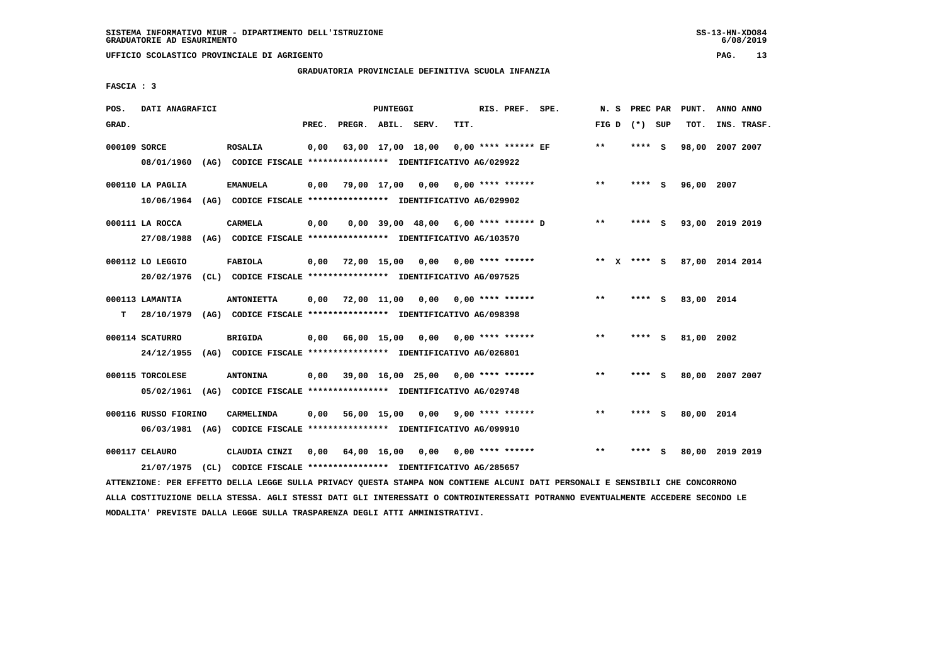**UFFICIO SCOLASTICO PROVINCIALE DI AGRIGENTO PAG. 13**

# **GRADUATORIA PROVINCIALE DEFINITIVA SCUOLA INFANZIA**

 **FASCIA : 3**

| POS.         | DATI ANAGRAFICI                |                                                                                       |       |              | PUNTEGGI    |                                       |      | RIS. PREF. SPE.         | N.S         | PREC PAR |     | PUNT.      | ANNO ANNO       |
|--------------|--------------------------------|---------------------------------------------------------------------------------------|-------|--------------|-------------|---------------------------------------|------|-------------------------|-------------|----------|-----|------------|-----------------|
| GRAD.        |                                |                                                                                       | PREC. | PREGR. ABIL. |             | SERV.                                 | TIT. |                         | FIG D       | (*) SUP  |     | TOT.       | INS. TRASF.     |
| 000109 SORCE | 08/01/1960                     | <b>ROSALIA</b><br>(AG) CODICE FISCALE **************** IDENTIFICATIVO AG/029922       | 0.00  |              |             | 63,00 17,00 18,00                     |      | $0.00$ **** ****** EF   | $***$       | **** S   |     | 98,00      | 2007 2007       |
|              | 000110 LA PAGLIA<br>10/06/1964 | <b>EMANUELA</b><br>(AG) CODICE FISCALE **************** IDENTIFICATIVO AG/029902      | 0,00  | 79,00 17,00  |             | 0,00                                  |      | $0.00$ **** ******      | $***$       | **** S   |     | 96,00 2007 |                 |
|              | 000111 LA ROCCA<br>27/08/1988  | <b>CARMELA</b><br>(AG) CODICE FISCALE **************** IDENTIFICATIVO AG/103570       | 0,00  |              |             | $0.00$ 39.00 48.00 6.00 **** ****** D |      |                         | $***$       | ****     | - S |            | 93,00 2019 2019 |
|              | 000112 LO LEGGIO<br>20/02/1976 | <b>FABIOLA</b><br>(CL) CODICE FISCALE **************** IDENTIFICATIVO AG/097525       | 0.00  |              | 72,00 15,00 | 0.00                                  |      | $0.00$ **** ******      | ** X **** S |          |     |            | 87,00 2014 2014 |
| т            | 000113 LAMANTIA<br>28/10/1979  | <b>ANTONIETTA</b><br>(AG) CODICE FISCALE **************** IDENTIFICATIVO AG/098398    | 0,00  | 72,00 11,00  |             | 0.00                                  |      | $0.00$ **** ******      | $* *$       | **** S   |     | 83,00 2014 |                 |
|              | 000114 SCATURRO<br>24/12/1955  | <b>BRIGIDA</b><br>(AG) CODICE FISCALE **************** IDENTIFICATIVO AG/026801       | 0,00  | 66,00 15,00  |             | 0,00                                  |      | $0.00$ **** ******      | $***$       | ****     | - 5 | 81,00      | 2002            |
|              | 000115 TORCOLESE<br>05/02/1961 | <b>ANTONINA</b><br>(AG) CODICE FISCALE **************** IDENTIFICATIVO AG/029748      | 0,00  |              |             | $39,00$ 16,00 25,00 0,00 **** ******  |      |                         | $* *$       | ****     | - S |            | 80,00 2007 2007 |
|              | 000116 RUSSO FIORINO           | CARMELINDA<br>06/03/1981 (AG) CODICE FISCALE *************** IDENTIFICATIVO AG/099910 | 0,00  | 56,00 15,00  |             |                                       |      | $0.00$ 9.00 **** ****** | $* *$       | **** S   |     | 80,00 2014 |                 |
|              | 000117 CELAURO<br>21/07/1975   | CLAUDIA CINZI<br>(CL) CODICE FISCALE **************** IDENTIFICATIVO AG/285657        | 0.00  |              | 64,00 16,00 | 0,00                                  |      | $0.00$ **** ******      | $* *$       |          |     |            | 80,00 2019 2019 |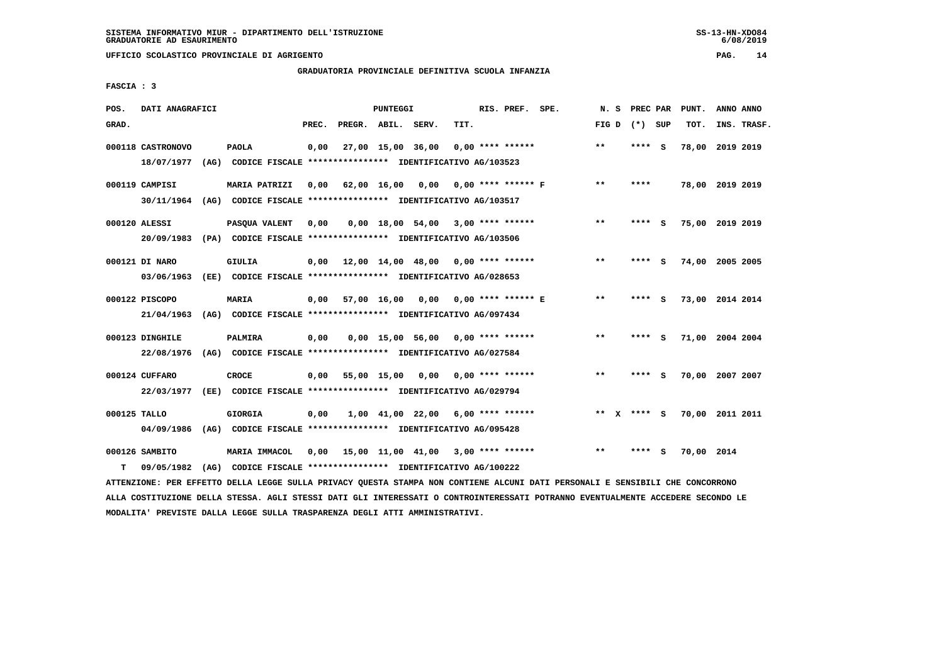**UFFICIO SCOLASTICO PROVINCIALE DI AGRIGENTO PAG. 14**

# **GRADUATORIA PROVINCIALE DEFINITIVA SCUOLA INFANZIA**

 **FASCIA : 3**

| POS.         | DATI ANAGRAFICI                                                                          |                                                                                       |       |              | <b>PUNTEGGI</b> |                                            |      | RIS. PREF. SPE.      | N. S         | PREC PAR        |     | PUNT.           | ANNO ANNO |             |
|--------------|------------------------------------------------------------------------------------------|---------------------------------------------------------------------------------------|-------|--------------|-----------------|--------------------------------------------|------|----------------------|--------------|-----------------|-----|-----------------|-----------|-------------|
| GRAD.        |                                                                                          |                                                                                       | PREC. | PREGR. ABIL. |                 | SERV.                                      | TIT. |                      |              | FIG D $(*)$ SUP |     | TOT.            |           | INS. TRASF. |
|              | 000118 CASTRONOVO<br>18/07/1977                                                          | <b>PAOLA</b><br>(AG) CODICE FISCALE **************** IDENTIFICATIVO AG/103523         | 0,00  |              |                 | 27,00 15,00 36,00                          |      | $0.00$ **** ******   | $* *$        | **** S          |     | 78,00 2019 2019 |           |             |
|              | 000119 CAMPISI<br>30/11/1964                                                             | <b>MARIA PATRIZI</b><br>(AG) CODICE FISCALE **************** IDENTIFICATIVO AG/103517 | 0.00  | 62,00 16,00  |                 | 0.00                                       |      | $0.00$ **** ****** F | $***$        | ****            |     | 78,00 2019 2019 |           |             |
|              | 000120 ALESSI<br>20/09/1983 (PA) CODICE FISCALE *************** IDENTIFICATIVO AG/103506 | PASQUA VALENT                                                                         | 0,00  |              |                 | $0,00$ 18,00 54,00 3,00 **** ******        |      |                      | $***$        | ****            | - S | 75,00 2019 2019 |           |             |
|              | 000121 DI NARO<br>03/06/1963                                                             | <b>GIULIA</b><br>(EE) CODICE FISCALE **************** IDENTIFICATIVO AG/028653        | 0.00  |              |                 | $12,00$ $14,00$ $48,00$ $0,00$ **** ****** |      |                      | $***$        | ****            | - 5 | 74,00 2005 2005 |           |             |
|              | 000122 PISCOPO<br>21/04/1963                                                             | MARIA<br>(AG) CODICE FISCALE **************** IDENTIFICATIVO AG/097434                | 0,00  | 57,00 16,00  |                 | 0,00                                       |      | 0,00 **** ****** E   | $* *$        | ****            | - S | 73,00 2014 2014 |           |             |
|              | 000123 DINGHILE<br>22/08/1976                                                            | PALMIRA<br>(AG) CODICE FISCALE **************** IDENTIFICATIVO AG/027584              | 0,00  |              |                 | 0,00 15,00 56,00                           |      | $0.00$ **** ******   | $\star\star$ | ****            | - S | 71,00 2004 2004 |           |             |
|              | 000124 CUFFARO<br>22/03/1977                                                             | <b>CROCE</b><br>(EE) CODICE FISCALE **************** IDENTIFICATIVO AG/029794         | 0.00  | 55,00 15,00  |                 | 0.00                                       |      | $0.00$ **** ******   | $* *$        | $***$ S         |     | 70,00 2007 2007 |           |             |
| 000125 TALLO | 04/09/1986                                                                               | <b>GIORGIA</b><br>(AG) CODICE FISCALE **************** IDENTIFICATIVO AG/095428       | 0,00  |              |                 | 1,00 41,00 22,00                           |      | $6,00$ **** ******   |              | ** $X$ **** S   |     | 70,00 2011 2011 |           |             |
| т            | 000126 SAMBITO<br>09/05/1982                                                             | MARIA IMMACOL<br>(AG) CODICE FISCALE **************** IDENTIFICATIVO AG/100222        | 0,00  |              |                 | 15,00 11,00 41,00 3,00 **** ******         |      |                      | $* *$        | ****            | - 5 | 70,00 2014      |           |             |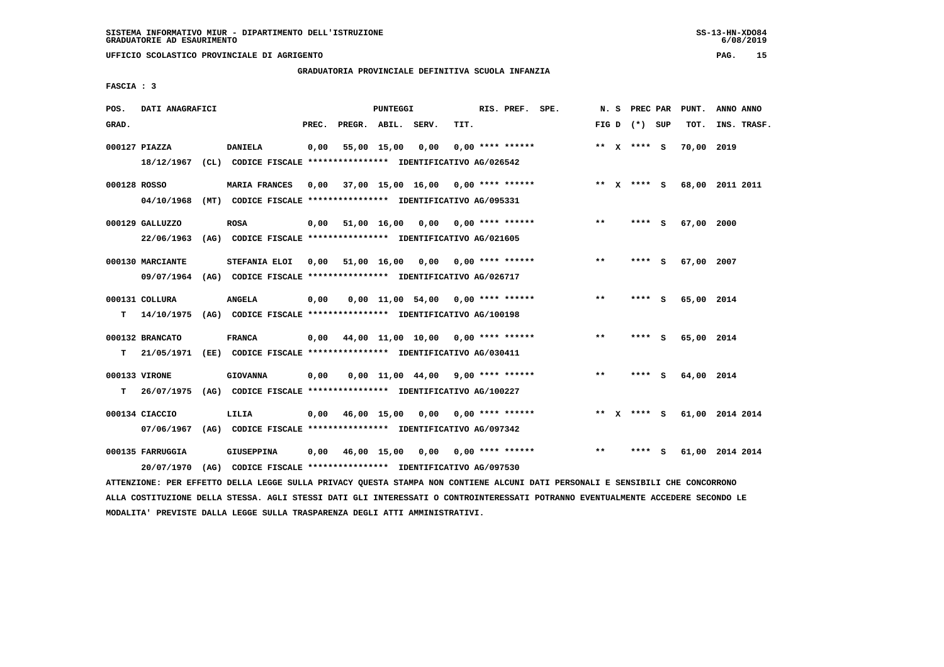**UFFICIO SCOLASTICO PROVINCIALE DI AGRIGENTO PAG. 15**

# **GRADUATORIA PROVINCIALE DEFINITIVA SCUOLA INFANZIA**

 **FASCIA : 3**

| POS.         | DATI ANAGRAFICI                |                                                                                    |       |                    | PUNTEGGI    |                                           |      | RIS. PREF. SPE.           | N. S  |              | <b>PREC PAR</b> |     | PUNT.      | ANNO ANNO       |
|--------------|--------------------------------|------------------------------------------------------------------------------------|-------|--------------------|-------------|-------------------------------------------|------|---------------------------|-------|--------------|-----------------|-----|------------|-----------------|
| GRAD.        |                                |                                                                                    | PREC. | PREGR. ABIL. SERV. |             |                                           | TIT. |                           |       |              | FIG D $(*)$ SUP |     | TOT.       | INS. TRASF.     |
|              | 000127 PIAZZA                  | <b>DANIELA</b>                                                                     | 0,00  |                    | 55,00 15,00 | 0,00                                      |      | $0.00$ **** ******        |       |              | ** X **** S     |     | 70,00 2019 |                 |
|              | 18/12/1967                     | (CL) CODICE FISCALE **************** IDENTIFICATIVO AG/026542                      |       |                    |             |                                           |      |                           |       |              |                 |     |            |                 |
| 000128 ROSSO |                                | <b>MARIA FRANCES</b>                                                               | 0,00  |                    |             | 37,00 15,00 16,00 0,00 **** ******        |      |                           |       |              | ** x **** S     |     |            | 68,00 2011 2011 |
|              | 04/10/1968                     | (MT) CODICE FISCALE **************** IDENTIFICATIVO AG/095331                      |       |                    |             |                                           |      |                           |       |              |                 |     |            |                 |
|              | 000129 GALLUZZO                | <b>ROSA</b>                                                                        | 0,00  |                    |             | $51,00$ $16,00$ $0,00$ $0,00$ **** ****** |      |                           | $* *$ |              | **** S          |     | 67,00 2000 |                 |
|              | 22/06/1963                     | (AG) CODICE FISCALE **************** IDENTIFICATIVO AG/021605                      |       |                    |             |                                           |      |                           |       |              |                 |     |            |                 |
|              | 000130 MARCIANTE               | STEFANIA ELOI                                                                      |       | 0,00 51,00 16,00   |             |                                           |      | $0,00$ $0,00$ **** ****** | **    |              | **** S          |     | 67,00 2007 |                 |
|              | 09/07/1964                     | (AG) CODICE FISCALE **************** IDENTIFICATIVO AG/026717                      |       |                    |             |                                           |      |                           |       |              |                 |     |            |                 |
|              | 000131 COLLURA                 | <b>ANGELA</b>                                                                      | 0,00  |                    |             | 0,00 11,00 54,00                          |      | $0.00$ **** ******        | **    |              | **** S          |     | 65,00 2014 |                 |
| т            | 14/10/1975                     | (AG) CODICE FISCALE **************** IDENTIFICATIVO AG/100198                      |       |                    |             |                                           |      |                           |       |              |                 |     |            |                 |
|              | 000132 BRANCATO                | <b>FRANCA</b>                                                                      | 0,00  |                    |             | 44,00 11,00 10,00 0,00 **** ******        |      |                           | $* *$ |              | $***$ S         |     | 65,00 2014 |                 |
| т            | 21/05/1971                     | (EE) CODICE FISCALE **************** IDENTIFICATIVO AG/030411                      |       |                    |             |                                           |      |                           |       |              |                 |     |            |                 |
|              | 000133 VIRONE                  | <b>GIOVANNA</b>                                                                    | 0,00  |                    |             | $0,00$ 11,00 44,00 9,00 **** ******       |      |                           | $***$ |              | **** S          |     | 64,00 2014 |                 |
| т            | 26/07/1975                     | (AG) CODICE FISCALE **************** IDENTIFICATIVO AG/100227                      |       |                    |             |                                           |      |                           |       |              |                 |     |            |                 |
|              | 000134 CIACCIO                 | LILIA                                                                              | 0,00  |                    | 46,00 15,00 | 0,00                                      |      | $0.00$ **** ******        | $***$ | $\mathbf{x}$ | **** S          |     |            | 61,00 2014 2014 |
|              | 07/06/1967                     | (AG) CODICE FISCALE **************** IDENTIFICATIVO AG/097342                      |       |                    |             |                                           |      |                           |       |              |                 |     |            |                 |
|              |                                |                                                                                    |       |                    |             |                                           |      |                           |       |              |                 |     |            |                 |
|              | 000135 FARRUGGIA<br>20/07/1970 | <b>GIUSEPPINA</b><br>(AG) CODICE FISCALE **************** IDENTIFICATIVO AG/097530 | 0.00  |                    | 46,00 15,00 | 0.00                                      |      | $0.00$ **** ******        | $**$  |              | ****            | - S |            | 61,00 2014 2014 |
|              |                                |                                                                                    |       |                    |             |                                           |      |                           |       |              |                 |     |            |                 |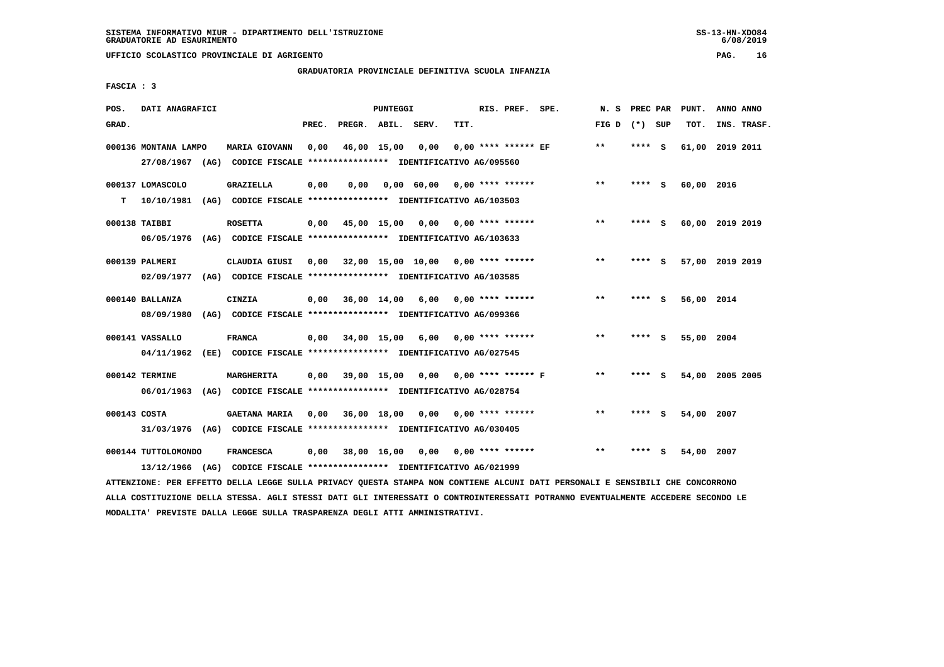**UFFICIO SCOLASTICO PROVINCIALE DI AGRIGENTO PAG. 16**

# **GRADUATORIA PROVINCIALE DEFINITIVA SCUOLA INFANZIA**

 **FASCIA : 3**

| POS.         | DATI ANAGRAFICI                   |                                                                                                 |       |                    | PUNTEGGI |                                      |      | RIS. PREF. SPE.       | N.S   | PREC PAR |     | PUNT.      | ANNO ANNO       |  |
|--------------|-----------------------------------|-------------------------------------------------------------------------------------------------|-------|--------------------|----------|--------------------------------------|------|-----------------------|-------|----------|-----|------------|-----------------|--|
| GRAD.        |                                   |                                                                                                 | PREC. | PREGR. ABIL. SERV. |          |                                      | TIT. |                       | FIG D | (*) SUP  |     | TOT.       | INS. TRASF.     |  |
|              | 000136 MONTANA LAMPO              | <b>MARIA GIOVANN</b><br>27/08/1967 (AG) CODICE FISCALE *************** IDENTIFICATIVO AG/095560 | 0,00  | 46,00 15,00        |          | 0,00                                 |      | $0.00$ **** ****** EF | $**$  | ****     | - S |            | 61,00 2019 2011 |  |
| т            | 000137 LOMASCOLO<br>10/10/1981    | <b>GRAZIELLA</b><br>(AG) CODICE FISCALE **************** IDENTIFICATIVO AG/103503               | 0,00  | 0,00               |          | 0,00 60,00                           |      | $0.00$ **** ******    | **    | **** S   |     | 60,00 2016 |                 |  |
|              | 000138 TAIBBI<br>06/05/1976       | <b>ROSETTA</b><br>(AG) CODICE FISCALE **************** IDENTIFICATIVO AG/103633                 | 0,00  | 45,00 15,00        |          | 0,00                                 |      | $0.00$ **** ******    | $* *$ | **** S   |     |            | 60,00 2019 2019 |  |
|              | 000139 PALMERI<br>02/09/1977      | CLAUDIA GIUSI<br>(AG) CODICE FISCALE **************** IDENTIFICATIVO AG/103585                  | 0,00  |                    |          | $32,00$ 15,00 10,00 0,00 **** ****** |      |                       | $***$ | ****     | S.  |            | 57,00 2019 2019 |  |
|              | 000140 BALLANZA<br>08/09/1980     | <b>CINZIA</b><br>(AG) CODICE FISCALE **************** IDENTIFICATIVO AG/099366                  | 0.00  | 36,00 14,00        |          | 6,00                                 |      | $0.00$ **** ******    | $**$  | ****     | - S | 56,00 2014 |                 |  |
|              | 000141 VASSALLO<br>04/11/1962     | <b>FRANCA</b><br>(EE) CODICE FISCALE **************** IDENTIFICATIVO AG/027545                  | 0,00  | 34,00 15,00        |          | 6,00                                 |      | $0.00$ **** ******    | $* *$ | ****     | - S | 55,00 2004 |                 |  |
|              | 000142 TERMINE<br>06/01/1963      | MARGHERITA<br>(AG) CODICE FISCALE **************** IDENTIFICATIVO AG/028754                     | 0.00  | 39,00 15,00        |          | 0,00                                 |      | $0.00$ **** ****** F  | $* *$ | ****     | - S |            | 54,00 2005 2005 |  |
| 000143 COSTA |                                   | <b>GAETANA MARIA</b><br>31/03/1976 (AG) CODICE FISCALE *************** IDENTIFICATIVO AG/030405 | 0.00  | 36,00 18,00        |          | 0,00                                 |      | $0.00$ **** ******    | $* *$ | ****     | - s | 54,00 2007 |                 |  |
|              | 000144 TUTTOLOMONDO<br>13/12/1966 | <b>FRANCESCA</b><br>(AG) CODICE FISCALE **************** IDENTIFICATIVO AG/021999               | 0,00  | 38,00 16,00        |          | 0,00                                 |      | $0.00$ **** ******    | $* *$ | ****     | s   | 54,00      | 2007            |  |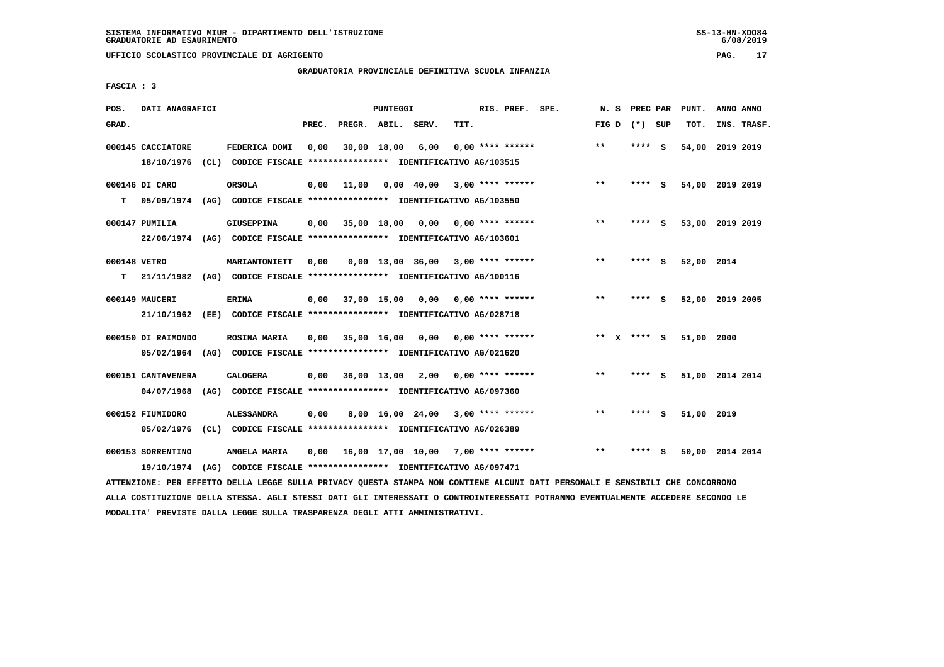**UFFICIO SCOLASTICO PROVINCIALE DI AGRIGENTO PAG. 17**

# **GRADUATORIA PROVINCIALE DEFINITIVA SCUOLA INFANZIA**

 **FASCIA : 3**

| POS.         | DATI ANAGRAFICI    |                                                                         |       |                    | PUNTEGGI    |                                     |      | RIS. PREF. SPE.           | N.S         |      | PREC PAR | PUNT.           | ANNO ANNO |             |
|--------------|--------------------|-------------------------------------------------------------------------|-------|--------------------|-------------|-------------------------------------|------|---------------------------|-------------|------|----------|-----------------|-----------|-------------|
| GRAD.        |                    |                                                                         | PREC. | PREGR. ABIL. SERV. |             |                                     | TIT. |                           | FIG D       |      | (*) SUP  | TOT.            |           | INS. TRASF. |
|              | 000145 CACCIATORE  | FEDERICA DOMI                                                           | 0.00  |                    | 30,00 18,00 | 6,00                                |      | $0.00$ **** ******        | $* *$       | **** | - S      | 54,00           | 2019 2019 |             |
|              | 18/10/1976         | (CL) CODICE FISCALE *************** IDENTIFICATIVO AG/103515            |       |                    |             |                                     |      |                           |             |      |          |                 |           |             |
|              | 000146 DI CARO     | <b>ORSOLA</b>                                                           | 0,00  | 11,00              |             | $0,00$ 40,00                        |      | 3,00 **** ******          | $***$       | **** | - 5      | 54,00 2019 2019 |           |             |
| т            | 05/09/1974         | (AG) CODICE FISCALE **************** IDENTIFICATIVO AG/103550           |       |                    |             |                                     |      |                           |             |      |          |                 |           |             |
|              | 000147 PUMILIA     | <b>GIUSEPPINA</b>                                                       | 0,00  |                    | 35,00 18,00 |                                     |      | $0,00$ $0,00$ **** ****** | $***$       | **** | - S      | 53,00 2019 2019 |           |             |
|              |                    | 22/06/1974 (AG) CODICE FISCALE *************** IDENTIFICATIVO AG/103601 |       |                    |             |                                     |      |                           |             |      |          |                 |           |             |
| 000148 VETRO |                    | <b>MARIANTONIETT</b>                                                    | 0.00  |                    |             | $0.00$ 13.00 36.00 3.00 **** ****** |      |                           | $* *$       | **** | - S      | 52,00 2014      |           |             |
| т            |                    | 21/11/1982 (AG) CODICE FISCALE *************** IDENTIFICATIVO AG/100116 |       |                    |             |                                     |      |                           |             |      |          |                 |           |             |
|              | 000149 MAUCERI     | <b>ERINA</b>                                                            | 0,00  | 37,00 15,00        |             | 0,00                                |      | $0.00$ **** ******        | $***$       | **** | - S      | 52,00 2019 2005 |           |             |
|              | 21/10/1962         | (EE) CODICE FISCALE **************** IDENTIFICATIVO AG/028718           |       |                    |             |                                     |      |                           |             |      |          |                 |           |             |
|              | 000150 DI RAIMONDO | <b>ROSINA MARIA</b>                                                     | 0,00  |                    | 35,00 16,00 | 0,00                                |      | $0.00$ **** ******        | ** x **** S |      |          | 51,00 2000      |           |             |
|              |                    | 05/02/1964 (AG) CODICE FISCALE *************** IDENTIFICATIVO AG/021620 |       |                    |             |                                     |      |                           |             |      |          |                 |           |             |
|              | 000151 CANTAVENERA | <b>CALOGERA</b>                                                         | 0,00  | 36,00 13,00 2,00   |             |                                     |      | 0,00 **** ******          | $***$       | **** | - S      | 51,00 2014 2014 |           |             |
|              | 04/07/1968         | (AG) CODICE FISCALE **************** IDENTIFICATIVO AG/097360           |       |                    |             |                                     |      |                           |             |      |          |                 |           |             |
|              | 000152 FIUMIDORO   | <b>ALESSANDRA</b>                                                       | 0,00  |                    |             | 8,00 16,00 24,00 3,00 **** ******   |      |                           | $* *$       | **** | s        | 51,00 2019      |           |             |
|              | 05/02/1976         | (CL) CODICE FISCALE **************** IDENTIFICATIVO AG/026389           |       |                    |             |                                     |      |                           |             |      |          |                 |           |             |
|              | 000153 SORRENTINO  | ANGELA MARIA                                                            | 0.00  |                    |             | 16,00 17,00 10,00 7,00 **** ******  |      |                           | $* *$       | **** | s        | 50,00 2014 2014 |           |             |
|              |                    | 19/10/1974 (AG) CODICE FISCALE *************** IDENTIFICATIVO AG/097471 |       |                    |             |                                     |      |                           |             |      |          |                 |           |             |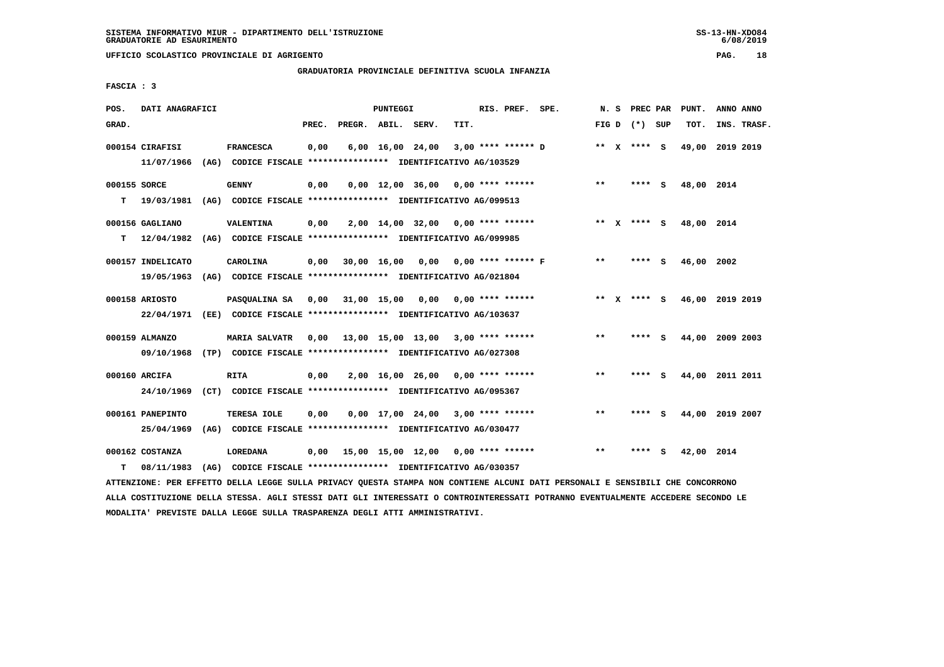**UFFICIO SCOLASTICO PROVINCIALE DI AGRIGENTO PAG. 18**

# **GRADUATORIA PROVINCIALE DEFINITIVA SCUOLA INFANZIA**

 **FASCIA : 3**

| POS.         | DATI ANAGRAFICI   |                                                               |       |                    | PUNTEGGI    |                                                  |      | RIS. PREF. SPE. |                           |       | N. S PREC PAR   |     | PUNT.           | ANNO ANNO |             |
|--------------|-------------------|---------------------------------------------------------------|-------|--------------------|-------------|--------------------------------------------------|------|-----------------|---------------------------|-------|-----------------|-----|-----------------|-----------|-------------|
| GRAD.        |                   |                                                               | PREC. | PREGR. ABIL. SERV. |             |                                                  | TIT. |                 |                           |       | FIG D $(*)$ SUP |     | TOT.            |           | INS. TRASF. |
|              | 000154 CIRAFISI   | <b>FRANCESCA</b>                                              | 0,00  |                    |             | $6,00 \quad 16,00 \quad 24,00$                   |      |                 | $3,00$ **** ****** D      |       | ** $X$ **** S   |     | 49,00           | 2019 2019 |             |
|              | 11/07/1966        | (AG) CODICE FISCALE **************** IDENTIFICATIVO AG/103529 |       |                    |             |                                                  |      |                 |                           |       |                 |     |                 |           |             |
| 000155 SORCE |                   | <b>GENNY</b>                                                  | 0,00  |                    |             | $0,00$ 12,00 36,00 0,00 **** ******              |      |                 |                           | $***$ | **** S          |     | 48,00 2014      |           |             |
| т            | 19/03/1981        | (AG) CODICE FISCALE **************** IDENTIFICATIVO AG/099513 |       |                    |             |                                                  |      |                 |                           |       |                 |     |                 |           |             |
|              | 000156 GAGLIANO   | VALENTINA                                                     | 0,00  |                    |             | $2,00$ 14,00 32,00 0,00 **** ******              |      |                 |                           |       | ** X **** S     |     | 48,00 2014      |           |             |
| т            | 12/04/1982        | (AG) CODICE FISCALE **************** IDENTIFICATIVO AG/099985 |       |                    |             |                                                  |      |                 |                           |       |                 |     |                 |           |             |
|              | 000157 INDELICATO | CAROLINA                                                      | 0,00  |                    | 30,00 16,00 |                                                  |      |                 | $0,00$ 0,00 **** ****** F | $***$ | **** S          |     | 46,00 2002      |           |             |
|              | 19/05/1963        | (AG) CODICE FISCALE **************** IDENTIFICATIVO AG/021804 |       |                    |             |                                                  |      |                 |                           |       |                 |     |                 |           |             |
|              | 000158 ARIOSTO    | PASOUALINA SA 0,00 31,00 15,00                                |       |                    |             |                                                  |      |                 |                           |       | ** x **** s     |     | 46,00 2019 2019 |           |             |
|              | 22/04/1971        | (EE) CODICE FISCALE **************** IDENTIFICATIVO AG/103637 |       |                    |             |                                                  |      |                 |                           |       |                 |     |                 |           |             |
|              | 000159 ALMANZO    | <b>MARIA SALVATR</b>                                          |       |                    |             | $0,00$ 13,00 15,00 13,00 3,00 **** ******        |      |                 |                           | $***$ | **** S          |     | 44,00           | 2009 2003 |             |
|              | 09/10/1968        | (TP) CODICE FISCALE **************** IDENTIFICATIVO AG/027308 |       |                    |             |                                                  |      |                 |                           |       |                 |     |                 |           |             |
|              | 000160 ARCIFA     | <b>RITA</b>                                                   | 0,00  |                    |             | $2,00$ 16,00 26,00 0,00 **** ******              |      |                 |                           | $***$ | **** S          |     | 44,00 2011 2011 |           |             |
|              | 24/10/1969        | (CT) CODICE FISCALE **************** IDENTIFICATIVO AG/095367 |       |                    |             |                                                  |      |                 |                           |       |                 |     |                 |           |             |
|              | 000161 PANEPINTO  | TERESA IOLE                                                   | 0,00  |                    |             | $0,00$ 17,00 24,00 3,00 **** ******              |      |                 |                           | $**$  | **** S          |     | 44,00 2019 2007 |           |             |
|              | 25/04/1969        | (AG) CODICE FISCALE **************** IDENTIFICATIVO AG/030477 |       |                    |             |                                                  |      |                 |                           |       |                 |     |                 |           |             |
|              | 000162 COSTANZA   | <b>LOREDANA</b>                                               | 0,00  |                    |             | $15,00$ $15,00$ $12,00$ $0,00$ $***$ **** ****** |      |                 |                           | $**$  |                 | - S | 42,00 2014      |           |             |
| т            | 08/11/1983        | (AG) CODICE FISCALE **************** IDENTIFICATIVO AG/030357 |       |                    |             |                                                  |      |                 |                           |       |                 |     |                 |           |             |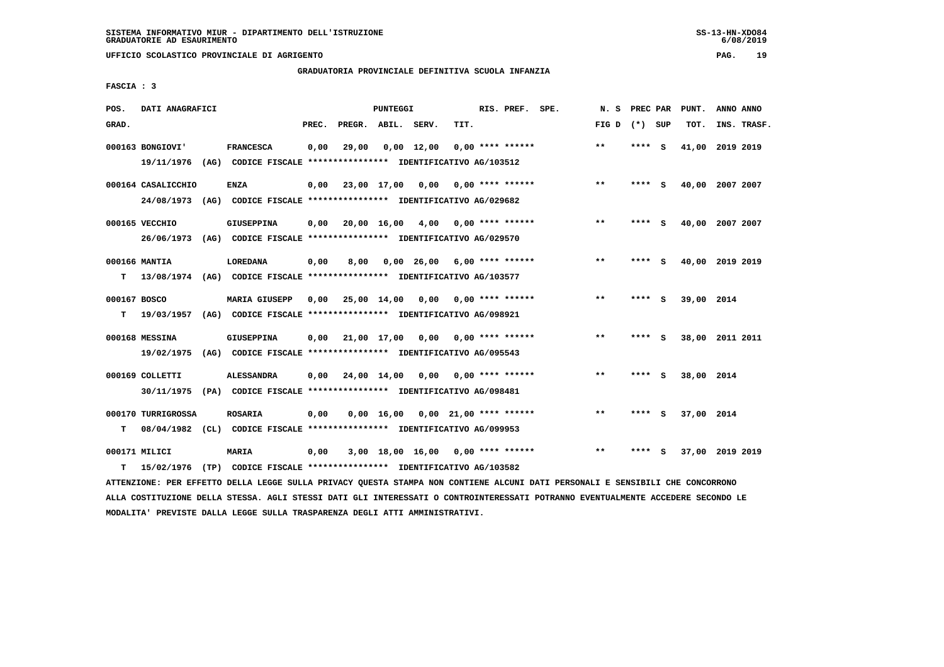**UFFICIO SCOLASTICO PROVINCIALE DI AGRIGENTO PAG. 19**

# **GRADUATORIA PROVINCIALE DEFINITIVA SCUOLA INFANZIA**

 **FASCIA : 3**

| POS.         | DATI ANAGRAFICI    |                                                                          |       |                    | PUNTEGGI   |                                     |      | RIS. PREF. SPE.           | N. S            |         |          | PREC PAR PUNT.  | ANNO ANNO |             |
|--------------|--------------------|--------------------------------------------------------------------------|-------|--------------------|------------|-------------------------------------|------|---------------------------|-----------------|---------|----------|-----------------|-----------|-------------|
| GRAD.        |                    |                                                                          | PREC. | PREGR. ABIL. SERV. |            |                                     | TIT. |                           | FIG D $(*)$ SUP |         |          | TOT.            |           | INS. TRASF. |
|              | 000163 BONGIOVI'   | <b>FRANCESCA</b>                                                         | 0,00  | 29,00              |            | $0,00$ 12,00                        |      | $0.00$ **** ******        | $***$           | **** S  |          | 41,00 2019 2019 |           |             |
|              | 19/11/1976         | (AG) CODICE FISCALE **************** IDENTIFICATIVO AG/103512            |       |                    |            |                                     |      |                           |                 |         |          |                 |           |             |
|              | 000164 CASALICCHIO | <b>ENZA</b>                                                              | 0.00  | 23,00 17,00 0,00   |            |                                     |      | $0.00$ **** ******        | $***$           | **** S  |          | 40,00 2007 2007 |           |             |
|              | 24/08/1973         | (AG) CODICE FISCALE **************** IDENTIFICATIVO AG/029682            |       |                    |            |                                     |      |                           |                 |         |          |                 |           |             |
|              | 000165 VECCHIO     | <b>GIUSEPPINA</b>                                                        | 0,00  |                    |            | $20,00$ 16,00 4,00 0,00 **** ****** |      |                           | $***$           | **** S  |          | 40,00 2007 2007 |           |             |
|              |                    | 26/06/1973 (AG) CODICE FISCALE *************** IDENTIFICATIVO AG/029570  |       |                    |            |                                     |      |                           |                 |         |          |                 |           |             |
|              | 000166 MANTIA      | LOREDANA                                                                 | 0,00  | 8,00               |            | $0,00$ 26,00 6,00 **** ******       |      |                           | $***$           | ****    | <b>S</b> | 40,00 2019 2019 |           |             |
| т            |                    | 13/08/1974 (AG) CODICE FISCALE **************** IDENTIFICATIVO AG/103577 |       |                    |            |                                     |      |                           |                 |         |          |                 |           |             |
|              |                    |                                                                          |       |                    |            |                                     |      |                           |                 |         |          |                 |           |             |
| 000167 BOSCO |                    | <b>MARIA GIUSEPP</b>                                                     | 0,00  | 25,00 14,00        |            | 0,00                                |      | $0.00$ **** ******        | $**$            | **** S  |          | 39,00 2014      |           |             |
| т            | 19/03/1957         | (AG) CODICE FISCALE **************** IDENTIFICATIVO AG/098921            |       |                    |            |                                     |      |                           |                 |         |          |                 |           |             |
|              | 000168 MESSINA     | <b>GIUSEPPINA</b>                                                        | 0,00  | 21,00 17,00 0,00   |            |                                     |      | $0.00$ **** ******        | $***$           | **** S  |          | 38,00 2011 2011 |           |             |
|              |                    | 19/02/1975 (AG) CODICE FISCALE *************** IDENTIFICATIVO AG/095543  |       |                    |            |                                     |      |                           |                 |         |          |                 |           |             |
|              | 000169 COLLETTI    | <b>ALESSANDRA</b>                                                        | 0,00  | 24,00 14,00        |            |                                     |      | $0,00$ $0,00$ **** ****** | $***$           | $***$ S |          | 38,00 2014      |           |             |
|              |                    | 30/11/1975 (PA) CODICE FISCALE *************** IDENTIFICATIVO AG/098481  |       |                    |            |                                     |      |                           |                 |         |          |                 |           |             |
|              | 000170 TURRIGROSSA | <b>ROSARIA</b>                                                           |       |                    | 0,00 16,00 |                                     |      | $0,00$ 21,00 **** ******  | $**$            | **** S  |          | 37,00 2014      |           |             |
| т            |                    | 08/04/1982 (CL) CODICE FISCALE **************** IDENTIFICATIVO AG/099953 | 0,00  |                    |            |                                     |      |                           |                 |         |          |                 |           |             |
|              |                    |                                                                          |       |                    |            |                                     |      |                           |                 |         |          |                 |           |             |
|              | 000171 MILICI      | <b>MARIA</b>                                                             | 0,00  |                    |            | 3,00 18,00 16,00 0,00 **** ******   |      |                           | **              | ****    | - S      | 37,00 2019 2019 |           |             |
| т            | 15/02/1976         | (TP) CODICE FISCALE *************** IDENTIFICATIVO AG/103582             |       |                    |            |                                     |      |                           |                 |         |          |                 |           |             |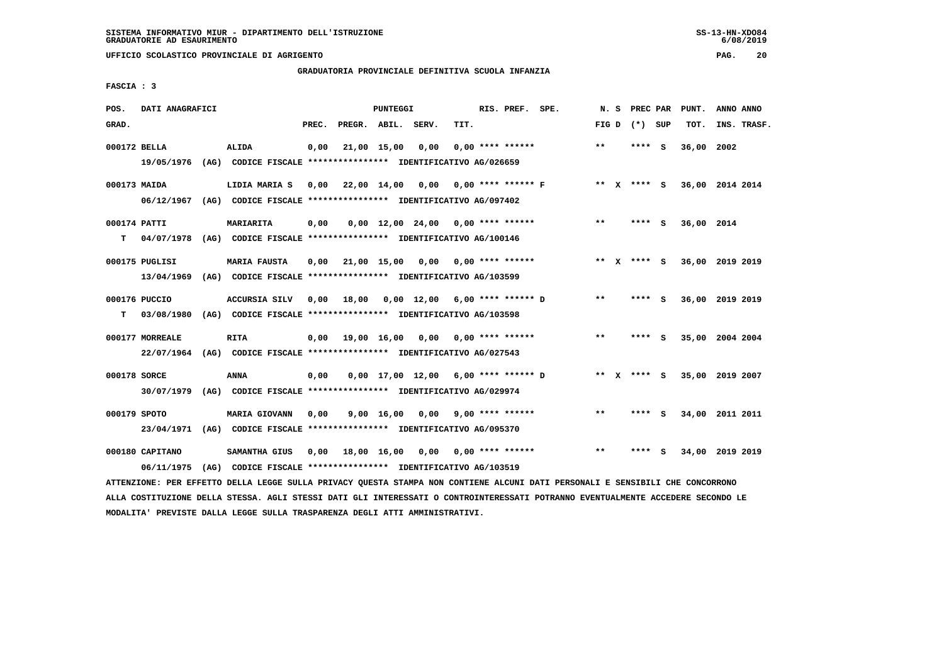**UFFICIO SCOLASTICO PROVINCIALE DI AGRIGENTO PAG. 20**

# **GRADUATORIA PROVINCIALE DEFINITIVA SCUOLA INFANZIA**

 **FASCIA : 3**

| POS.         | DATI ANAGRAFICI |                                                                                                                               |       |                                             | PUNTEGGI |                                     |      | RIS. PREF. SPE.    |                                     | N. S  | PREC PAR        | PUNT.           | ANNO ANNO |             |
|--------------|-----------------|-------------------------------------------------------------------------------------------------------------------------------|-------|---------------------------------------------|----------|-------------------------------------|------|--------------------|-------------------------------------|-------|-----------------|-----------------|-----------|-------------|
| GRAD.        |                 |                                                                                                                               | PREC. | PREGR. ABIL. SERV.                          |          |                                     | TIT. |                    |                                     |       | FIG D $(*)$ SUP | TOT.            |           | INS. TRASF. |
| 000172 BELLA |                 | <b>ALIDA</b>                                                                                                                  | 0,00  |                                             |          | 21,00 15,00 0,00                    |      | $0,00$ **** ****** |                                     | **    | $***$ S         | 36,00 2002      |           |             |
|              |                 | 19/05/1976 (AG) CODICE FISCALE *************** IDENTIFICATIVO AG/026659                                                       |       |                                             |          |                                     |      |                    |                                     |       |                 |                 |           |             |
| 000173 MAIDA |                 | LIDIA MARIA S                                                                                                                 |       | $0,00$ 22,00 14,00 0,00 0,00 **** ****** F  |          |                                     |      |                    |                                     |       | ** x **** s     | 36,00 2014 2014 |           |             |
|              |                 | 06/12/1967 (AG) CODICE FISCALE *************** IDENTIFICATIVO AG/097402                                                       |       |                                             |          |                                     |      |                    |                                     |       |                 |                 |           |             |
| 000174 PATTI |                 | MARIARITA                                                                                                                     | 0,00  |                                             |          | $0.00$ 12.00 24.00 0.00 **** ****** |      |                    |                                     | $***$ | $***$ S         | 36,00 2014      |           |             |
| т            |                 | 04/07/1978 (AG) CODICE FISCALE **************** IDENTIFICATIVO AG/100146                                                      |       |                                             |          |                                     |      |                    |                                     |       |                 |                 |           |             |
|              | 000175 PUGLISI  | <b>MARIA FAUSTA</b>                                                                                                           |       | $0,00$ $21,00$ $15,00$ $0,00$               |          |                                     |      | $0.00$ **** ****** |                                     |       | ** $X$ **** S   | 36,00 2019 2019 |           |             |
|              | 13/04/1969      | (AG) CODICE FISCALE **************** IDENTIFICATIVO AG/103599                                                                 |       |                                             |          |                                     |      |                    |                                     |       |                 |                 |           |             |
|              | 000176 PUCCIO   | ACCURSIA SILV 0,00                                                                                                            |       | 18,00  0,00  12,00  6,00  ****  ******    D |          |                                     |      |                    |                                     | $***$ | **** S          | 36,00 2019 2019 |           |             |
| т            |                 | 03/08/1980 (AG) CODICE FISCALE **************** IDENTIFICATIVO AG/103598                                                      |       |                                             |          |                                     |      |                    |                                     |       |                 |                 |           |             |
|              | 000177 MORREALE | <b>RITA</b>                                                                                                                   |       | 0,00 19,00 16,00 0,00                       |          |                                     |      | $0.00$ **** ****** |                                     | $***$ | $***$ S         | 35,00 2004 2004 |           |             |
|              |                 | 22/07/1964 (AG) CODICE FISCALE *************** IDENTIFICATIVO AG/027543                                                       |       |                                             |          |                                     |      |                    |                                     |       |                 |                 |           |             |
| 000178 SORCE |                 | ANNA                                                                                                                          | 0,00  |                                             |          |                                     |      |                    | 0,00 17,00 12,00 6,00 **** ****** D |       | ** X **** S     | 35,00 2019 2007 |           |             |
|              |                 | 30/07/1979 (AG) CODICE FISCALE *************** IDENTIFICATIVO AG/029974                                                       |       |                                             |          |                                     |      |                    |                                     |       |                 |                 |           |             |
| 000179 SPOTO |                 | MARIA GIOVANN                                                                                                                 | 0,00  |                                             |          | $9,00$ 16,00 0,00 9,00 **** ******  |      |                    |                                     | $***$ | **** S          | 34,00 2011 2011 |           |             |
|              |                 | 23/04/1971 (AG) CODICE FISCALE *************** IDENTIFICATIVO AG/095370                                                       |       |                                             |          |                                     |      |                    |                                     |       |                 |                 |           |             |
|              | 000180 CAPITANO | <b>SAMANTHA GIUS</b>                                                                                                          |       | 0,00 18,00 16,00 0,00 0,00 **** ******      |          |                                     |      |                    |                                     | $***$ | **** S          | 34,00 2019 2019 |           |             |
|              | 06/11/1975      | (AG) CODICE FISCALE **************** IDENTIFICATIVO AG/103519                                                                 |       |                                             |          |                                     |      |                    |                                     |       |                 |                 |           |             |
|              |                 | ATTENZIONE: PER EFFETTO DELLA LEGGE SULLA PRIVACY QUESTA STAMPA NON CONTIENE ALCUNI DATI PERSONALI E SENSIBILI CHE CONCORRONO |       |                                             |          |                                     |      |                    |                                     |       |                 |                 |           |             |

 **ALLA COSTITUZIONE DELLA STESSA. AGLI STESSI DATI GLI INTERESSATI O CONTROINTERESSATI POTRANNO EVENTUALMENTE ACCEDERE SECONDO LE MODALITA' PREVISTE DALLA LEGGE SULLA TRASPARENZA DEGLI ATTI AMMINISTRATIVI.**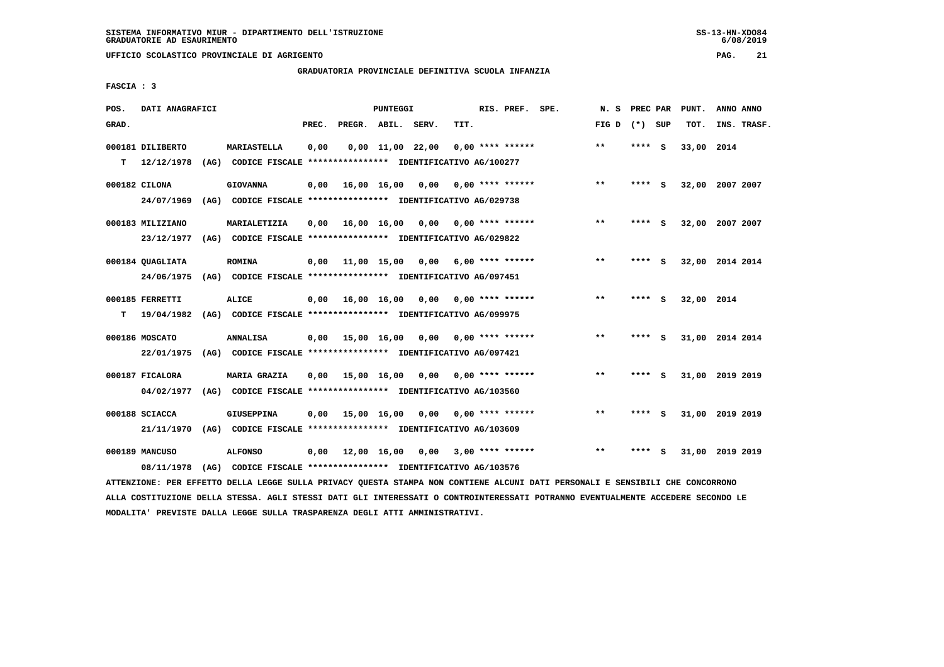# **GRADUATORIA PROVINCIALE DEFINITIVA SCUOLA INFANZIA**

 **FASCIA : 3**

| POS.  | DATI ANAGRAFICI  |      |                                                               |       |                               | PUNTEGGI                       |      |      | RIS. PREF. SPE.           | N.S          | PREC PAR |          | PUNT.      | ANNO ANNO       |
|-------|------------------|------|---------------------------------------------------------------|-------|-------------------------------|--------------------------------|------|------|---------------------------|--------------|----------|----------|------------|-----------------|
| GRAD. |                  |      |                                                               | PREC. | PREGR. ABIL. SERV.            |                                |      | TIT. |                           | FIG D $(*)$  |          | SUP      | TOT.       | INS. TRASF.     |
|       | 000181 DILIBERTO |      | <b>MARIASTELLA</b>                                            | 0,00  |                               | $0,00 \quad 11,00 \quad 22,00$ |      |      | $0.00$ **** ******        | $* *$        | ****     | - S      | 33,00 2014 |                 |
| т     | 12/12/1978       | (AG) | CODICE FISCALE **************** IDENTIFICATIVO AG/100277      |       |                               |                                |      |      |                           |              |          |          |            |                 |
|       | 000182 CILONA    |      | <b>GIOVANNA</b>                                               | 0.00  |                               | 16,00 16,00                    | 0.00 |      | 0.00 **** ******          | $***$        | **** S   |          |            | 32,00 2007 2007 |
|       | 24/07/1969       |      | (AG) CODICE FISCALE **************** IDENTIFICATIVO AG/029738 |       |                               |                                |      |      |                           |              |          |          |            |                 |
|       | 000183 MILIZIANO |      | MARIALETIZIA                                                  | 0,00  | 16,00 16,00                   |                                | 0,00 |      | $0.00$ **** ******        | $***$        | ****     | - S      |            | 32,00 2007 2007 |
|       | 23/12/1977       |      | (AG) CODICE FISCALE **************** IDENTIFICATIVO AG/029822 |       |                               |                                |      |      |                           |              |          |          |            |                 |
|       | 000184 QUAGLIATA |      | <b>ROMINA</b>                                                 | 0,00  | 11,00 15,00                   |                                | 0,00 |      | 6,00 **** ******          | $***$        | **** S   |          |            | 32,00 2014 2014 |
|       | 24/06/1975       |      | (AG) CODICE FISCALE **************** IDENTIFICATIVO AG/097451 |       |                               |                                |      |      |                           |              |          |          |            |                 |
|       | 000185 FERRETTI  |      | <b>ALICE</b>                                                  |       | $0,00$ $16,00$ $16,00$ $0,00$ |                                |      |      | $0.00$ **** ******        | $\star\star$ | ****     | <b>S</b> | 32,00 2014 |                 |
| т     | 19/04/1982       |      | (AG) CODICE FISCALE **************** IDENTIFICATIVO AG/099975 |       |                               |                                |      |      |                           |              |          |          |            |                 |
|       | 000186 MOSCATO   |      | <b>ANNALISA</b>                                               | 0,00  | 15,00 16,00                   |                                | 0,00 |      | 0,00 **** ******          | $***$        | **** S   |          |            | 31,00 2014 2014 |
|       | 22/01/1975       |      | (AG) CODICE FISCALE **************** IDENTIFICATIVO AG/097421 |       |                               |                                |      |      |                           |              |          |          |            |                 |
|       | 000187 FICALORA  |      | <b>MARIA GRAZIA</b>                                           | 0.00  |                               | 15,00 16,00                    |      |      | $0.00$ $0.00$ **** ****** | $* *$        | ****     | - S      |            | 31,00 2019 2019 |
|       | 04/02/1977       |      | (AG) CODICE FISCALE **************** IDENTIFICATIVO AG/103560 |       |                               |                                |      |      |                           |              |          |          |            |                 |
|       | 000188 SCIACCA   |      | <b>GIUSEPPINA</b>                                             | 0.00  | 15,00 16,00                   |                                |      |      | $0.00$ $0.00$ **** ****** | $* *$        |          | s        |            | 31,00 2019 2019 |
|       | 21/11/1970       |      | (AG) CODICE FISCALE **************** IDENTIFICATIVO AG/103609 |       |                               |                                |      |      |                           |              |          |          |            |                 |
|       | 000189 MANCUSO   |      | <b>ALFONSO</b>                                                |       | $0,00$ $12,00$ $16,00$        |                                | 0,00 |      | $3,00$ **** ******        | $***$        | ****     | s        |            | 31,00 2019 2019 |
|       | 08/11/1978       |      | (AG) CODICE FISCALE **************** IDENTIFICATIVO AG/103576 |       |                               |                                |      |      |                           |              |          |          |            |                 |

 **ATTENZIONE: PER EFFETTO DELLA LEGGE SULLA PRIVACY QUESTA STAMPA NON CONTIENE ALCUNI DATI PERSONALI E SENSIBILI CHE CONCORRONO ALLA COSTITUZIONE DELLA STESSA. AGLI STESSI DATI GLI INTERESSATI O CONTROINTERESSATI POTRANNO EVENTUALMENTE ACCEDERE SECONDO LE MODALITA' PREVISTE DALLA LEGGE SULLA TRASPARENZA DEGLI ATTI AMMINISTRATIVI.**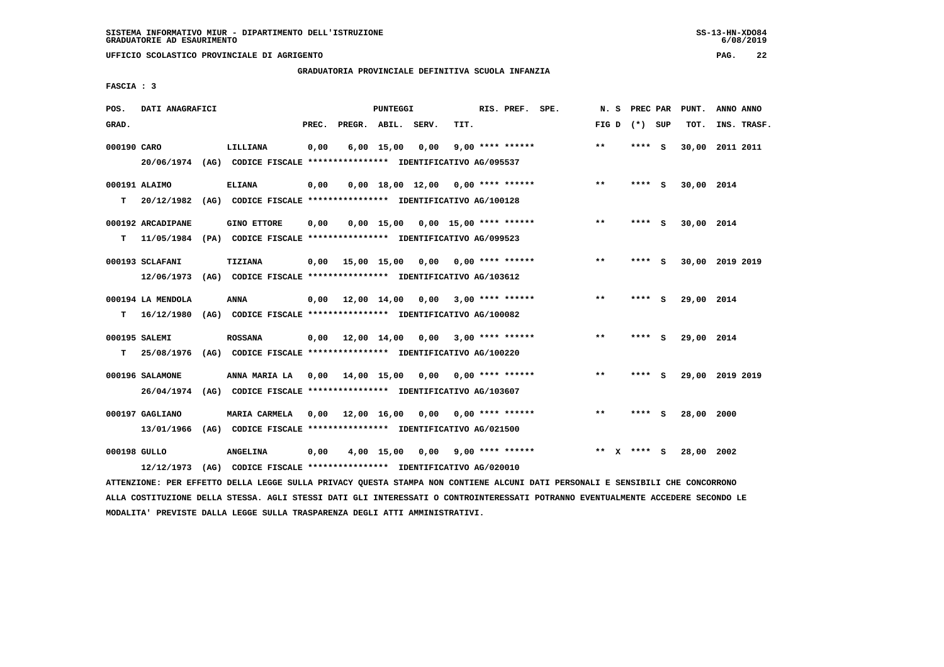**UFFICIO SCOLASTICO PROVINCIALE DI AGRIGENTO PAG. 22**

# **GRADUATORIA PROVINCIALE DEFINITIVA SCUOLA INFANZIA**

 **FASCIA : 3**

| POS.         | DATI ANAGRAFICI               |      |                                                                                               |       |                                          | <b>PUNTEGGI</b> |                                     |      | RIS. PREF. SPE.         | N.S   |              | PREC PAR |          | PUNT.      | ANNO ANNO       |
|--------------|-------------------------------|------|-----------------------------------------------------------------------------------------------|-------|------------------------------------------|-----------------|-------------------------------------|------|-------------------------|-------|--------------|----------|----------|------------|-----------------|
| GRAD.        |                               |      |                                                                                               | PREC. | PREGR. ABIL. SERV.                       |                 |                                     | TIT. |                         | FIG D |              | (*) SUP  |          | TOT.       | INS. TRASF.     |
| 000190 CARO  |                               |      | LILLIANA<br>20/06/1974 (AG) CODICE FISCALE *************** IDENTIFICATIVO AG/095537           | 0,00  |                                          | $6,00$ 15,00    | 0.00                                |      | $9,00$ **** ******      | $***$ |              | **** S   |          |            | 30,00 2011 2011 |
| т            | 000191 ALAIMO                 |      | <b>ELIANA</b><br>20/12/1982 (AG) CODICE FISCALE *************** IDENTIFICATIVO AG/100128      | 0,00  |                                          |                 | $0,00$ 18,00 12,00 0,00 **** ****** |      |                         | **    |              | **** S   |          | 30,00 2014 |                 |
| т            | 000192 ARCADIPANE             |      | <b>GINO ETTORE</b><br>11/05/1984 (PA) CODICE FISCALE *************** IDENTIFICATIVO AG/099523 | 0,00  |                                          |                 | $0.00$ 15.00 0.00 15.00 **** ****** |      |                         | $***$ |              | **** S   |          | 30,00 2014 |                 |
|              | 000193 SCLAFANI               |      | <b>TIZIANA</b><br>12/06/1973 (AG) CODICE FISCALE *************** IDENTIFICATIVO AG/103612     | 0.00  | 15,00 15,00 0,00 0,00 **** ******        |                 |                                     |      |                         | $***$ |              | ****     | - S      |            | 30,00 2019 2019 |
| т            | 000194 LA MENDOLA             |      | <b>ANNA</b><br>16/12/1980 (AG) CODICE FISCALE **************** IDENTIFICATIVO AG/100082       | 0,00  | 12,00 14,00                              |                 | 0.00                                |      | $3,00$ **** ******      | $* *$ |              | ****     | - 5      | 29,00 2014 |                 |
| т            | 000195 SALEMI<br>25/08/1976   |      | <b>ROSSANA</b><br>(AG) CODICE FISCALE **************** IDENTIFICATIVO AG/100220               |       | $0,00$ 12,00 14,00 0,00 3,00 **** ****** |                 |                                     |      |                         | **    |              | **** S   |          | 29,00 2014 |                 |
|              | 000196 SALAMONE<br>26/04/1974 |      | ANNA MARIA LA<br>(AG) CODICE FISCALE **************** IDENTIFICATIVO AG/103607                |       | 0,00 14,00 15,00                         |                 | 0,00                                |      | $0.00$ **** ******      | $* *$ |              | ****     | - S      |            | 29,00 2019 2019 |
|              | 000197 GAGLIANO<br>13/01/1966 | (AG) | MARIA CARMELA<br>CODICE FISCALE **************** IDENTIFICATIVO AG/021500                     | 0.00  | 12,00 16,00 0,00                         |                 |                                     |      | $0.00$ **** ******      | $***$ |              | ****     | <b>S</b> | 28,00 2000 |                 |
| 000198 GULLO | 12/12/1973                    |      | <b>ANGELINA</b><br>(AG) CODICE FISCALE **************** IDENTIFICATIVO AG/020010              | 0,00  |                                          | 4,00 15,00      |                                     |      | $0,00$ 9,00 **** ****** | **    | $\mathbf{x}$ | **** S   |          | 28,00 2002 |                 |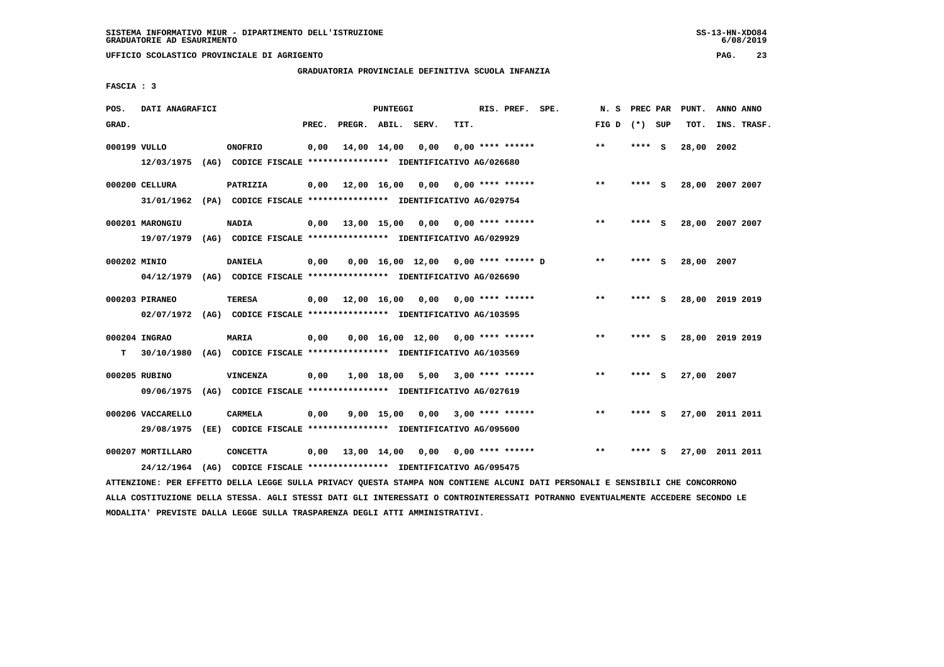**UFFICIO SCOLASTICO PROVINCIALE DI AGRIGENTO PAG. 23**

# **GRADUATORIA PROVINCIALE DEFINITIVA SCUOLA INFANZIA**

 **FASCIA : 3**

| POS.  | DATI ANAGRAFICI   |                                                                         |       |                                                 | <b>PUNTEGGI</b> |                                                 |      | RIS. PREF. SPE.    | N.S             | PREC PAR |     | PUNT.      | ANNO ANNO       |  |
|-------|-------------------|-------------------------------------------------------------------------|-------|-------------------------------------------------|-----------------|-------------------------------------------------|------|--------------------|-----------------|----------|-----|------------|-----------------|--|
| GRAD. |                   |                                                                         | PREC. | PREGR. ABIL. SERV.                              |                 |                                                 | TIT. |                    | FIG D $(*)$ SUP |          |     | TOT.       | INS. TRASF.     |  |
|       | 000199 VULLO      | <b>ONOFRIO</b>                                                          | 0,00  |                                                 | 14,00 14,00     | 0,00                                            |      | $0.00$ **** ****** | **              | $***$ S  |     | 28,00      | 2002            |  |
|       | 12/03/1975        | (AG) CODICE FISCALE **************** IDENTIFICATIVO AG/026680           |       |                                                 |                 |                                                 |      |                    |                 |          |     |            |                 |  |
|       | 000200 CELLURA    | PATRIZIA                                                                | 0,00  | 12,00 16,00 0,00                                |                 |                                                 |      | $0.00$ **** ****** | $***$           | ****     | - S |            | 28,00 2007 2007 |  |
|       | 31/01/1962        | (PA) CODICE FISCALE **************** IDENTIFICATIVO AG/029754           |       |                                                 |                 |                                                 |      |                    |                 |          |     |            |                 |  |
|       | 000201 MARONGIU   | <b>NADIA</b>                                                            | 0,00  |                                                 |                 | $13,00$ $15,00$ $0,00$ $0,00$ $***$ **** ****** |      |                    | $***$           | ****     | - S |            | 28,00 2007 2007 |  |
|       | 19/07/1979        | (AG) CODICE FISCALE **************** IDENTIFICATIVO AG/029929           |       |                                                 |                 |                                                 |      |                    |                 |          |     |            |                 |  |
|       | 000202 MINIO      | <b>DANIELA</b>                                                          | 0,00  |                                                 |                 | $0,00$ 16,00 12,00 0,00 **** ****** D           |      |                    | $* *$           | **** S   |     | 28,00 2007 |                 |  |
|       | 04/12/1979        | (AG) CODICE FISCALE **************** IDENTIFICATIVO AG/026690           |       |                                                 |                 |                                                 |      |                    |                 |          |     |            |                 |  |
|       | 000203 PIRANEO    | <b>TERESA</b>                                                           | 0,00  | 12,00 16,00 0,00                                |                 |                                                 |      | $0.00$ **** ****** | **              | **** S   |     |            | 28,00 2019 2019 |  |
|       |                   | 02/07/1972 (AG) CODICE FISCALE *************** IDENTIFICATIVO AG/103595 |       |                                                 |                 |                                                 |      |                    |                 |          |     |            |                 |  |
|       | 000204 INGRAO     | <b>MARIA</b>                                                            |       |                                                 |                 | $0.00$ 16.00 12.00 0.00 **** ******             |      |                    | $**$            | **** S   |     |            | 28,00 2019 2019 |  |
| т     | 30/10/1980        | (AG) CODICE FISCALE *************** IDENTIFICATIVO AG/103569            | 0,00  |                                                 |                 |                                                 |      |                    |                 |          |     |            |                 |  |
|       |                   |                                                                         |       |                                                 |                 |                                                 |      |                    |                 |          |     |            |                 |  |
|       | 000205 RUBINO     | <b>VINCENZA</b>                                                         | 0,00  |                                                 | 1,00 18,00      | 5,00                                            |      | $3,00$ **** ****** | $**$            |          | s   | 27,00 2007 |                 |  |
|       | 09/06/1975        | (AG) CODICE FISCALE **************** IDENTIFICATIVO AG/027619           |       |                                                 |                 |                                                 |      |                    |                 |          |     |            |                 |  |
|       | 000206 VACCARELLO | CARMELA                                                                 | 0.00  |                                                 | 9,00 15,00      | 0,00                                            |      | $3,00$ **** ****** | $**$            | ****     | - S |            | 27,00 2011 2011 |  |
|       | 29/08/1975        | (EE) CODICE FISCALE **************** IDENTIFICATIVO AG/095600           |       |                                                 |                 |                                                 |      |                    |                 |          |     |            |                 |  |
|       | 000207 MORTILLARO | <b>CONCETTA</b>                                                         | 0,00  | $13,00$ $14,00$ $0,00$ $0,00$ $***$ **** ****** |                 |                                                 |      |                    | $* *$           | **** S   |     |            | 27,00 2011 2011 |  |
|       | 24/12/1964        | (AG) CODICE FISCALE **************** IDENTIFICATIVO AG/095475           |       |                                                 |                 |                                                 |      |                    |                 |          |     |            |                 |  |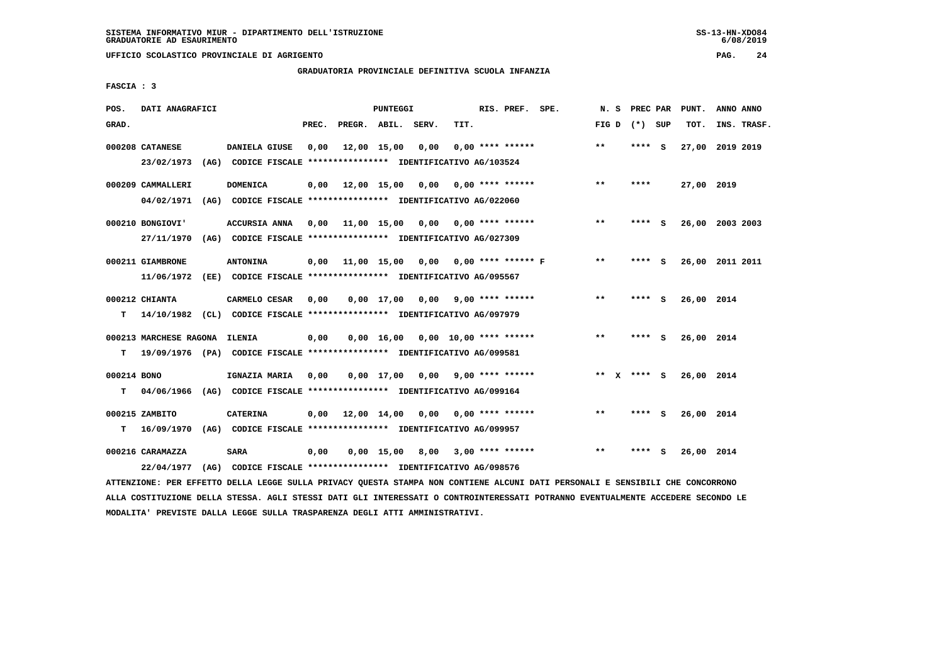**UFFICIO SCOLASTICO PROVINCIALE DI AGRIGENTO PAG. 24**

# **GRADUATORIA PROVINCIALE DEFINITIVA SCUOLA INFANZIA**

 **FASCIA : 3**

| POS.             | DATI ANAGRAFICI                 |                                                                                           |       |                    | <b>PUNTEGGI</b> |                                      |      | RIS. PREF. SPE.    | N.S   | PREC PAR        |     | PUNT.      | ANNO ANNO       |
|------------------|---------------------------------|-------------------------------------------------------------------------------------------|-------|--------------------|-----------------|--------------------------------------|------|--------------------|-------|-----------------|-----|------------|-----------------|
| GRAD.            |                                 |                                                                                           | PREC. | PREGR. ABIL. SERV. |                 |                                      | TIT. |                    | FIG D | (*) SUP         |     | TOT.       | INS. TRASF.     |
|                  | 000208 CATANESE<br>23/02/1973   | DANIELA GIUSE<br>(AG) CODICE FISCALE **************** IDENTIFICATIVO AG/103524            | 0,00  | 12,00 15,00        |                 | 0,00                                 |      | $0.00$ **** ****** | **    | **** S          |     |            | 27,00 2019 2019 |
|                  | 000209 CAMMALLERI<br>04/02/1971 | <b>DOMENICA</b><br>(AG) CODICE FISCALE **************** IDENTIFICATIVO AG/022060          | 0,00  | 12,00 15,00 0,00   |                 |                                      |      | $0.00$ **** ****** | **    | ****            |     | 27,00 2019 |                 |
|                  | 000210 BONGIOVI'<br>27/11/1970  | <b>ACCURSIA ANNA</b><br>(AG) CODICE FISCALE **************** IDENTIFICATIVO AG/027309     | 0,00  |                    |                 | 11,00 15,00 0,00 0,00 **** ******    |      |                    | $***$ | **** S          |     |            | 26,00 2003 2003 |
|                  | 000211 GIAMBRONE<br>11/06/1972  | <b>ANTONINA</b><br>(EE) CODICE FISCALE **************** IDENTIFICATIVO AG/095567          | 0,00  |                    |                 | 11,00 15,00 0,00 0,00 **** ****** F  |      |                    | $* *$ | ****            | - S |            | 26,00 2011 2011 |
| т                | 000212 CHIANTA                  | CARMELO CESAR<br>14/10/1982 (CL) CODICE FISCALE **************** IDENTIFICATIVO AG/097979 | 0.00  |                    |                 | $0.00$ 17.00 $0.00$ 9.00 **** ****** |      |                    | $**$  | ****            | - S | 26,00 2014 |                 |
| т                | 000213 MARCHESE RAGONA ILENIA   | 19/09/1976 (PA) CODICE FISCALE *************** IDENTIFICATIVO AG/099581                   | 0,00  |                    |                 | $0,00$ 16,00 0,00 10,00 **** ******  |      |                    | $* *$ | **** S          |     | 26,00 2014 |                 |
| 000214 BONO<br>т | 04/06/1966                      | IGNAZIA MARIA<br>(AG) CODICE FISCALE **************** IDENTIFICATIVO AG/099164            | 0.00  |                    |                 | 0,00 17,00 0,00                      |      | $9,00$ **** ****** |       | ** $X$ **** $S$ |     | 26,00 2014 |                 |
| т                | 000215 ZAMBITO<br>16/09/1970    | CATERINA<br>(AG) CODICE FISCALE **************** IDENTIFICATIVO AG/099957                 | 0.00  | 12,00 14,00 0,00   |                 |                                      |      | $0.00$ **** ****** | $***$ | $***$ S         |     | 26,00 2014 |                 |
|                  | 000216 CARAMAZZA<br>22/04/1977  | SARA<br>(AG) CODICE FISCALE **************** IDENTIFICATIVO AG/098576                     | 0.00  |                    |                 | $0,00$ 15,00 8,00 3,00 **** ******   |      |                    | $* *$ | ****            | - S | 26,00 2014 |                 |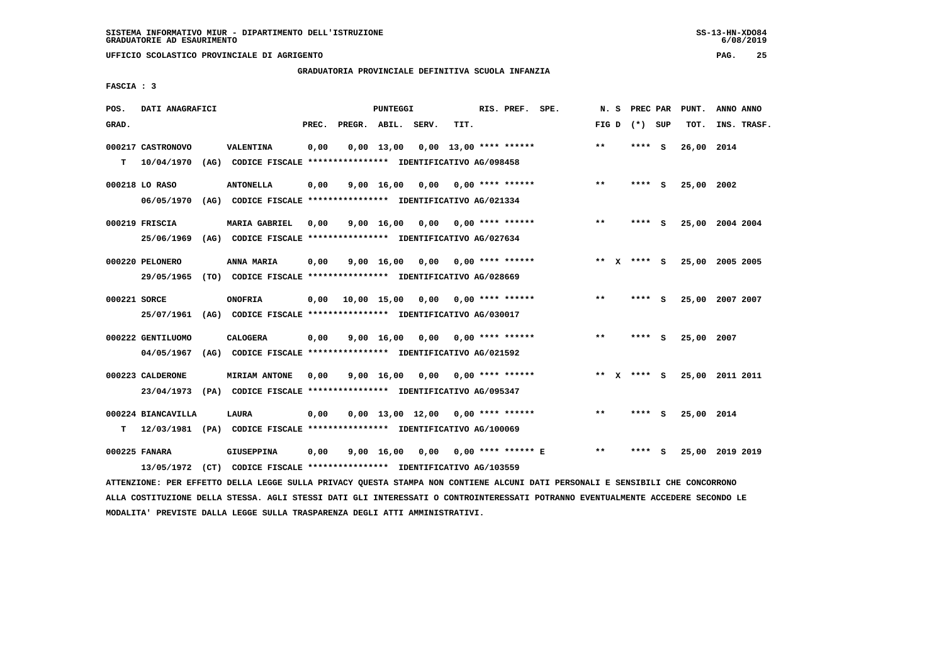**UFFICIO SCOLASTICO PROVINCIALE DI AGRIGENTO PAG. 25**

# **GRADUATORIA PROVINCIALE DEFINITIVA SCUOLA INFANZIA**

 **FASCIA : 3**

| POS.         | DATI ANAGRAFICI    |      |                                                                         |       |                    | PUNTEGGI           |                                     |      | RIS. PREF. SPE.          | N.S   |              | PREC PAR        |          | PUNT.      | ANNO ANNO       |
|--------------|--------------------|------|-------------------------------------------------------------------------|-------|--------------------|--------------------|-------------------------------------|------|--------------------------|-------|--------------|-----------------|----------|------------|-----------------|
| GRAD.        |                    |      |                                                                         | PREC. | PREGR. ABIL. SERV. |                    |                                     | TIT. |                          |       |              | FIG D $(*)$ SUP |          | TOT.       | INS. TRASF.     |
|              | 000217 CASTRONOVO  |      | <b>VALENTINA</b>                                                        | 0,00  |                    | $0.00 \quad 13.00$ |                                     |      | $0.00$ 13.00 **** ****** | $**$  |              | ****            | <b>S</b> | 26,00 2014 |                 |
| т            | 10/04/1970         | (AG) | CODICE FISCALE **************** IDENTIFICATIVO AG/098458                |       |                    |                    |                                     |      |                          |       |              |                 |          |            |                 |
|              | 000218 LO RASO     |      | <b>ANTONELLA</b>                                                        | 0,00  |                    | $9,00 \quad 16,00$ | 0,00                                |      | 0,00 **** ******         | $**$  |              | **** S          |          | 25,00 2002 |                 |
|              | 06/05/1970         |      | (AG) CODICE FISCALE **************** IDENTIFICATIVO AG/021334           |       |                    |                    |                                     |      |                          |       |              |                 |          |            |                 |
|              | 000219 FRISCIA     |      | <b>MARIA GABRIEL</b>                                                    | 0,00  |                    | 9,00 16,00         | 0,00                                |      | $0.00$ **** ******       | $***$ |              | ****            | - S      |            | 25,00 2004 2004 |
|              | 25/06/1969         |      | (AG) CODICE FISCALE **************** IDENTIFICATIVO AG/027634           |       |                    |                    |                                     |      |                          |       |              |                 |          |            |                 |
|              | 000220 PELONERO    |      | ANNA MARIA                                                              | 0,00  |                    | $9,00 \quad 16,00$ | 0,00                                |      | $0.00$ **** ******       |       |              | ** x **** s     |          |            | 25,00 2005 2005 |
|              | 29/05/1965         |      | (TO) CODICE FISCALE **************** IDENTIFICATIVO AG/028669           |       |                    |                    |                                     |      |                          |       |              |                 |          |            |                 |
| 000221 SORCE |                    |      | <b>ONOFRIA</b>                                                          | 0,00  |                    |                    | 10,00 15,00 0,00                    |      | $0.00$ **** ******       | $***$ |              | **** S          |          |            | 25,00 2007 2007 |
|              | 25/07/1961         |      | (AG) CODICE FISCALE **************** IDENTIFICATIVO AG/030017           |       |                    |                    |                                     |      |                          |       |              |                 |          |            |                 |
|              | 000222 GENTILUOMO  |      | <b>CALOGERA</b>                                                         | 0,00  |                    | $9,00 \quad 16,00$ | 0,00                                |      | 0,00 **** ******         | $* *$ |              | **** S          |          | 25,00 2007 |                 |
|              | 04/05/1967         |      | (AG) CODICE FISCALE **************** IDENTIFICATIVO AG/021592           |       |                    |                    |                                     |      |                          |       |              |                 |          |            |                 |
|              | 000223 CALDERONE   |      | <b>MIRIAM ANTONE</b>                                                    | 0,00  |                    | $9,00 \quad 16,00$ |                                     |      | $0,00$ 0,00 **** ******  | $***$ | $\mathbf{x}$ | **** S          |          |            | 25,00 2011 2011 |
|              | 23/04/1973         |      | (PA) CODICE FISCALE **************** IDENTIFICATIVO AG/095347           |       |                    |                    |                                     |      |                          |       |              |                 |          |            |                 |
|              | 000224 BIANCAVILLA |      | <b>LAURA</b>                                                            | 0,00  |                    |                    | $0,00$ 13,00 12,00 0,00 **** ****** |      |                          | $* *$ |              | ****            | - S      | 25,00 2014 |                 |
| т            |                    |      | 12/03/1981 (PA) CODICE FISCALE *************** IDENTIFICATIVO AG/100069 |       |                    |                    |                                     |      |                          |       |              |                 |          |            |                 |
|              | 000225 FANARA      |      | <b>GIUSEPPINA</b>                                                       | 0,00  |                    | 9,00 16,00         | 0,00                                |      | 0,00 **** ****** E       | $* *$ |              | ****            | - S      |            | 25,00 2019 2019 |
|              |                    |      | 13/05/1972 (CT) CODICE FISCALE *************** IDENTIFICATIVO AG/103559 |       |                    |                    |                                     |      |                          |       |              |                 |          |            |                 |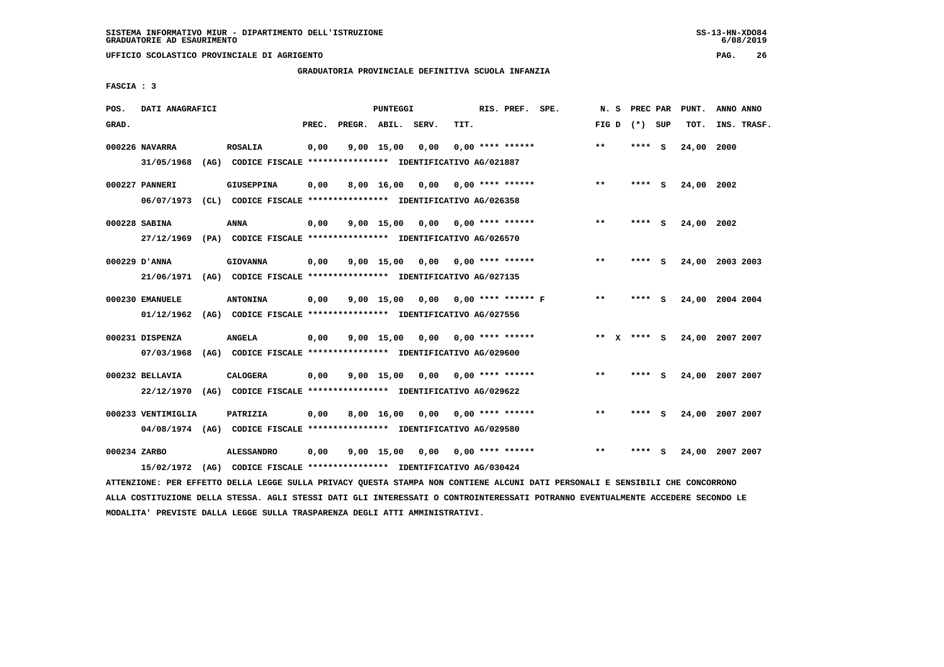**UFFICIO SCOLASTICO PROVINCIALE DI AGRIGENTO PAG. 26**

#### **GRADUATORIA PROVINCIALE DEFINITIVA SCUOLA INFANZIA**

 **FASCIA : 3**

| POS.         | DATI ANAGRAFICI    |                                                                                                                               |       |                    | PUNTEGGI     |                                    |      | RIS. PREF. SPE.           | N.S     | PREC PAR        |     | PUNT.           | ANNO ANNO |             |
|--------------|--------------------|-------------------------------------------------------------------------------------------------------------------------------|-------|--------------------|--------------|------------------------------------|------|---------------------------|---------|-----------------|-----|-----------------|-----------|-------------|
| GRAD.        |                    |                                                                                                                               | PREC. | PREGR. ABIL. SERV. |              |                                    | TIT. |                           |         | FIG D $(*)$ SUP |     | TOT.            |           | INS. TRASF. |
|              | 000226 NAVARRA     | <b>ROSALIA</b>                                                                                                                | 0,00  |                    | $9,00$ 15,00 | 0,00                               |      | $0.00$ **** ******        | $***$   | **** S          |     | 24,00 2000      |           |             |
|              | 31/05/1968         | (AG) CODICE FISCALE **************** IDENTIFICATIVO AG/021887                                                                 |       |                    |              |                                    |      |                           |         |                 |     |                 |           |             |
|              | 000227 PANNERI     | <b>GIUSEPPINA</b>                                                                                                             | 0,00  |                    | 8,00 16,00   |                                    |      | $0,00$ $0,00$ **** ****** | **      | **** S          |     | 24,00 2002      |           |             |
|              |                    | 06/07/1973 (CL) CODICE FISCALE *************** IDENTIFICATIVO AG/026358                                                       |       |                    |              |                                    |      |                           |         |                 |     |                 |           |             |
|              | 000228 SABINA      | ANNA                                                                                                                          | 0,00  |                    | $9,00$ 15,00 | $0,00$ $0,00$ **** ******          |      |                           | **      | **** S          |     | 24,00 2002      |           |             |
|              |                    | 27/12/1969 (PA) CODICE FISCALE *************** IDENTIFICATIVO AG/026570                                                       |       |                    |              |                                    |      |                           |         |                 |     |                 |           |             |
|              | 000229 D'ANNA      | <b>GIOVANNA</b>                                                                                                               | 0,00  |                    |              | 9,00 15,00 0,00                    |      | $0.00$ **** ******        | $***$   | **** S          |     | 24,00 2003 2003 |           |             |
|              |                    | 21/06/1971 (AG) CODICE FISCALE *************** IDENTIFICATIVO AG/027135                                                       |       |                    |              |                                    |      |                           |         |                 |     |                 |           |             |
|              | 000230 EMANUELE    | <b>ANTONINA</b>                                                                                                               | 0,00  |                    |              | 9,00 15,00 0,00 0,00 **** ****** F |      |                           | $* *$   | **** S          |     | 24,00 2004 2004 |           |             |
|              | 01/12/1962         | (AG) CODICE FISCALE **************** IDENTIFICATIVO AG/027556                                                                 |       |                    |              |                                    |      |                           |         |                 |     |                 |           |             |
|              | 000231 DISPENZA    | <b>ANGELA</b>                                                                                                                 | 0,00  |                    | $9,00$ 15,00 |                                    |      | $0,00$ $0,00$ **** ****** | $***$ X | **** S          |     | 24,00 2007 2007 |           |             |
|              | 07/03/1968         | (AG) CODICE FISCALE **************** IDENTIFICATIVO AG/029600                                                                 |       |                    |              |                                    |      |                           |         |                 |     |                 |           |             |
|              | 000232 BELLAVIA    | <b>CALOGERA</b>                                                                                                               | 0,00  |                    | 9,00 15,00   | 0,00                               |      | $0.00$ **** ******        | $**$    | ****            | - S | 24,00 2007 2007 |           |             |
|              | 22/12/1970         | (AG) CODICE FISCALE **************** IDENTIFICATIVO AG/029622                                                                 |       |                    |              |                                    |      |                           |         |                 |     |                 |           |             |
|              | 000233 VENTIMIGLIA | PATRIZIA                                                                                                                      | 0,00  |                    | 8,00 16,00   | $0,00$ $0,00$ $***$ **** ******    |      |                           | $* *$   | **** S          |     | 24,00 2007 2007 |           |             |
|              |                    | 04/08/1974 (AG) CODICE FISCALE **************** IDENTIFICATIVO AG/029580                                                      |       |                    |              |                                    |      |                           |         |                 |     |                 |           |             |
| 000234 ZARBO |                    | <b>ALESSANDRO</b>                                                                                                             | 0,00  |                    | $9,00$ 15,00 | $0,00$ $0,00$ **** ******          |      |                           | $* *$   | **** S          |     | 24,00 2007 2007 |           |             |
|              | 15/02/1972         | (AG) CODICE FISCALE **************** IDENTIFICATIVO AG/030424                                                                 |       |                    |              |                                    |      |                           |         |                 |     |                 |           |             |
|              |                    | ATTENZIONE: PER EFFETTO DELLA LEGGE SULLA PRIVACY QUESTA STAMPA NON CONTIENE ALCUNI DATI PERSONALI E SENSIBILI CHE CONCORRONO |       |                    |              |                                    |      |                           |         |                 |     |                 |           |             |

 **ALLA COSTITUZIONE DELLA STESSA. AGLI STESSI DATI GLI INTERESSATI O CONTROINTERESSATI POTRANNO EVENTUALMENTE ACCEDERE SECONDO LE MODALITA' PREVISTE DALLA LEGGE SULLA TRASPARENZA DEGLI ATTI AMMINISTRATIVI.**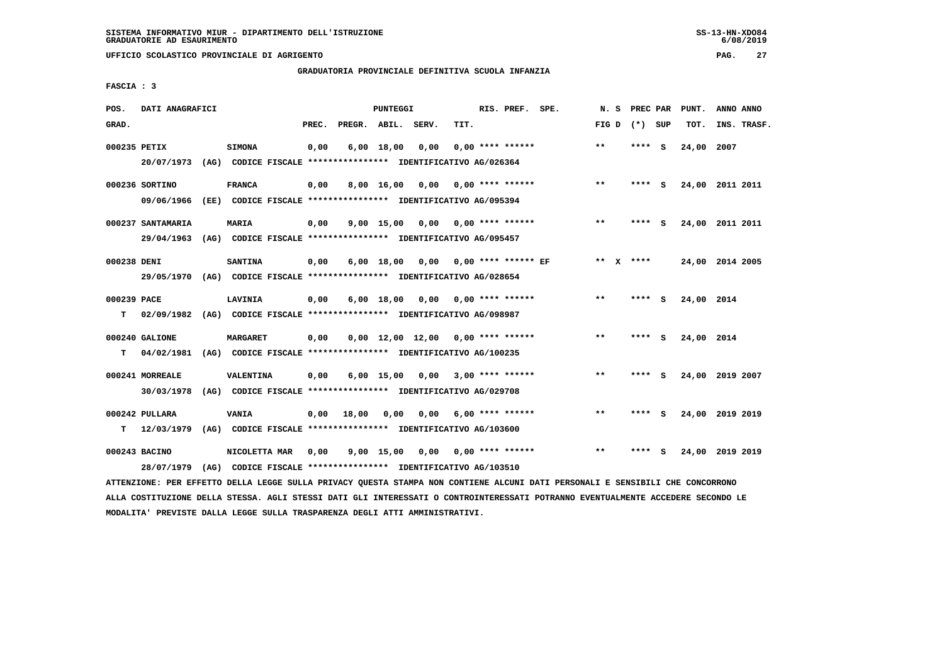**UFFICIO SCOLASTICO PROVINCIALE DI AGRIGENTO PAG. 27**

# **GRADUATORIA PROVINCIALE DEFINITIVA SCUOLA INFANZIA**

 **FASCIA : 3**

| POS.         | DATI ANAGRAFICI                                                                                                               |                 |       |       | PUNTEGGI     |                                                               |      | RIS. PREF. SPE.    | N. S  |           | PREC PAR        | PUNT.      | ANNO ANNO       |
|--------------|-------------------------------------------------------------------------------------------------------------------------------|-----------------|-------|-------|--------------|---------------------------------------------------------------|------|--------------------|-------|-----------|-----------------|------------|-----------------|
| GRAD.        |                                                                                                                               |                 | PREC. |       |              | PREGR. ABIL. SERV.                                            | TIT. |                    |       |           | FIG D $(*)$ SUP | TOT.       | INS. TRASF.     |
| 000235 PETIX |                                                                                                                               | <b>SIMONA</b>   | 0,00  |       | $6,00$ 18,00 | 0,00                                                          |      | $0.00$ **** ****** | **    |           | **** S          | 24,00 2007 |                 |
|              | 20/07/1973                                                                                                                    |                 |       |       |              | (AG) CODICE FISCALE **************** IDENTIFICATIVO AG/026364 |      |                    |       |           |                 |            |                 |
|              | 000236 SORTINO                                                                                                                | <b>FRANCA</b>   | 0,00  |       |              | $8,00$ 16,00 0,00 0,00 **** ******                            |      |                    | $***$ |           | **** S          |            | 24,00 2011 2011 |
|              | 09/06/1966                                                                                                                    |                 |       |       |              | (EE) CODICE FISCALE **************** IDENTIFICATIVO AG/095394 |      |                    |       |           |                 |            |                 |
|              | 000237 SANTAMARIA                                                                                                             | <b>MARIA</b>    | 0,00  |       | $9,00$ 15,00 | 0,00                                                          |      | $0.00$ **** ****** | $* *$ |           | **** S          |            | 24,00 2011 2011 |
|              | 29/04/1963 (AG) CODICE FISCALE *************** IDENTIFICATIVO AG/095457                                                       |                 |       |       |              |                                                               |      |                    |       |           |                 |            |                 |
| 000238 DENI  |                                                                                                                               | <b>SANTINA</b>  | 0,00  |       |              | 6,00 18,00 0,00 0,00 **** ****** EF                           |      |                    |       | ** x **** |                 |            | 24,00 2014 2005 |
|              | 29/05/1970 (AG) CODICE FISCALE *************** IDENTIFICATIVO AG/028654                                                       |                 |       |       |              |                                                               |      |                    |       |           |                 |            |                 |
| 000239 PACE  |                                                                                                                               | LAVINIA         | 0,00  |       |              | $6,00$ 18,00 0,00 0,00 **** ******                            |      |                    | $***$ |           | **** S          | 24,00 2014 |                 |
| т            | 02/09/1982 (AG) CODICE FISCALE **************** IDENTIFICATIVO AG/098987                                                      |                 |       |       |              |                                                               |      |                    |       |           |                 |            |                 |
|              | 000240 GALIONE                                                                                                                | <b>MARGARET</b> | 0,00  |       |              | $0.00$ 12.00 12.00 0.00 **** ******                           |      |                    | **    |           | **** S          | 24,00 2014 |                 |
| т            | 04/02/1981                                                                                                                    |                 |       |       |              | (AG) CODICE FISCALE **************** IDENTIFICATIVO AG/100235 |      |                    |       |           |                 |            |                 |
|              | 000241 MORREALE                                                                                                               | VALENTINA       | 0,00  |       |              | 6,00 15,00 0,00                                               |      | $3,00$ **** ****** | $**$  |           | **** S          |            | 24,00 2019 2007 |
|              | 30/03/1978                                                                                                                    |                 |       |       |              | (AG) CODICE FISCALE **************** IDENTIFICATIVO AG/029708 |      |                    |       |           |                 |            |                 |
|              | 000242 PULLARA                                                                                                                | <b>VANIA</b>    | 0,00  | 18,00 |              | $0,00$ $0,00$ $6,00$ **** ******                              |      |                    | $* *$ |           | **** S          |            | 24,00 2019 2019 |
| т            | 12/03/1979                                                                                                                    |                 |       |       |              | (AG) CODICE FISCALE *************** IDENTIFICATIVO AG/103600  |      |                    |       |           |                 |            |                 |
|              | 000243 BACINO                                                                                                                 | NICOLETTA MAR   | 0,00  |       |              | 9,00 15,00 0,00 0,00 **** ******                              |      |                    | $* *$ |           | **** S          |            | 24,00 2019 2019 |
|              | 28/07/1979                                                                                                                    |                 |       |       |              | (AG) CODICE FISCALE **************** IDENTIFICATIVO AG/103510 |      |                    |       |           |                 |            |                 |
|              | ATTENZIONE: PER EFFETTO DELLA LEGGE SULLA PRIVACY QUESTA STAMPA NON CONTIENE ALCUNI DATI PERSONALI E SENSIBILI CHE CONCORRONO |                 |       |       |              |                                                               |      |                    |       |           |                 |            |                 |

 **ALLA COSTITUZIONE DELLA STESSA. AGLI STESSI DATI GLI INTERESSATI O CONTROINTERESSATI POTRANNO EVENTUALMENTE ACCEDERE SECONDO LE MODALITA' PREVISTE DALLA LEGGE SULLA TRASPARENZA DEGLI ATTI AMMINISTRATIVI.**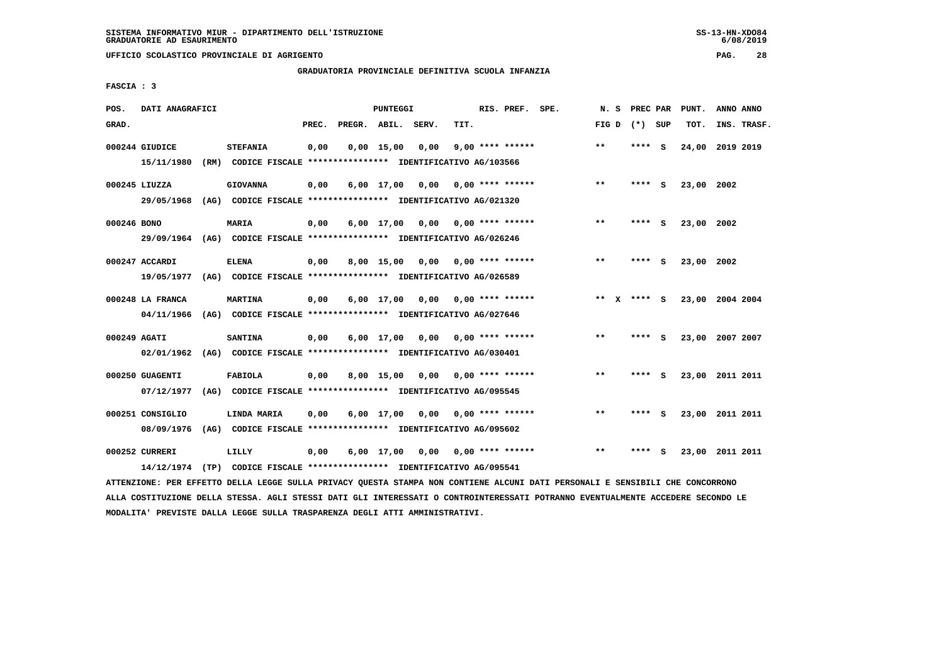**UFFICIO SCOLASTICO PROVINCIALE DI AGRIGENTO PAG. 28**

# **GRADUATORIA PROVINCIALE DEFINITIVA SCUOLA INFANZIA**

 **FASCIA : 3**

| POS.         | DATI ANAGRAFICI                |      |                                                                                         |       |                    | PUNTEGGI     |      |      | RIS. PREF. SPE.    | N.S         | PREC PAR |          | PUNT.      | ANNO ANNO       |  |
|--------------|--------------------------------|------|-----------------------------------------------------------------------------------------|-------|--------------------|--------------|------|------|--------------------|-------------|----------|----------|------------|-----------------|--|
| GRAD.        |                                |      |                                                                                         | PREC. | PREGR. ABIL. SERV. |              |      | TIT. |                    | FIG D       | (*) SUP  |          | TOT.       | INS. TRASF.     |  |
|              | 000244 GIUDICE<br>15/11/1980   | (RM) | <b>STEFANIA</b><br>CODICE FISCALE **************** IDENTIFICATIVO AG/103566             | 0,00  |                    | $0,00$ 15,00 | 0,00 |      | $9,00$ **** ****** | $* *$       | ****     | <b>S</b> | 24,00      | 2019 2019       |  |
|              | 000245 LIUZZA<br>29/05/1968    |      | <b>GIOVANNA</b><br>(AG) CODICE FISCALE **************** IDENTIFICATIVO AG/021320        | 0,00  |                    | $6,00$ 17,00 | 0.00 |      | 0,00 **** ******   | $***$       | ****     | - S      | 23,00 2002 |                 |  |
| 000246 BONO  |                                |      | <b>MARIA</b><br>29/09/1964 (AG) CODICE FISCALE *************** IDENTIFICATIVO AG/026246 | 0,00  |                    | 6,00 17,00   | 0,00 |      | 0,00 **** ******   | **          | ****     | - S      | 23,00      | 2002            |  |
|              | 000247 ACCARDI<br>19/05/1977   |      | <b>ELENA</b><br>(AG) CODICE FISCALE **************** IDENTIFICATIVO AG/026589           | 0,00  |                    | $8,00$ 15,00 | 0,00 |      | $0.00$ **** ****** | $***$       | ****     | - 5      | 23,00 2002 |                 |  |
|              | 000248 LA FRANCA<br>04/11/1966 |      | <b>MARTINA</b><br>(AG) CODICE FISCALE **************** IDENTIFICATIVO AG/027646         | 0,00  |                    | 6,00 17,00   | 0,00 |      | $0.00$ **** ****** | ** x **** S |          |          |            | 23,00 2004 2004 |  |
| 000249 AGATI | 02/01/1962                     |      | <b>SANTINA</b><br>(AG) CODICE FISCALE **************** IDENTIFICATIVO AG/030401         | 0,00  |                    | 6,00 17,00   | 0,00 |      | 0,00 **** ******   | $***$       | ****     | - S      |            | 23,00 2007 2007 |  |
|              | 000250 GUAGENTI<br>07/12/1977  |      | <b>FABIOLA</b><br>(AG) CODICE FISCALE **************** IDENTIFICATIVO AG/095545         | 0,00  |                    | 8,00 15,00   | 0,00 |      | 0,00 **** ******   | $***$       | **** S   |          |            | 23,00 2011 2011 |  |
|              | 000251 CONSIGLIO<br>08/09/1976 |      | LINDA MARIA<br>(AG) CODICE FISCALE **************** IDENTIFICATIVO AG/095602            | 0,00  |                    | 6,00 17,00   | 0,00 |      | $0.00$ **** ****** | $* *$       | ****     | - S      |            | 23,00 2011 2011 |  |
|              | 000252 CURRERI                 |      | LILLY<br>14/12/1974 (TP) CODICE FISCALE *************** IDENTIFICATIVO AG/095541        | 0,00  |                    | $6,00$ 17,00 | 0,00 |      | $0.00$ **** ****** | $***$       | ****     | s        | 23,00      | 2011 2011       |  |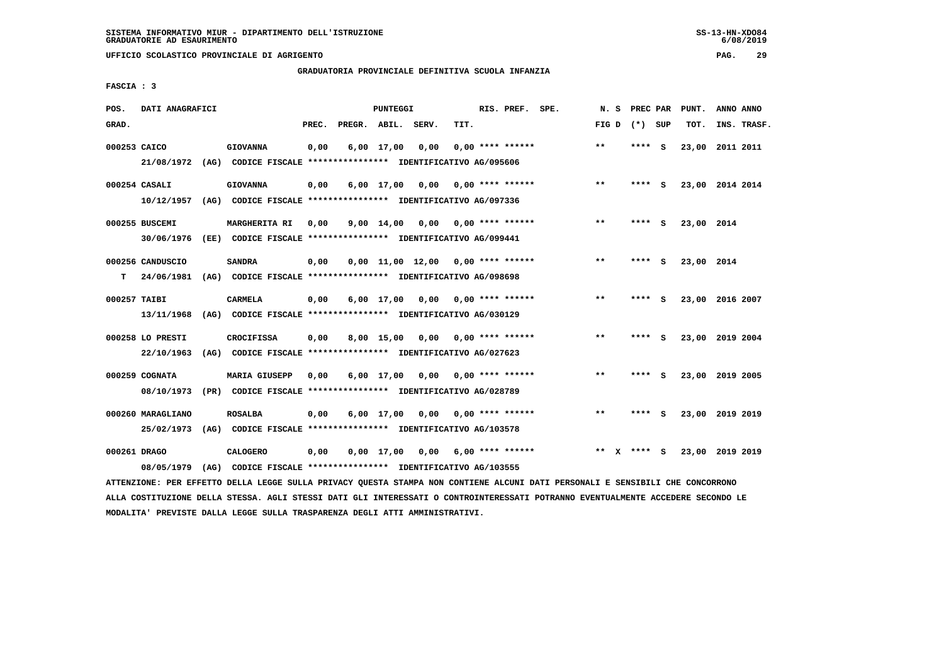**UFFICIO SCOLASTICO PROVINCIALE DI AGRIGENTO PAG. 29**

# **GRADUATORIA PROVINCIALE DEFINITIVA SCUOLA INFANZIA**

 **FASCIA : 3**

| POS.         | DATI ANAGRAFICI                |      |                                                                        |       |              | PUNTEGGI           |                                     |      | RIS. PREF. SPE.           | N.S   | PREC PAR |     | PUNT.           | ANNO ANNO   |  |
|--------------|--------------------------------|------|------------------------------------------------------------------------|-------|--------------|--------------------|-------------------------------------|------|---------------------------|-------|----------|-----|-----------------|-------------|--|
| GRAD.        |                                |      |                                                                        | PREC. | PREGR. ABIL. |                    | SERV.                               | TIT. |                           | FIG D | $(*)$    | SUP | TOT.            | INS. TRASF. |  |
| 000253 CAICO |                                |      | <b>GIOVANNA</b>                                                        | 0,00  |              | $6,00$ 17,00       | 0.00                                |      | $0.00$ **** ******        | $***$ | ****     | - S | 23,00 2011 2011 |             |  |
|              | 21/08/1972                     | (AG) | CODICE FISCALE **************** IDENTIFICATIVO AG/095606               |       |              |                    |                                     |      |                           |       |          |     |                 |             |  |
|              | 000254 CASALI                  |      | <b>GIOVANNA</b>                                                        | 0,00  |              | $6,00$ 17,00       | 0,00                                |      | $0.00$ **** ******        | $* *$ | ****     | - S | 23,00 2014 2014 |             |  |
|              | 10/12/1957                     |      | (AG) CODICE FISCALE **************** IDENTIFICATIVO AG/097336          |       |              |                    |                                     |      |                           |       |          |     |                 |             |  |
|              | 000255 BUSCEMI                 |      | MARGHERITA RI                                                          | 0,00  |              | $9,00 \quad 14,00$ | 0,00                                |      | 0,00 **** ******          | $* *$ | ****     | - S | 23,00 2014      |             |  |
|              | 30/06/1976                     |      | (EE) CODICE FISCALE **************** IDENTIFICATIVO AG/099441          |       |              |                    |                                     |      |                           |       |          |     |                 |             |  |
|              | 000256 CANDUSCIO               |      | <b>SANDRA</b>                                                          | 0,00  |              |                    | $0.00$ 11.00 12.00 0.00 **** ****** |      |                           | $* *$ | ****     | - S | 23,00 2014      |             |  |
| т            | 24/06/1981                     |      | (AG) CODICE FISCALE **************** IDENTIFICATIVO AG/098698          |       |              |                    |                                     |      |                           |       |          |     |                 |             |  |
| 000257 TAIBI |                                |      | <b>CARMELA</b>                                                         | 0,00  |              | $6,00$ 17,00       | 0.00                                |      | $0.00$ **** ******        | $* *$ | ****     | - S | 23,00 2016 2007 |             |  |
|              | 13/11/1968                     |      | (AG) CODICE FISCALE **************** IDENTIFICATIVO AG/030129          |       |              |                    |                                     |      |                           |       |          |     |                 |             |  |
|              |                                |      |                                                                        |       |              |                    |                                     |      |                           | $* *$ | ****     |     |                 |             |  |
|              | 000258 LO PRESTI<br>22/10/1963 |      | CROCIFISSA<br>CODICE FISCALE **************** IDENTIFICATIVO AG/027623 | 0,00  |              | 8,00 15,00         | 0.00                                |      | $0.00$ **** ******        |       |          | S   | 23,00 2019 2004 |             |  |
|              |                                | (AG) |                                                                        |       |              |                    |                                     |      |                           |       |          |     |                 |             |  |
|              | 000259 COGNATA                 |      | <b>MARIA GIUSEPP</b>                                                   | 0,00  |              | $6,00$ 17,00       | 0,00                                |      | 0,00 **** ******          | $***$ | **** S   |     | 23,00 2019 2005 |             |  |
|              | 08/10/1973                     |      | (PR) CODICE FISCALE **************** IDENTIFICATIVO AG/028789          |       |              |                    |                                     |      |                           |       |          |     |                 |             |  |
|              | 000260 MARAGLIANO              |      | <b>ROSALBA</b>                                                         | 0,00  |              | $6,00$ 17,00       |                                     |      | $0.00$ $0.00$ **** ****** | $* *$ | ****     | - S | 23,00 2019 2019 |             |  |
|              | 25/02/1973                     | (AG) | CODICE FISCALE **************** IDENTIFICATIVO AG/103578               |       |              |                    |                                     |      |                           |       |          |     |                 |             |  |
| 000261 DRAGO |                                |      | <b>CALOGERO</b>                                                        | 0,00  |              | $0,00$ 17,00       |                                     |      | $0,00$ 6,00 **** ******   | $***$ | ****     | - S | 23,00 2019 2019 |             |  |
|              | 08/05/1979                     |      | (AG) CODICE FISCALE **************** IDENTIFICATIVO AG/103555          |       |              |                    |                                     |      |                           |       |          |     |                 |             |  |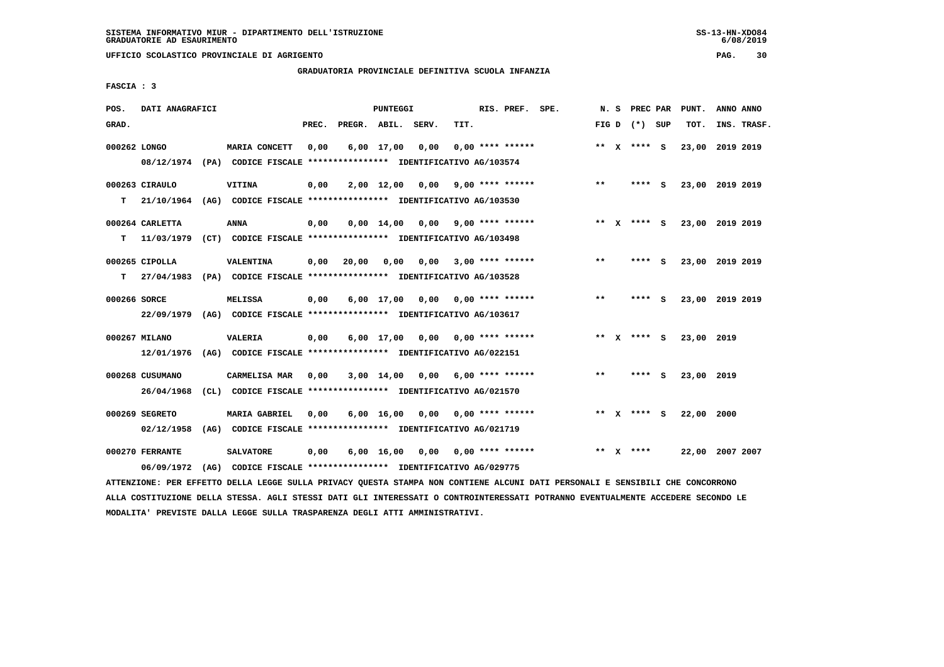**UFFICIO SCOLASTICO PROVINCIALE DI AGRIGENTO PAG. 30**

# **GRADUATORIA PROVINCIALE DEFINITIVA SCUOLA INFANZIA**

 **FASCIA : 3**

| POS.         | DATI ANAGRAFICI               |                                                                                          |       |                    | PUNTEGGI           |                                    |      | RIS. PREF. SPE.           | N.S   | PREC PAR        |     | PUNT.      | ANNO ANNO       |
|--------------|-------------------------------|------------------------------------------------------------------------------------------|-------|--------------------|--------------------|------------------------------------|------|---------------------------|-------|-----------------|-----|------------|-----------------|
| GRAD.        |                               |                                                                                          | PREC. | PREGR. ABIL. SERV. |                    |                                    | TIT. |                           |       | FIG D $(*)$ SUP |     | TOT.       | INS. TRASF.     |
| 000262 LONGO |                               | MARIA CONCETT<br>08/12/1974 (PA) CODICE FISCALE *************** IDENTIFICATIVO AG/103574 | 0,00  |                    | 6,00 17,00         | 0,00                               |      | $0.00$ **** ******        |       | ** $X$ **** S   |     | 23,00      | 2019 2019       |
| т            | 000263 CIRAULO<br>21/10/1964  | <b>VITINA</b><br>(AG) CODICE FISCALE **************** IDENTIFICATIVO AG/103530           | 0,00  |                    | 2,00 12,00 0,00    |                                    |      | 9,00 **** ******          | $**$  | ****            | - S |            | 23,00 2019 2019 |
| т            | 000264 CARLETTA               | ANNA<br>11/03/1979 (CT) CODICE FISCALE **************** IDENTIFICATIVO AG/103498         | 0,00  |                    | $0,00 \quad 14,00$ | $0,00$ 9,00 **** ******            |      |                           |       | ** x **** s     |     |            | 23,00 2019 2019 |
| т            | 000265 CIPOLLA                | VALENTINA<br>27/04/1983 (PA) CODICE FISCALE *************** IDENTIFICATIVO AG/103528     | 0,00  | 20,00              | 0.00               | 0.00                               |      | $3,00$ **** ******        | **    | ****            | - 5 |            | 23,00 2019 2019 |
| 000266 SORCE | 22/09/1979                    | <b>MELISSA</b><br>(AG) CODICE FISCALE **************** IDENTIFICATIVO AG/103617          | 0,00  |                    |                    | $6,00$ 17,00 0,00 0,00 **** ****** |      |                           | $***$ | ****            | - 5 |            | 23,00 2019 2019 |
|              | 000267 MILANO<br>12/01/1976   | <b>VALERIA</b><br>(AG) CODICE FISCALE **************** IDENTIFICATIVO AG/022151          | 0,00  |                    | 6,00 17,00         |                                    |      | $0.00$ $0.00$ **** ****** |       | ** $X$ **** S   |     | 23,00 2019 |                 |
|              | 000268 CUSUMANO<br>26/04/1968 | CARMELISA MAR<br>(CL) CODICE FISCALE **************** IDENTIFICATIVO AG/021570           | 0,00  |                    | 3,00 14,00         | 0,00                               |      | 6,00 **** ******          | $* *$ | **** S          |     | 23,00 2019 |                 |
|              | 000269 SEGRETO<br>02/12/1958  | <b>MARIA GABRIEL</b><br>(AG) CODICE FISCALE **************** IDENTIFICATIVO AG/021719    | 0.00  |                    | $6,00 \quad 16,00$ | 0,00 0,00 **** ******              |      |                           |       | ** X **** S     |     | 22,00 2000 |                 |
|              | 000270 FERRANTE<br>06/09/1972 | <b>SALVATORE</b><br>(AG) CODICE FISCALE **************** IDENTIFICATIVO AG/029775        | 0,00  |                    | $6,00 \quad 16,00$ |                                    |      | $0,00$ $0,00$ **** ****** |       | ** $X$ ****     |     |            | 22,00 2007 2007 |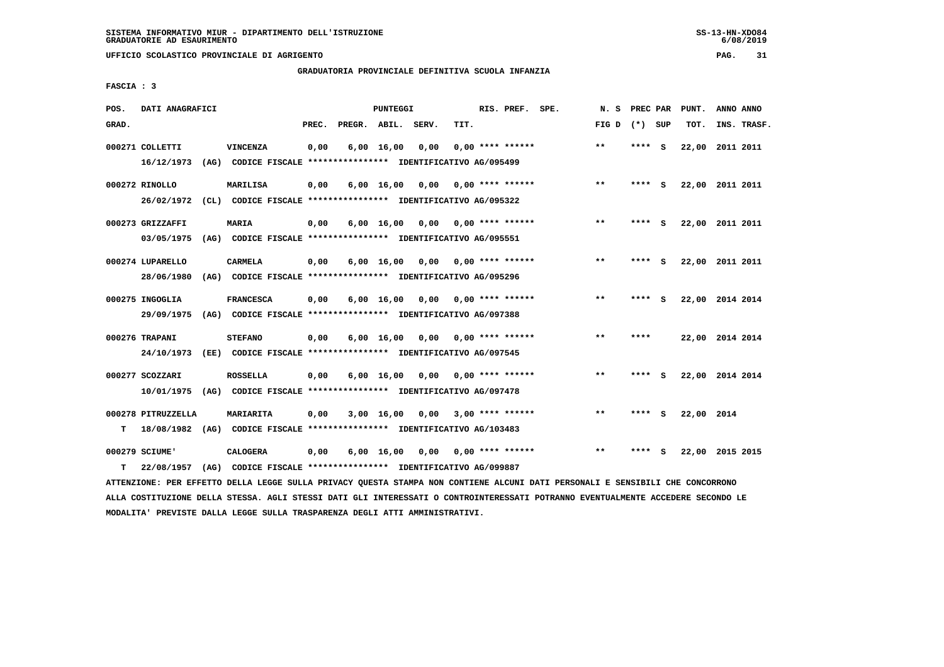**UFFICIO SCOLASTICO PROVINCIALE DI AGRIGENTO PAG. 31**

# **GRADUATORIA PROVINCIALE DEFINITIVA SCUOLA INFANZIA**

 **FASCIA : 3**

| POS.  | DATI ANAGRAFICI    |      |                                                                                                                               |       |                    | PUNTEGGI           |      |      | RIS. PREF. SPE.         |                    | N.S             | <b>PREC PAR</b> |     | PUNT.           | ANNO ANNO |             |
|-------|--------------------|------|-------------------------------------------------------------------------------------------------------------------------------|-------|--------------------|--------------------|------|------|-------------------------|--------------------|-----------------|-----------------|-----|-----------------|-----------|-------------|
| GRAD. |                    |      |                                                                                                                               | PREC. | PREGR. ABIL. SERV. |                    |      | TIT. |                         |                    | FIG D $(*)$ SUP |                 |     | TOT.            |           | INS. TRASF. |
|       | 000271 COLLETTI    |      | VINCENZA                                                                                                                      | 0,00  |                    | $6,00$ 16,00       | 0,00 |      | $0.00$ **** ******      |                    | $***$           | **** S          |     | 22,00 2011 2011 |           |             |
|       | 16/12/1973         |      | (AG) CODICE FISCALE **************** IDENTIFICATIVO AG/095499                                                                 |       |                    |                    |      |      |                         |                    |                 |                 |     |                 |           |             |
|       | 000272 RINOLLO     |      | <b>MARILISA</b>                                                                                                               | 0,00  |                    | $6,00 \quad 16,00$ | 0,00 |      | 0,00 **** ******        |                    | $**$            | **** S          |     | 22,00 2011 2011 |           |             |
|       |                    |      | 26/02/1972 (CL) CODICE FISCALE *************** IDENTIFICATIVO AG/095322                                                       |       |                    |                    |      |      |                         |                    |                 |                 |     |                 |           |             |
|       | 000273 GRIZZAFFI   |      | <b>MARIA</b>                                                                                                                  | 0,00  |                    | $6,00 \quad 16,00$ | 0,00 |      | $0.00$ **** ******      |                    | **              | **** S          |     | 22,00 2011 2011 |           |             |
|       | 03/05/1975         |      | (AG) CODICE FISCALE **************** IDENTIFICATIVO AG/095551                                                                 |       |                    |                    |      |      |                         |                    |                 |                 |     |                 |           |             |
|       | 000274 LUPARELLO   |      | CARMELA                                                                                                                       | 0,00  |                    | 6,00 16,00         | 0,00 |      | $0.00$ **** ******      |                    | $\star\star$    | **** S          |     | 22,00 2011 2011 |           |             |
|       | 28/06/1980         |      | (AG) CODICE FISCALE **************** IDENTIFICATIVO AG/095296                                                                 |       |                    |                    |      |      |                         |                    |                 |                 |     |                 |           |             |
|       | 000275 INGOGLIA    |      | <b>FRANCESCA</b>                                                                                                              | 0,00  |                    | $6,00 \quad 16,00$ | 0,00 |      | 0,00 **** ******        |                    | **              | **** S          |     | 22,00 2014 2014 |           |             |
|       | 29/09/1975         |      | (AG) CODICE FISCALE **************** IDENTIFICATIVO AG/097388                                                                 |       |                    |                    |      |      |                         |                    |                 |                 |     |                 |           |             |
|       | 000276 TRAPANI     |      | <b>STEFANO</b>                                                                                                                | 0,00  |                    | $6,00$ 16,00       | 0,00 |      | $0.00$ **** ******      |                    | $* *$           | ****            |     | 22,00 2014 2014 |           |             |
|       | 24/10/1973         |      | (EE) CODICE FISCALE **************** IDENTIFICATIVO AG/097545                                                                 |       |                    |                    |      |      |                         |                    |                 |                 |     |                 |           |             |
|       | 000277 SCOZZARI    |      | <b>ROSSELLA</b>                                                                                                               | 0,00  |                    | 6,00 16,00         | 0,00 |      | $0.00$ **** ******      |                    | $***$           | ****            | - S | 22,00 2014 2014 |           |             |
|       | 10/01/1975         |      | (AG) CODICE FISCALE **************** IDENTIFICATIVO AG/097478                                                                 |       |                    |                    |      |      |                         |                    |                 |                 |     |                 |           |             |
|       | 000278 PITRUZZELLA |      | MARIARITA                                                                                                                     | 0,00  |                    | 3,00 16,00         |      |      | $0,00$ 3,00 **** ****** |                    | $***$           | **** S          |     | 22,00 2014      |           |             |
| т     | 18/08/1982         |      | (AG) CODICE FISCALE **************** IDENTIFICATIVO AG/103483                                                                 |       |                    |                    |      |      |                         |                    |                 |                 |     |                 |           |             |
|       | 000279 SCIUME'     |      | <b>CALOGERA</b>                                                                                                               | 0,00  |                    | $6,00$ 16,00       | 0,00 |      |                         | $0.00$ **** ****** | $***$           | **** S          |     | 22,00 2015 2015 |           |             |
| т     | 22/08/1957         | (AG) | CODICE FISCALE **************** IDENTIFICATIVO AG/099887                                                                      |       |                    |                    |      |      |                         |                    |                 |                 |     |                 |           |             |
|       |                    |      | ATTENZIONE: PER EFFETTO DELLA LEGGE SULLA PRIVACY QUESTA STAMPA NON CONTIENE ALCUNI DATI PERSONALI E SENSIBILI CHE CONCORRONO |       |                    |                    |      |      |                         |                    |                 |                 |     |                 |           |             |

 **ALLA COSTITUZIONE DELLA STESSA. AGLI STESSI DATI GLI INTERESSATI O CONTROINTERESSATI POTRANNO EVENTUALMENTE ACCEDERE SECONDO LE MODALITA' PREVISTE DALLA LEGGE SULLA TRASPARENZA DEGLI ATTI AMMINISTRATIVI.**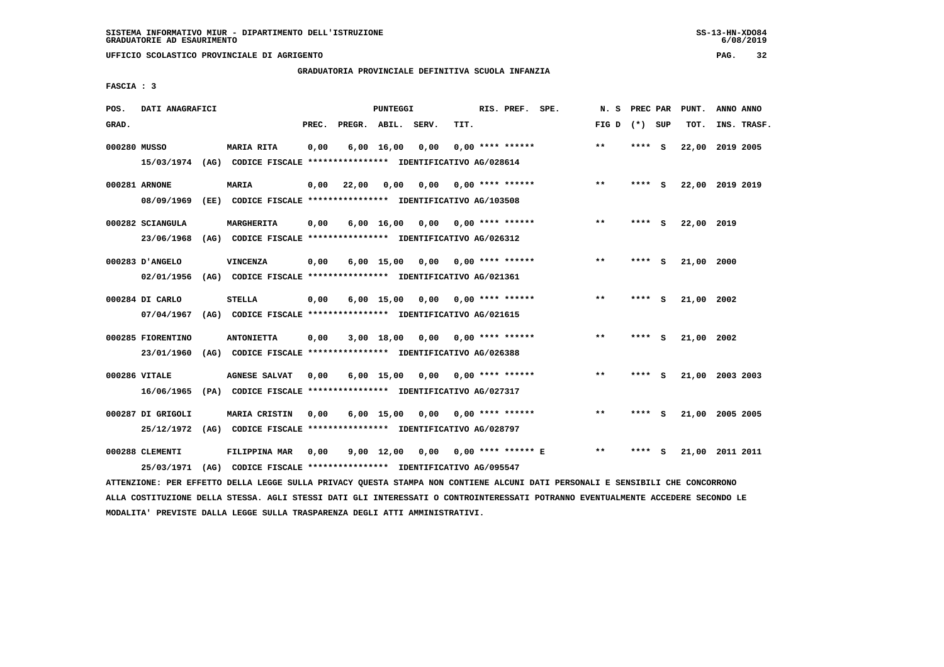**UFFICIO SCOLASTICO PROVINCIALE DI AGRIGENTO PAG. 32**

# **GRADUATORIA PROVINCIALE DEFINITIVA SCUOLA INFANZIA**

 **FASCIA : 3**

| POS.         | DATI ANAGRAFICI   |      |                                                               |       |                    | PUNTEGGI           |      |      | RIS. PREF. SPE.      | N.S   | PREC PAR |     | PUNT.           | ANNO ANNO |             |
|--------------|-------------------|------|---------------------------------------------------------------|-------|--------------------|--------------------|------|------|----------------------|-------|----------|-----|-----------------|-----------|-------------|
| GRAD.        |                   |      |                                                               | PREC. | PREGR. ABIL. SERV. |                    |      | TIT. |                      | FIG D | (*) SUP  |     | TOT.            |           | INS. TRASF. |
| 000280 MUSSO |                   |      | MARIA RITA                                                    | 0,00  |                    | $6,00 \quad 16,00$ | 0,00 |      | $0.00$ **** ******   | $**$  | **** S   |     | 22,00           | 2019 2005 |             |
|              | 15/03/1974        |      | (AG) CODICE FISCALE **************** IDENTIFICATIVO AG/028614 |       |                    |                    |      |      |                      |       |          |     |                 |           |             |
|              | 000281 ARNONE     |      | <b>MARIA</b>                                                  | 0,00  | 22,00              | 0.00               | 0.00 |      | $0.00$ **** ******   | $***$ | ****     | - S | 22,00 2019 2019 |           |             |
|              | 08/09/1969        |      | (EE) CODICE FISCALE **************** IDENTIFICATIVO AG/103508 |       |                    |                    |      |      |                      |       |          |     |                 |           |             |
|              | 000282 SCIANGULA  |      | MARGHERITA                                                    | 0,00  |                    | $6,00 \quad 16,00$ | 0,00 |      | $0.00$ **** ******   | $* *$ | ****     | - S | 22,00 2019      |           |             |
|              | 23/06/1968        |      | (AG) CODICE FISCALE **************** IDENTIFICATIVO AG/026312 |       |                    |                    |      |      |                      |       |          |     |                 |           |             |
|              | 000283 D'ANGELO   |      | VINCENZA                                                      | 0,00  |                    | $6,00$ 15,00       | 0,00 |      | $0.00$ **** ******   | $**$  | ****     | - S | 21,00 2000      |           |             |
|              | 02/01/1956        |      | (AG) CODICE FISCALE **************** IDENTIFICATIVO AG/021361 |       |                    |                    |      |      |                      |       |          |     |                 |           |             |
|              | 000284 DI CARLO   |      | <b>STELLA</b>                                                 | 0,00  |                    | $6,00$ 15,00       | 0,00 |      | $0.00$ **** ******   | $***$ | ****     | - S | 21,00 2002      |           |             |
|              | 07/04/1967        |      | (AG) CODICE FISCALE **************** IDENTIFICATIVO AG/021615 |       |                    |                    |      |      |                      |       |          |     |                 |           |             |
|              | 000285 FIORENTINO |      | <b>ANTONIETTA</b>                                             | 0,00  |                    | 3,00 18,00         | 0,00 |      | $0.00$ **** ******   | $***$ | **** S   |     | 21,00 2002      |           |             |
|              | 23/01/1960        | (AG) | CODICE FISCALE **************** IDENTIFICATIVO AG/026388      |       |                    |                    |      |      |                      |       |          |     |                 |           |             |
|              | 000286 VITALE     |      | <b>AGNESE SALVAT</b>                                          | 0,00  |                    | $6,00$ 15,00       | 0,00 |      | $0.00$ **** ******   | $***$ | **** S   |     | 21,00 2003 2003 |           |             |
|              | 16/06/1965        |      | (PA) CODICE FISCALE **************** IDENTIFICATIVO AG/027317 |       |                    |                    |      |      |                      |       |          |     |                 |           |             |
|              | 000287 DI GRIGOLI |      | MARIA CRISTIN                                                 | 0,00  |                    | $6,00$ 15,00       | 0,00 |      | $0.00$ **** ******   | $**$  | ****     | - S | 21,00           | 2005 2005 |             |
|              | 25/12/1972        |      | (AG) CODICE FISCALE **************** IDENTIFICATIVO AG/028797 |       |                    |                    |      |      |                      |       |          |     |                 |           |             |
|              | 000288 CLEMENTI   |      | FILIPPINA MAR                                                 | 0,00  |                    | $9,00$ 12,00       | 0,00 |      | $0.00$ **** ****** E | $* *$ | ****     | s   | 21,00 2011 2011 |           |             |
|              | 25/03/1971        |      | (AG) CODICE FISCALE **************** IDENTIFICATIVO AG/095547 |       |                    |                    |      |      |                      |       |          |     |                 |           |             |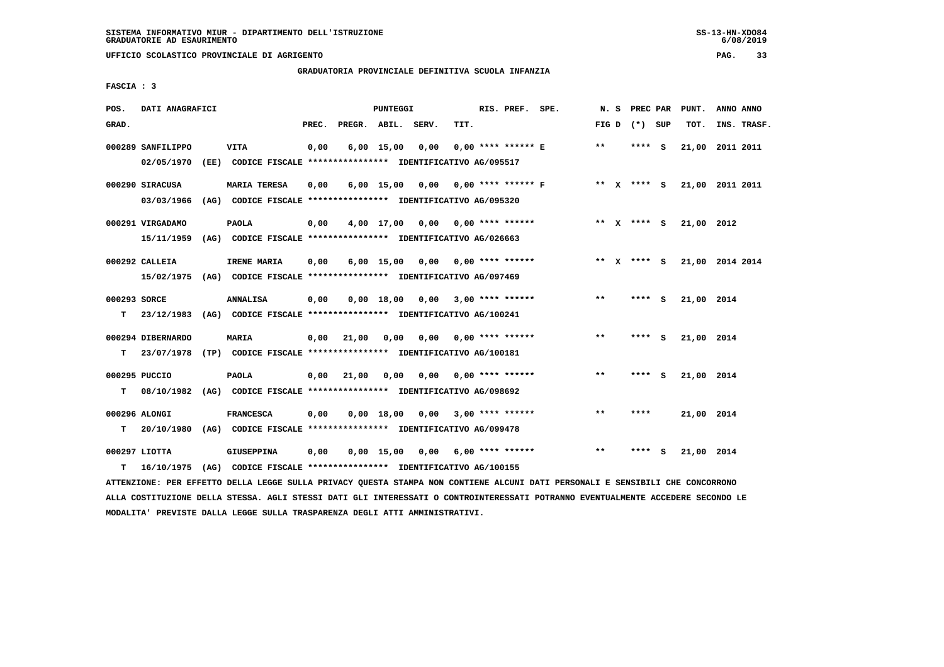**UFFICIO SCOLASTICO PROVINCIALE DI AGRIGENTO PAG. 33**

# **GRADUATORIA PROVINCIALE DEFINITIVA SCUOLA INFANZIA**

 **FASCIA : 3**

| POS.               | DATI ANAGRAFICI                                                                               |                                                                                      |       |              | PUNTEGGI     |                                    |      | RIS. PREF. SPE.           |                                    |              | N. S PREC PAR   |     | PUNT.                  | ANNO ANNO |             |
|--------------------|-----------------------------------------------------------------------------------------------|--------------------------------------------------------------------------------------|-------|--------------|--------------|------------------------------------|------|---------------------------|------------------------------------|--------------|-----------------|-----|------------------------|-----------|-------------|
| GRAD.              |                                                                                               |                                                                                      | PREC. |              |              | PREGR. ABIL. SERV.                 | TIT. |                           |                                    |              | FIG D $(*)$ SUP |     | TOT.                   |           | INS. TRASF. |
|                    | 000289 SANFILIPPO<br>02/05/1970                                                               | <b>VITA</b><br>(EE) CODICE FISCALE *************** IDENTIFICATIVO AG/095517          | 0,00  |              | $6,00$ 15,00 | 0.00                               |      | $0.00$ **** ****** E      |                                    | $***$        | $***$ S         |     | 21,00 2011 2011        |           |             |
|                    | 000290 SIRACUSA<br>03/03/1966                                                                 | <b>MARIA TERESA</b><br>(AG) CODICE FISCALE **************** IDENTIFICATIVO AG/095320 | 0,00  |              |              |                                    |      |                           | 6,00 15,00 0,00 0,00 **** ****** F |              | ** $X$ **** S   |     | 21,00 2011 2011        |           |             |
|                    | 000291 VIRGADAMO<br>15/11/1959 (AG) CODICE FISCALE *************** IDENTIFICATIVO AG/026663   | <b>PAOLA</b>                                                                         | 0,00  |              |              | $4,00$ 17,00 0,00 0,00 **** ****** |      |                           |                                    |              |                 |     | ** X **** S 21,00 2012 |           |             |
|                    | 000292 CALLEIA<br>15/02/1975 (AG) CODICE FISCALE *************** IDENTIFICATIVO AG/097469     | IRENE MARIA                                                                          | 0,00  |              |              | $6,00$ 15,00 0,00 0,00 **** ****** |      |                           |                                    |              | ** $X$ **** S   |     | 21,00 2014 2014        |           |             |
| 000293 SORCE<br>T. | 23/12/1983 (AG) CODICE FISCALE **************** IDENTIFICATIVO AG/100241                      | ANNALISA                                                                             | 0,00  |              |              | $0.00$ 18.00 0.00 3.00 **** ****** |      |                           |                                    | **           | $***$ S         |     | 21,00 2014             |           |             |
| T.                 | 000294 DIBERNARDO<br>23/07/1978 (TP) CODICE FISCALE **************** IDENTIFICATIVO AG/100181 | <b>MARIA</b>                                                                         |       | $0,00$ 21,00 | 0,00         | 0,00                               |      | $0.00$ **** ******        |                                    | $* *$        | **** S          |     | 21,00 2014             |           |             |
| T.                 | 000295 PUCCIO<br>08/10/1982 (AG) CODICE FISCALE *************** IDENTIFICATIVO AG/098692      | <b>PAOLA</b>                                                                         |       | $0,00$ 21,00 | 0,00         |                                    |      | $0,00$ $0,00$ **** ****** |                                    | $\star\star$ | $***$ S         |     | 21,00 2014             |           |             |
| т                  | 000296 ALONGI<br>20/10/1980 (AG) CODICE FISCALE **************** IDENTIFICATIVO AG/099478     | <b>FRANCESCA</b>                                                                     | 0,00  |              | 0,00 18,00   |                                    |      | $0.00$ 3.00 **** ******   |                                    | $* *$        | ****            |     | 21,00 2014             |           |             |
| т                  | 000297 LIOTTA<br>16/10/1975                                                                   | <b>GIUSEPPINA</b><br>(AG) CODICE FISCALE **************** IDENTIFICATIVO AG/100155   | 0,00  |              |              | $0,00$ 15,00 0,00 6,00 **** ****** |      |                           |                                    | $* *$        | ****            | - 5 | 21,00 2014             |           |             |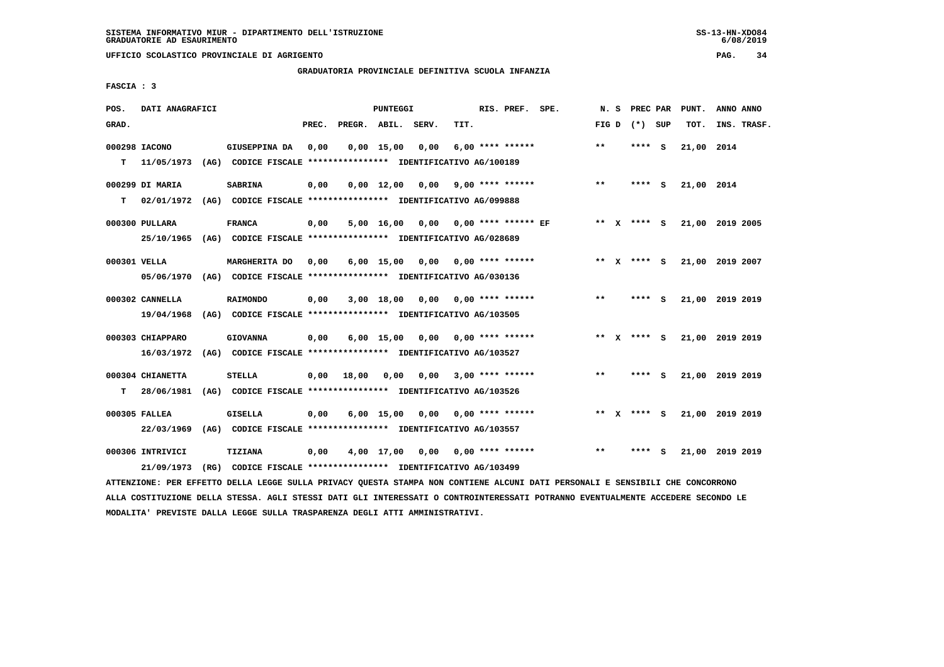**UFFICIO SCOLASTICO PROVINCIALE DI AGRIGENTO PAG. 34**

# **GRADUATORIA PROVINCIALE DEFINITIVA SCUOLA INFANZIA**

 **FASCIA : 3**

| POS.         | DATI ANAGRAFICI  |                                                               |       |                    | PUNTEGGI           |      |      | RIS. PREF. SPE.            | N.S          | PREC PAR    |     | PUNT.      | ANNO ANNO       |  |
|--------------|------------------|---------------------------------------------------------------|-------|--------------------|--------------------|------|------|----------------------------|--------------|-------------|-----|------------|-----------------|--|
| GRAD.        |                  |                                                               | PREC. | PREGR. ABIL. SERV. |                    |      | TIT. |                            | FIG D        | (*) SUP     |     | TOT.       | INS. TRASF.     |  |
|              | 000298 IACONO    | GIUSEPPINA DA                                                 | 0,00  |                    | $0,00$ 15,00       | 0,00 |      | $6,00$ **** ******         | $**$         | **** S      |     | 21,00 2014 |                 |  |
| T.           | 11/05/1973       | (AG) CODICE FISCALE **************** IDENTIFICATIVO AG/100189 |       |                    |                    |      |      |                            |              |             |     |            |                 |  |
|              | 000299 DI MARIA  | <b>SABRINA</b>                                                | 0,00  |                    | $0,00 \quad 12,00$ | 0.00 |      | 9,00 **** ******           | $***$        | **** S      |     | 21,00 2014 |                 |  |
| т            | 02/01/1972       | (AG) CODICE FISCALE **************** IDENTIFICATIVO AG/099888 |       |                    |                    |      |      |                            |              |             |     |            |                 |  |
|              | 000300 PULLARA   | <b>FRANCA</b>                                                 | 0,00  |                    | 5,00 16,00         |      |      | $0,00$ 0,00 **** ****** EF | ** X         | $***$ S     |     |            | 21,00 2019 2005 |  |
|              | 25/10/1965       | (AG) CODICE FISCALE **************** IDENTIFICATIVO AG/028689 |       |                    |                    |      |      |                            |              |             |     |            |                 |  |
| 000301 VELLA |                  | <b>MARGHERITA DO</b>                                          | 0.00  |                    | $6,00$ 15,00       | 0,00 |      | $0.00$ **** ******         |              | ** x **** S |     |            | 21,00 2019 2007 |  |
|              | 05/06/1970       | (AG) CODICE FISCALE **************** IDENTIFICATIVO AG/030136 |       |                    |                    |      |      |                            |              |             |     |            |                 |  |
|              | 000302 CANNELLA  | <b>RAIMONDO</b>                                               | 0,00  |                    | 3,00 18,00         | 0,00 |      | $0.00$ **** ******         | $\star\star$ | **** S      |     |            | 21,00 2019 2019 |  |
|              | 19/04/1968       | (AG) CODICE FISCALE **************** IDENTIFICATIVO AG/103505 |       |                    |                    |      |      |                            |              |             |     |            |                 |  |
|              | 000303 CHIAPPARO | <b>GIOVANNA</b>                                               | 0,00  |                    | $6,00$ 15,00       | 0.00 |      | 0,00 **** ******           |              | ** x **** S |     |            | 21,00 2019 2019 |  |
|              | 16/03/1972       | (AG) CODICE FISCALE **************** IDENTIFICATIVO AG/103527 |       |                    |                    |      |      |                            |              |             |     |            |                 |  |
|              | 000304 CHIANETTA | <b>STELLA</b>                                                 | 0,00  | 18,00              | 0,00               | 0,00 |      | $3,00$ **** ******         | $***$        | **** S      |     |            | 21,00 2019 2019 |  |
| т            | 28/06/1981       | (AG) CODICE FISCALE **************** IDENTIFICATIVO AG/103526 |       |                    |                    |      |      |                            |              |             |     |            |                 |  |
|              | 000305 FALLEA    | <b>GISELLA</b>                                                | 0,00  |                    | $6,00$ 15,00       | 0,00 |      | $0.00$ **** ******         | ** X         | **** S      |     |            | 21,00 2019 2019 |  |
|              | 22/03/1969       | (AG) CODICE FISCALE **************** IDENTIFICATIVO AG/103557 |       |                    |                    |      |      |                            |              |             |     |            |                 |  |
|              | 000306 INTRIVICI | <b>TIZIANA</b>                                                | 0,00  |                    | 4,00 17,00         | 0,00 |      | $0.00$ **** ******         | $\star\star$ | ****        | - S |            | 21,00 2019 2019 |  |
|              | 21/09/1973       | (RG) CODICE FISCALE **************** IDENTIFICATIVO AG/103499 |       |                    |                    |      |      |                            |              |             |     |            |                 |  |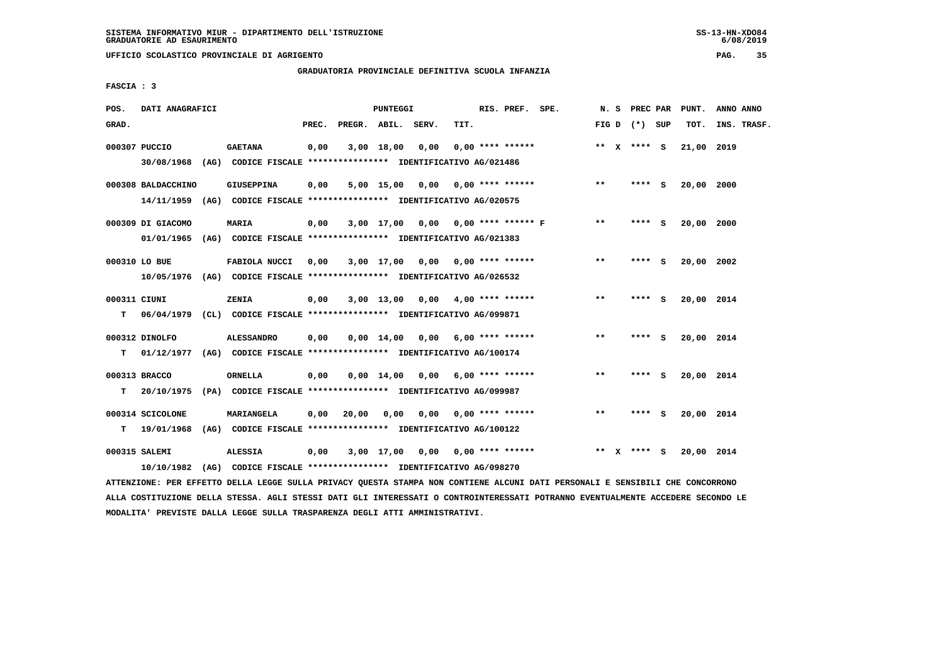**UFFICIO SCOLASTICO PROVINCIALE DI AGRIGENTO PAG. 35**

# **GRADUATORIA PROVINCIALE DEFINITIVA SCUOLA INFANZIA**

 **FASCIA : 3**

| POS.              | DATI ANAGRAFICI                  |                                                                                              |       |              | PUNTEGGI           |                         |      | RIS. PREF. SPE.           |       | N.S          | PREC PAR        |     | PUNT.      | ANNO ANNO   |
|-------------------|----------------------------------|----------------------------------------------------------------------------------------------|-------|--------------|--------------------|-------------------------|------|---------------------------|-------|--------------|-----------------|-----|------------|-------------|
| GRAD.             |                                  |                                                                                              | PREC. | PREGR. ABIL. |                    | SERV.                   | TIT. |                           |       |              | FIG D $(*)$ SUP |     | TOT.       | INS. TRASF. |
|                   | 000307 PUCCIO                    | <b>GAETANA</b><br>30/08/1968 (AG) CODICE FISCALE *************** IDENTIFICATIVO AG/021486    | 0,00  |              | $3,00$ 18,00       | 0.00                    |      | $0.00$ **** ******        |       |              | ** $X$ **** S   |     | 21,00 2019 |             |
|                   | 000308 BALDACCHINO<br>14/11/1959 | <b>GIUSEPPINA</b><br>(AG) CODICE FISCALE **************** IDENTIFICATIVO AG/020575           | 0,00  |              | 5,00 15,00         | 0,00                    |      | $0.00$ **** ******        | $***$ |              | **** S          |     | 20,00 2000 |             |
|                   | 000309 DI GIACOMO<br>01/01/1965  | MARIA<br>(AG) CODICE FISCALE **************** IDENTIFICATIVO AG/021383                       | 0,00  |              | $3,00$ 17,00       | 0,00 0,00 **** ****** F |      |                           | $* *$ |              | **** S          |     | 20,00 2000 |             |
|                   | 000310 LO BUE                    | FABIOLA NUCCI<br>10/05/1976 (AG) CODICE FISCALE *************** IDENTIFICATIVO AG/026532     | 0,00  |              | 3,00 17,00         |                         |      | $0,00$ $0,00$ **** ****** | $***$ |              | **** S          |     | 20,00 2002 |             |
| 000311 CIUNI<br>т | 06/04/1979                       | ZENIA<br>(CL) CODICE FISCALE **************** IDENTIFICATIVO AG/099871                       | 0,00  |              | $3,00$ 13,00       |                         |      | $0,00$ 4,00 **** ******   | $***$ |              | ****            | ్   | 20,00 2014 |             |
| т                 | 000312 DINOLFO                   | <b>ALESSANDRO</b><br>01/12/1977 (AG) CODICE FISCALE *************** IDENTIFICATIVO AG/100174 | 0,00  |              | $0,00$ 14,00       |                         |      | $0,00$ 6,00 **** ******   | $***$ |              | **** S          |     | 20,00 2014 |             |
| т                 | 000313 BRACCO<br>20/10/1975      | <b>ORNELLA</b><br>(PA) CODICE FISCALE **************** IDENTIFICATIVO AG/099987              | 0,00  |              | $0,00 \quad 14,00$ | 0,00                    |      | $6,00$ **** ******        | $***$ |              | ****            | - S | 20,00 2014 |             |
| т                 | 000314 SCICOLONE<br>19/01/1968   | MARIANGELA<br>(AG) CODICE FISCALE **************** IDENTIFICATIVO AG/100122                  | 0,00  | 20,00        | 0,00               | 0,00                    |      | $0.00$ **** ******        | $**$  |              | ****            | - S | 20,00 2014 |             |
|                   | 000315 SALEMI<br>10/10/1982      | <b>ALESSIA</b><br>(AG) CODICE FISCALE **************** IDENTIFICATIVO AG/098270              | 0,00  |              | 3,00 17,00         |                         |      | $0,00$ $0,00$ **** ****** | $***$ | $\mathbf{x}$ | **** S          |     | 20,00 2014 |             |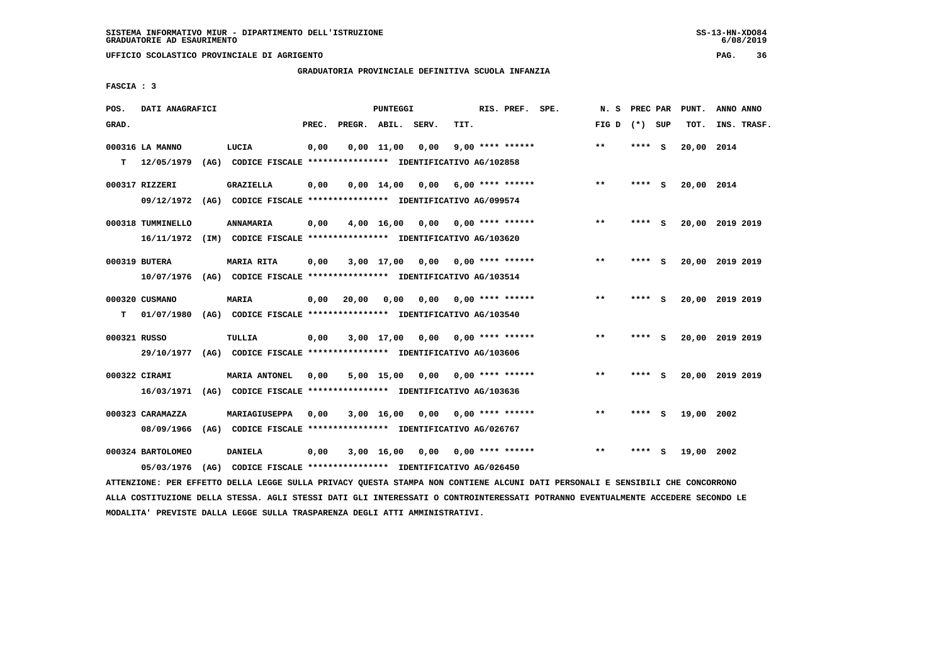# **GRADUATORIA PROVINCIALE DEFINITIVA SCUOLA INFANZIA**

 **FASCIA : 3**

| POS.         | DATI ANAGRAFICI   |      |                                                               |       |              | <b>PUNTEGGI</b>    |       |                           | RIS. PREF. | SPE. | N. S         | PREC PAR |     | PUNT.      | ANNO ANNO       |
|--------------|-------------------|------|---------------------------------------------------------------|-------|--------------|--------------------|-------|---------------------------|------------|------|--------------|----------|-----|------------|-----------------|
| GRAD.        |                   |      |                                                               | PREC. | PREGR. ABIL. |                    | SERV. | TIT.                      |            |      | FIG D        | $(*)$    | SUP | TOT.       | INS. TRASF.     |
|              | 000316 LA MANNO   |      | LUCIA                                                         | 0,00  |              | $0,00$ 11,00       | 0,00  | $9,00$ **** ******        |            |      | $***$        | ****     | - S | 20,00 2014 |                 |
| т            | 12/05/1979        | (AG) | CODICE FISCALE **************** IDENTIFICATIVO AG/102858      |       |              |                    |       |                           |            |      |              |          |     |            |                 |
|              | 000317 RIZZERI    |      | GRAZIELLA                                                     | 0,00  |              | $0,00 \quad 14,00$ | 0,00  | $6,00$ **** ******        |            |      | $***$        | **** S   |     | 20,00 2014 |                 |
|              | 09/12/1972        |      | (AG) CODICE FISCALE **************** IDENTIFICATIVO AG/099574 |       |              |                    |       |                           |            |      |              |          |     |            |                 |
|              | 000318 TUMMINELLO |      | <b>ANNAMARIA</b>                                              | 0,00  |              | 4,00 16,00         |       | $0,00$ $0,00$ **** ****** |            |      | $* *$        | ****     | - S |            | 20,00 2019 2019 |
|              | 16/11/1972        |      | (IM) CODICE FISCALE **************** IDENTIFICATIVO AG/103620 |       |              |                    |       |                           |            |      |              |          |     |            |                 |
|              | 000319 BUTERA     |      | <b>MARIA RITA</b>                                             | 0,00  |              | $3,00$ 17,00       | 0.00  | $0.00$ **** ******        |            |      | $***$        | ****     | - S |            | 20,00 2019 2019 |
|              | 10/07/1976        |      | (AG) CODICE FISCALE **************** IDENTIFICATIVO AG/103514 |       |              |                    |       |                           |            |      |              |          |     |            |                 |
|              | 000320 CUSMANO    |      | MARIA                                                         | 0,00  | 20,00        | 0,00               | 0,00  | 0,00 **** ******          |            |      | $* *$        | ****     | - S |            | 20,00 2019 2019 |
| т            | 01/07/1980        |      | (AG) CODICE FISCALE **************** IDENTIFICATIVO AG/103540 |       |              |                    |       |                           |            |      |              |          |     |            |                 |
| 000321 RUSSO |                   |      | TULLIA                                                        |       |              | $3,00$ 17,00       | 0.00  |                           |            |      | $\star\star$ | ****     | - 5 |            | 20,00 2019 2019 |
|              | 29/10/1977        | (AG) | CODICE FISCALE **************** IDENTIFICATIVO AG/103606      | 0,00  |              |                    |       | $0.00$ **** ******        |            |      |              |          |     |            |                 |
|              |                   |      |                                                               |       |              |                    |       |                           |            |      |              |          |     |            |                 |
|              | 000322 CIRAMI     |      | <b>MARIA ANTONEL</b>                                          | 0,00  |              | 5,00 15,00         | 0.00  | $0.00$ **** ******        |            |      | $* *$        | ****     | - S |            | 20,00 2019 2019 |
|              | 16/03/1971        |      | (AG) CODICE FISCALE **************** IDENTIFICATIVO AG/103636 |       |              |                    |       |                           |            |      |              |          |     |            |                 |
|              | 000323 CARAMAZZA  |      | MARIAGIUSEPPA                                                 | 0.00  |              | $3,00$ 16,00       | 0,00  | 0,00 **** ******          |            |      | $***$        | ****     | - S | 19,00 2002 |                 |
|              | 08/09/1966        |      | (AG) CODICE FISCALE **************** IDENTIFICATIVO AG/026767 |       |              |                    |       |                           |            |      |              |          |     |            |                 |
|              | 000324 BARTOLOMEO |      | DANIELA                                                       | 0,00  |              | 3,00 16,00         |       | $0,00$ $0,00$ **** ****** |            |      | $* *$        |          | s   | 19,00 2002 |                 |
|              | 05/03/1976        | (AG) | CODICE FISCALE **************** IDENTIFICATIVO AG/026450      |       |              |                    |       |                           |            |      |              |          |     |            |                 |

 **ATTENZIONE: PER EFFETTO DELLA LEGGE SULLA PRIVACY QUESTA STAMPA NON CONTIENE ALCUNI DATI PERSONALI E SENSIBILI CHE CONCORRONO ALLA COSTITUZIONE DELLA STESSA. AGLI STESSI DATI GLI INTERESSATI O CONTROINTERESSATI POTRANNO EVENTUALMENTE ACCEDERE SECONDO LE MODALITA' PREVISTE DALLA LEGGE SULLA TRASPARENZA DEGLI ATTI AMMINISTRATIVI.**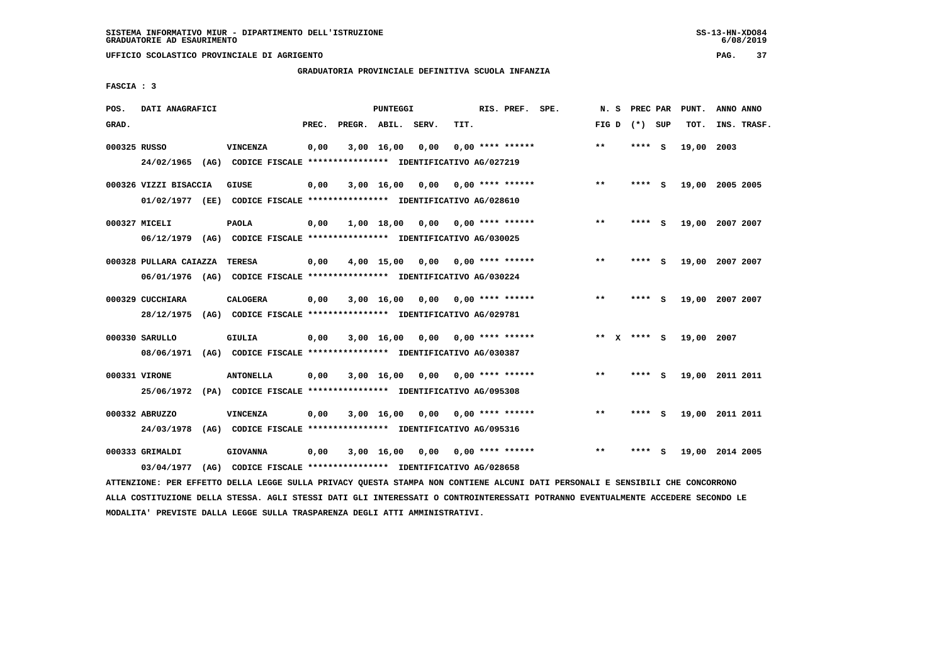**UFFICIO SCOLASTICO PROVINCIALE DI AGRIGENTO PAG. 37**

# **GRADUATORIA PROVINCIALE DEFINITIVA SCUOLA INFANZIA**

 **FASCIA : 3**

| POS.         | DATI ANAGRAFICI                                                                                                               |                                                                         |       |                    | PUNTEGGI   |                                    |      | RIS. PREF. SPE.           | N. S  | PREC PAR        | PUNT.           | ANNO ANNO |             |
|--------------|-------------------------------------------------------------------------------------------------------------------------------|-------------------------------------------------------------------------|-------|--------------------|------------|------------------------------------|------|---------------------------|-------|-----------------|-----------------|-----------|-------------|
| GRAD.        |                                                                                                                               |                                                                         | PREC. | PREGR. ABIL. SERV. |            |                                    | TIT. |                           |       | FIG D $(*)$ SUP | TOT.            |           | INS. TRASF. |
| 000325 RUSSO |                                                                                                                               | VINCENZA                                                                | 0,00  |                    | 3,00 16,00 | 0,00                               |      | $0.00$ **** ******        | $***$ | **** S          | 19,00 2003      |           |             |
|              |                                                                                                                               | 24/02/1965 (AG) CODICE FISCALE *************** IDENTIFICATIVO AG/027219 |       |                    |            |                                    |      |                           |       |                 |                 |           |             |
|              | 000326 VIZZI BISACCIA                                                                                                         | GIUSE                                                                   | 0,00  |                    | 3,00 16,00 |                                    |      | $0,00$ $0,00$ **** ****** | **    | **** S          | 19,00 2005 2005 |           |             |
|              |                                                                                                                               | 01/02/1977 (EE) CODICE FISCALE *************** IDENTIFICATIVO AG/028610 |       |                    |            |                                    |      |                           |       |                 |                 |           |             |
|              | 000327 MICELI                                                                                                                 | PAOLA                                                                   | 0,00  |                    | 1,00 18,00 |                                    |      |                           | $***$ | **** S          | 19,00 2007 2007 |           |             |
|              |                                                                                                                               | 06/12/1979 (AG) CODICE FISCALE *************** IDENTIFICATIVO AG/030025 |       |                    |            |                                    |      |                           |       |                 |                 |           |             |
|              | 000328 PULLARA CAIAZZA TERESA                                                                                                 |                                                                         | 0,00  |                    |            | 4,00 15,00 0,00                    |      | $0,00$ **** ******        | $* *$ | **** S          | 19,00 2007 2007 |           |             |
|              |                                                                                                                               | 06/01/1976 (AG) CODICE FISCALE *************** IDENTIFICATIVO AG/030224 |       |                    |            |                                    |      |                           |       |                 |                 |           |             |
|              | 000329 CUCCHIARA                                                                                                              | <b>CALOGERA</b>                                                         | 0,00  |                    |            | $3,00$ 16,00 0,00 0,00 **** ****** |      |                           | $* *$ | **** S          | 19,00 2007 2007 |           |             |
|              |                                                                                                                               | 28/12/1975 (AG) CODICE FISCALE *************** IDENTIFICATIVO AG/029781 |       |                    |            |                                    |      |                           |       |                 |                 |           |             |
|              | 000330 SARULLO                                                                                                                | GIULIA                                                                  | 0,00  |                    |            | $3,00$ 16,00 0,00 0,00 **** ****** |      |                           |       | ** x **** s     | 19,00 2007      |           |             |
|              |                                                                                                                               | 08/06/1971 (AG) CODICE FISCALE *************** IDENTIFICATIVO AG/030387 |       |                    |            |                                    |      |                           |       |                 |                 |           |             |
|              | 000331 VIRONE                                                                                                                 | <b>ANTONELLA</b>                                                        | 0,00  |                    |            | $3,00$ 16,00 0,00 0,00 **** ****** |      |                           | $***$ | **** S          | 19,00 2011 2011 |           |             |
|              |                                                                                                                               | 25/06/1972 (PA) CODICE FISCALE *************** IDENTIFICATIVO AG/095308 |       |                    |            |                                    |      |                           |       |                 |                 |           |             |
|              | 000332 ABRUZZO                                                                                                                | VINCENZA                                                                | 0,00  |                    |            | $3,00$ 16,00 0,00 0,00 **** ****** |      |                           | **    | **** S          | 19,00 2011 2011 |           |             |
|              |                                                                                                                               | 24/03/1978 (AG) CODICE FISCALE *************** IDENTIFICATIVO AG/095316 |       |                    |            |                                    |      |                           |       |                 |                 |           |             |
|              | 000333 GRIMALDI                                                                                                               | <b>GIOVANNA</b>                                                         | 0,00  |                    |            | 3,00 16,00 0,00                    |      | $0,00$ **** ******        | $* *$ | **** S          | 19,00 2014 2005 |           |             |
|              | 03/04/1977                                                                                                                    | (AG) CODICE FISCALE **************** IDENTIFICATIVO AG/028658           |       |                    |            |                                    |      |                           |       |                 |                 |           |             |
|              | ATTENZIONE: PER EFFETTO DELLA LEGGE SULLA PRIVACY QUESTA STAMPA NON CONTIENE ALCUNI DATI PERSONALI E SENSIBILI CHE CONCORRONO |                                                                         |       |                    |            |                                    |      |                           |       |                 |                 |           |             |

 **ALLA COSTITUZIONE DELLA STESSA. AGLI STESSI DATI GLI INTERESSATI O CONTROINTERESSATI POTRANNO EVENTUALMENTE ACCEDERE SECONDO LE MODALITA' PREVISTE DALLA LEGGE SULLA TRASPARENZA DEGLI ATTI AMMINISTRATIVI.**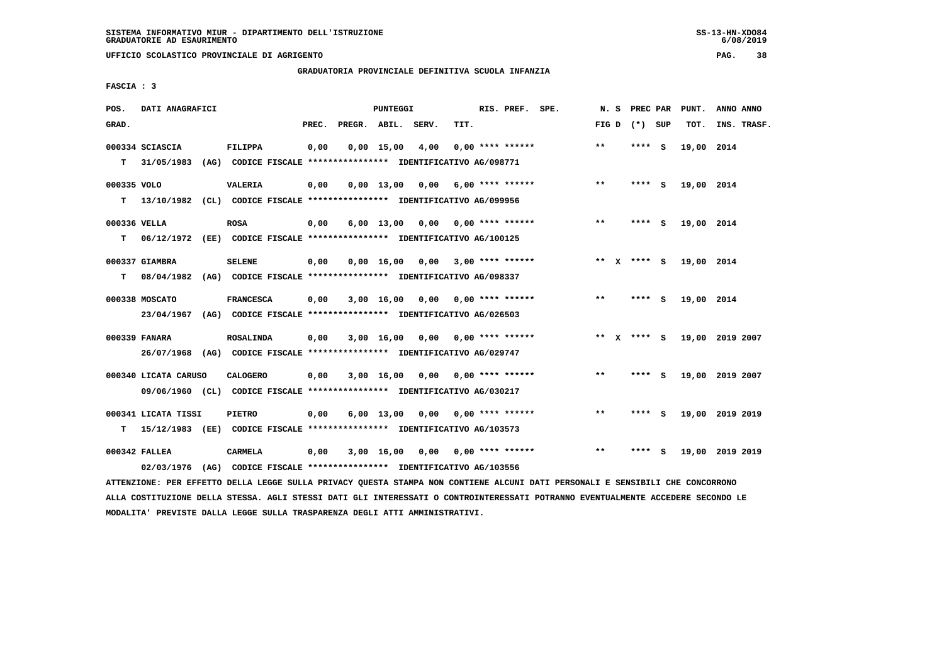# **GRADUATORIA PROVINCIALE DEFINITIVA SCUOLA INFANZIA**

 **FASCIA : 3**

| POS.         | DATI ANAGRAFICI      |                                                                         |       |                    | PUNTEGGI           |                                    |      | RIS. PREF. SPE.                 | N.S   | <b>PREC PAR</b> |     | PUNT.      | ANNO ANNO       |
|--------------|----------------------|-------------------------------------------------------------------------|-------|--------------------|--------------------|------------------------------------|------|---------------------------------|-------|-----------------|-----|------------|-----------------|
| GRAD.        |                      |                                                                         | PREC. | PREGR. ABIL. SERV. |                    |                                    | TIT. |                                 |       | FIG D $(*)$ SUP |     | TOT.       | INS. TRASF.     |
|              | 000334 SCIASCIA      | <b>FILIPPA</b>                                                          | 0,00  |                    | $0,00$ 15,00       | 4,00                               |      | $0.00$ **** ******              | $* *$ | ****            | - S | 19,00 2014 |                 |
| т            | 31/05/1983           | (AG) CODICE FISCALE **************** IDENTIFICATIVO AG/098771           |       |                    |                    |                                    |      |                                 |       |                 |     |            |                 |
| 000335 VOLO  |                      | <b>VALERIA</b>                                                          | 0,00  |                    | $0.00$ 13.00       | 0,00                               |      | 6,00 **** ******                | $**$  | **** S          |     | 19,00 2014 |                 |
| т            |                      | 13/10/1982 (CL) CODICE FISCALE *************** IDENTIFICATIVO AG/099956 |       |                    |                    |                                    |      |                                 |       |                 |     |            |                 |
| 000336 VELLA |                      | <b>ROSA</b>                                                             | 0,00  |                    | $6,00 \quad 13,00$ |                                    |      | $0,00$ $0,00$ **** ******       | **    | ****            | - S | 19,00 2014 |                 |
| т            |                      | 06/12/1972 (EE) CODICE FISCALE *************** IDENTIFICATIVO AG/100125 |       |                    |                    |                                    |      |                                 |       |                 |     |            |                 |
|              | 000337 GIAMBRA       | <b>SELENE</b>                                                           | 0,00  |                    | $0,00 \quad 16,00$ | 0,00                               |      | 3,00 **** ******                |       | ** x **** S     |     | 19,00 2014 |                 |
| т            | 08/04/1982           | (AG) CODICE FISCALE **************** IDENTIFICATIVO AG/098337           |       |                    |                    |                                    |      |                                 |       |                 |     |            |                 |
|              | 000338 MOSCATO       | <b>FRANCESCA</b>                                                        | 0,00  |                    |                    | $3,00$ 16,00 0,00 0,00 **** ****** |      |                                 | $***$ | $***$ S         |     | 19,00 2014 |                 |
|              | 23/04/1967           | (AG) CODICE FISCALE **************** IDENTIFICATIVO AG/026503           |       |                    |                    |                                    |      |                                 |       |                 |     |            |                 |
|              | 000339 FANARA        | <b>ROSALINDA</b>                                                        | 0,00  |                    |                    | $3,00$ 16,00 0,00 0,00 **** ****** |      |                                 |       | ** $X$ **** S   |     |            | 19,00 2019 2007 |
|              |                      | 26/07/1968 (AG) CODICE FISCALE *************** IDENTIFICATIVO AG/029747 |       |                    |                    |                                    |      |                                 |       |                 |     |            |                 |
|              | 000340 LICATA CARUSO | <b>CALOGERO</b>                                                         | 0,00  |                    | 3,00 16,00         |                                    |      | $0.00$ $0.00$ **** ******       | **    | **** S          |     |            | 19,00 2019 2007 |
|              |                      | 09/06/1960 (CL) CODICE FISCALE *************** IDENTIFICATIVO AG/030217 |       |                    |                    |                                    |      |                                 |       |                 |     |            |                 |
|              | 000341 LICATA TISSI  | <b>PIETRO</b>                                                           | 0,00  |                    | $6,00$ 13,00       |                                    |      | $0.00$ $0.00$ $***$ **** ****** | $* *$ | ****            | - S |            | 19,00 2019 2019 |
| т            |                      | 15/12/1983 (EE) CODICE FISCALE *************** IDENTIFICATIVO AG/103573 |       |                    |                    |                                    |      |                                 |       |                 |     |            |                 |
|              | 000342 FALLEA        | CARMELA                                                                 | 0,00  |                    | 3,00 16,00         | 0,00                               |      | $0.00$ **** ******              | $***$ | ****            | s   |            | 19,00 2019 2019 |
|              |                      | 02/03/1976 (AG) CODICE FISCALE *************** IDENTIFICATIVO AG/103556 |       |                    |                    |                                    |      |                                 |       |                 |     |            |                 |

 **ATTENZIONE: PER EFFETTO DELLA LEGGE SULLA PRIVACY QUESTA STAMPA NON CONTIENE ALCUNI DATI PERSONALI E SENSIBILI CHE CONCORRONO ALLA COSTITUZIONE DELLA STESSA. AGLI STESSI DATI GLI INTERESSATI O CONTROINTERESSATI POTRANNO EVENTUALMENTE ACCEDERE SECONDO LE MODALITA' PREVISTE DALLA LEGGE SULLA TRASPARENZA DEGLI ATTI AMMINISTRATIVI.**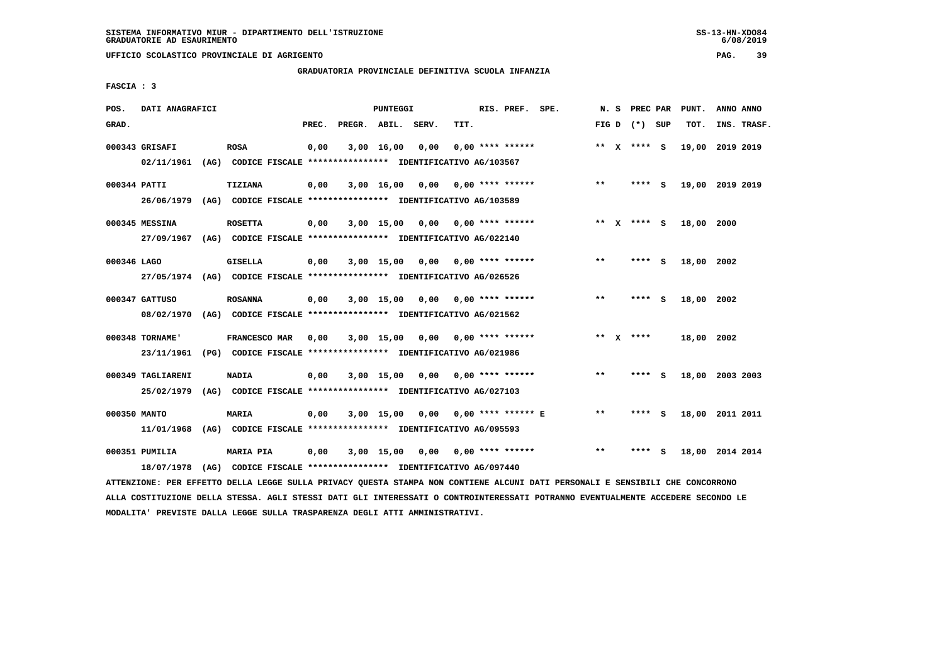# **GRADUATORIA PROVINCIALE DEFINITIVA SCUOLA INFANZIA**

 **FASCIA : 3**

| POS.         | DATI ANAGRAFICI   |                                                                                                                               |      |                          | <b>PUNTEGGI</b> |                                    |                  | RIS. PREF. SPE. |              |                   | N. S PREC PAR PUNT. | ANNO ANNO |             |
|--------------|-------------------|-------------------------------------------------------------------------------------------------------------------------------|------|--------------------------|-----------------|------------------------------------|------------------|-----------------|--------------|-------------------|---------------------|-----------|-------------|
| GRAD.        |                   |                                                                                                                               |      | PREC. PREGR. ABIL. SERV. |                 |                                    | TIT.             |                 |              | FIG $D$ $(*)$ SUP | TOT.                |           | INS. TRASF. |
|              | 000343 GRISAFI    | <b>ROSA</b>                                                                                                                   | 0,00 |                          |                 | 3,00 16,00 0,00                    | 0,00 **** ****** |                 |              | ** X **** S       | 19,00 2019 2019     |           |             |
|              | 02/11/1961        | (AG) CODICE FISCALE *************** IDENTIFICATIVO AG/103567                                                                  |      |                          |                 |                                    |                  |                 |              |                   |                     |           |             |
| 000344 PATTI |                   | TIZIANA                                                                                                                       | 0,00 |                          |                 | $3,00$ 16,00 0,00 0,00 **** ****** |                  |                 | $***$        | **** S            | 19,00 2019 2019     |           |             |
|              |                   | 26/06/1979 (AG) CODICE FISCALE *************** IDENTIFICATIVO AG/103589                                                       |      |                          |                 |                                    |                  |                 |              |                   |                     |           |             |
|              | 000345 MESSINA    | <b>ROSETTA</b>                                                                                                                | 0,00 |                          |                 | $3,00$ 15,00 0,00 0,00 **** ****** |                  |                 |              | ** $X$ **** S     | 18,00 2000          |           |             |
|              |                   | 27/09/1967 (AG) CODICE FISCALE *************** IDENTIFICATIVO AG/022140                                                       |      |                          |                 |                                    |                  |                 |              |                   |                     |           |             |
| 000346 LAGO  |                   | <b>GISELLA</b>                                                                                                                | 0,00 |                          |                 | $3,00$ 15,00 0,00 0,00 **** ****** |                  |                 | $***$        | $***$ S           | 18,00 2002          |           |             |
|              |                   | 27/05/1974 (AG) CODICE FISCALE *************** IDENTIFICATIVO AG/026526                                                       |      |                          |                 |                                    |                  |                 |              |                   |                     |           |             |
|              | 000347 GATTUSO    | <b>ROSANNA</b>                                                                                                                | 0,00 |                          |                 | $3,00$ 15,00 0,00 0,00 **** ****** |                  |                 | $***$        | **** S            | 18,00 2002          |           |             |
|              |                   | 08/02/1970 (AG) CODICE FISCALE *************** IDENTIFICATIVO AG/021562                                                       |      |                          |                 |                                    |                  |                 |              |                   |                     |           |             |
|              | 000348 TORNAME'   | <b>FRANCESCO MAR</b>                                                                                                          | 0,00 |                          |                 | $3,00$ 15,00 0,00 0,00 **** ****** |                  |                 |              | ** $X$ ****       | 18,00 2002          |           |             |
|              |                   | 23/11/1961 (PG) CODICE FISCALE *************** IDENTIFICATIVO AG/021986                                                       |      |                          |                 |                                    |                  |                 |              |                   |                     |           |             |
|              | 000349 TAGLIARENI | <b>NADIA</b>                                                                                                                  | 0,00 |                          |                 | 3,00 15,00 0,00 0,00 **** ******   |                  |                 | $\star\star$ | **** S            | 18,00 2003 2003     |           |             |
|              |                   | 25/02/1979 (AG) CODICE FISCALE *************** IDENTIFICATIVO AG/027103                                                       |      |                          |                 |                                    |                  |                 |              |                   |                     |           |             |
|              |                   |                                                                                                                               |      |                          |                 |                                    |                  |                 |              |                   |                     |           |             |
| 000350 MANTO |                   | <b>MARIA</b>                                                                                                                  | 0,00 |                          |                 | 3,00 15,00 0,00 0,00 **** ****** E |                  |                 | $***$        | **** S            | 18,00 2011 2011     |           |             |
|              |                   | 11/01/1968 (AG) CODICE FISCALE *************** IDENTIFICATIVO AG/095593                                                       |      |                          |                 |                                    |                  |                 |              |                   |                     |           |             |
|              | 000351 PUMILIA    | <b>MARIA PIA</b>                                                                                                              | 0,00 |                          |                 | 3,00 15,00 0,00 0,00 **** ******   |                  |                 | $***$        | **** S            | 18,00 2014 2014     |           |             |
|              | 18/07/1978        | (AG) CODICE FISCALE *************** IDENTIFICATIVO AG/097440                                                                  |      |                          |                 |                                    |                  |                 |              |                   |                     |           |             |
|              |                   | ATTENZIONE: PER EFFETTO DELLA LEGGE SULLA PRIVACY QUESTA STAMPA NON CONTIENE ALCUNI DATI PERSONALI E SENSIBILI CHE CONCORRONO |      |                          |                 |                                    |                  |                 |              |                   |                     |           |             |

 **ALLA COSTITUZIONE DELLA STESSA. AGLI STESSI DATI GLI INTERESSATI O CONTROINTERESSATI POTRANNO EVENTUALMENTE ACCEDERE SECONDO LE MODALITA' PREVISTE DALLA LEGGE SULLA TRASPARENZA DEGLI ATTI AMMINISTRATIVI.**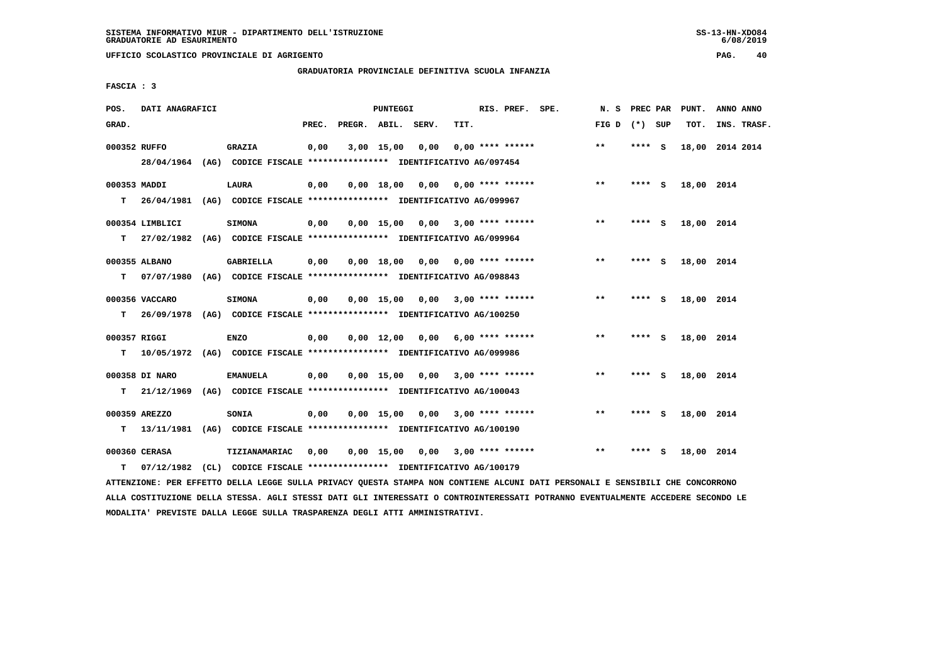**UFFICIO SCOLASTICO PROVINCIALE DI AGRIGENTO PAG. 40**

# **GRADUATORIA PROVINCIALE DEFINITIVA SCUOLA INFANZIA**

 **FASCIA : 3**

| POS.               | DATI ANAGRAFICI             |                                                                                              |       |                    | PUNTEGGI           |                                    |      | RIS. PREF. SPE.         | N. S PREC PAR   |          |     | PUNT.      | ANNO ANNO       |
|--------------------|-----------------------------|----------------------------------------------------------------------------------------------|-------|--------------------|--------------------|------------------------------------|------|-------------------------|-----------------|----------|-----|------------|-----------------|
| GRAD.              |                             |                                                                                              | PREC. | PREGR. ABIL. SERV. |                    |                                    | TIT. |                         | FIG D $(*)$ SUP |          |     | TOT.       | INS. TRASF.     |
|                    | 000352 RUFFO                | <b>GRAZIA</b><br>28/04/1964 (AG) CODICE FISCALE *************** IDENTIFICATIVO AG/097454     | 0,00  |                    | $3,00$ 15,00       | 0,00                               |      | $0.00$ **** ******      | $* *$           | **** S   |     |            | 18,00 2014 2014 |
| 000353 MADDI<br>T. |                             | <b>LAURA</b><br>26/04/1981 (AG) CODICE FISCALE **************** IDENTIFICATIVO AG/099967     | 0,00  |                    | 0.00 18.00         | 0,00                               |      | $0.00$ **** ******      | $***$           | **** S   |     | 18,00 2014 |                 |
| т                  | 000354 LIMBLICI             | <b>SIMONA</b><br>27/02/1982 (AG) CODICE FISCALE **************** IDENTIFICATIVO AG/099964    | 0,00  |                    | 0,00 15,00         |                                    |      | $0,00$ 3,00 **** ****** | **              | **** S   |     | 18,00 2014 |                 |
| т                  | 000355 ALBANO<br>07/07/1980 | GABRIELLA<br>(AG) CODICE FISCALE **************** IDENTIFICATIVO AG/098843                   | 0,00  |                    | 0.00 18.00         | 0.00                               |      | $0.00$ **** ******      | $**$            | **** S   |     | 18,00 2014 |                 |
| T.                 | 000356 VACCARO              | <b>SIMONA</b><br>26/09/1978 (AG) CODICE FISCALE **************** IDENTIFICATIVO AG/100250    | 0,00  |                    | $0,00$ 15,00       | 0,00                               |      | $3,00$ **** ******      | $***$           | **** $S$ |     | 18,00 2014 |                 |
| 000357 RIGGI<br>т  |                             | <b>ENZO</b><br>10/05/1972 (AG) CODICE FISCALE *************** IDENTIFICATIVO AG/099986       | 0,00  |                    |                    | $0,00$ 12,00 0,00 6,00 **** ****** |      |                         | $***$           | **** S   |     | 18,00 2014 |                 |
|                    | 000358 DI NARO              | <b>EMANUELA</b><br>T 21/12/1969 (AG) CODICE FISCALE *************** IDENTIFICATIVO AG/100043 | 0,00  |                    | $0,00$ 15,00       |                                    |      | $0,00$ 3,00 **** ****** | $***$           | **** S   |     | 18,00 2014 |                 |
| т                  | 000359 AREZZO<br>13/11/1981 | SONIA<br>(AG) CODICE FISCALE **************** IDENTIFICATIVO AG/100190                       | 0,00  |                    | $0,00 \quad 15,00$ | 0.00                               |      | $3.00$ **** ******      | $* *$           | **** S   |     | 18,00 2014 |                 |
| т                  | 000360 CERASA               | TIZIANAMARIAC<br>07/12/1982 (CL) CODICE FISCALE *************** IDENTIFICATIVO AG/100179     | 0,00  |                    | $0,00$ 15,00       | 0,00                               |      | $3,00$ **** ******      | $\star\star$    | ****     | - S | 18,00 2014 |                 |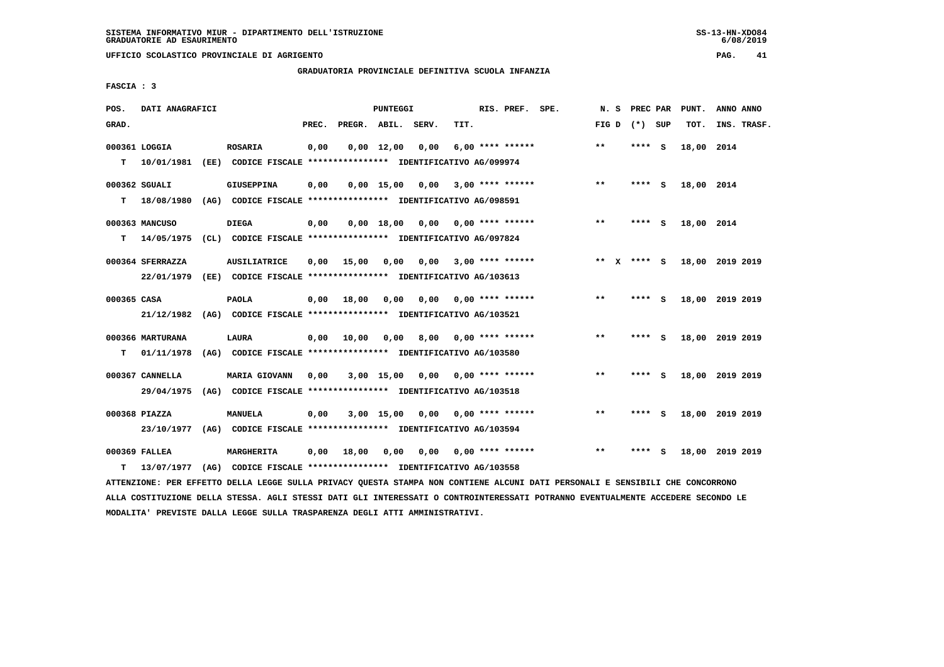# **GRADUATORIA PROVINCIALE DEFINITIVA SCUOLA INFANZIA**

 **FASCIA : 3**

| POS.        | DATI ANAGRAFICI  |                                                               |       |                    | <b>PUNTEGGI</b>    |      |                           | RIS. PREF. SPE.    | N.S         | PREC PAR |     | PUNT.      | ANNO ANNO       |  |
|-------------|------------------|---------------------------------------------------------------|-------|--------------------|--------------------|------|---------------------------|--------------------|-------------|----------|-----|------------|-----------------|--|
| GRAD.       |                  |                                                               | PREC. | PREGR. ABIL. SERV. |                    |      | TIT.                      |                    | FIG D       | (*) SUP  |     | TOT.       | INS. TRASF.     |  |
|             | 000361 LOGGIA    | <b>ROSARIA</b>                                                | 0,00  |                    | $0,00 \quad 12,00$ | 0,00 |                           | $6,00$ **** ****** | $* *$       | ****     | - S | 18,00 2014 |                 |  |
| т           | 10/01/1981       | (EE) CODICE FISCALE **************** IDENTIFICATIVO AG/099974 |       |                    |                    |      |                           |                    |             |          |     |            |                 |  |
|             | 000362 SGUALI    | <b>GIUSEPPINA</b>                                             | 0,00  |                    | $0,00$ 15,00       | 0,00 | 3,00 **** ******          |                    | $***$       | **** S   |     | 18,00 2014 |                 |  |
| т           | 18/08/1980       | (AG) CODICE FISCALE **************** IDENTIFICATIVO AG/098591 |       |                    |                    |      |                           |                    |             |          |     |            |                 |  |
|             | 000363 MANCUSO   | <b>DIEGA</b>                                                  | 0,00  |                    | 0.00 18.00         |      | $0,00$ $0,00$ **** ****** |                    | $* *$       | **** S   |     | 18,00 2014 |                 |  |
| т           | 14/05/1975       | (CL) CODICE FISCALE **************** IDENTIFICATIVO AG/097824 |       |                    |                    |      |                           |                    |             |          |     |            |                 |  |
|             | 000364 SFERRAZZA | <b>AUSILIATRICE</b>                                           | 0.00  | 15,00              | 0.00               |      | $0,00$ 3,00 **** ******   |                    | ** x **** S |          |     |            | 18,00 2019 2019 |  |
|             | 22/01/1979       | (EE) CODICE FISCALE **************** IDENTIFICATIVO AG/103613 |       |                    |                    |      |                           |                    |             |          |     |            |                 |  |
| 000365 CASA |                  | <b>PAOLA</b>                                                  | 0,00  | 18,00              | 0,00               | 0,00 |                           | $0.00$ **** ****** | $***$       | ****     | - 5 |            | 18,00 2019 2019 |  |
|             | 21/12/1982       | (AG) CODICE FISCALE **************** IDENTIFICATIVO AG/103521 |       |                    |                    |      |                           |                    |             |          |     |            |                 |  |
|             | 000366 MARTURANA | LAURA                                                         | 0,00  | 10,00              | 0,00               | 8,00 | 0,00 **** ******          |                    | $***$       | **** S   |     |            | 18,00 2019 2019 |  |
| т           | 01/11/1978       | (AG) CODICE FISCALE **************** IDENTIFICATIVO AG/103580 |       |                    |                    |      |                           |                    |             |          |     |            |                 |  |
|             | 000367 CANNELLA  | <b>MARIA GIOVANN</b>                                          | 0,00  |                    | $3,00$ 15,00       |      | $0,00$ $0,00$ **** ****** |                    | $***$       | **** S   |     |            | 18,00 2019 2019 |  |
|             | 29/04/1975       | (AG) CODICE FISCALE **************** IDENTIFICATIVO AG/103518 |       |                    |                    |      |                           |                    |             |          |     |            |                 |  |
|             | 000368 PIAZZA    | <b>MANUELA</b>                                                | 0,00  |                    | 3,00 15,00         |      | $0,00$ $0,00$ **** ****** |                    | $***$       | ****     | - 5 |            | 18,00 2019 2019 |  |
|             | 23/10/1977       | (AG) CODICE FISCALE **************** IDENTIFICATIVO AG/103594 |       |                    |                    |      |                           |                    |             |          |     |            |                 |  |
|             | 000369 FALLEA    | MARGHERITA                                                    | 0,00  | 18,00              | 0,00               | 0,00 |                           | 0,00 **** ******   | $* *$       | ****     | - S |            | 18,00 2019 2019 |  |
| т           | 13/07/1977       | (AG) CODICE FISCALE **************** IDENTIFICATIVO AG/103558 |       |                    |                    |      |                           |                    |             |          |     |            |                 |  |

 **ATTENZIONE: PER EFFETTO DELLA LEGGE SULLA PRIVACY QUESTA STAMPA NON CONTIENE ALCUNI DATI PERSONALI E SENSIBILI CHE CONCORRONO ALLA COSTITUZIONE DELLA STESSA. AGLI STESSI DATI GLI INTERESSATI O CONTROINTERESSATI POTRANNO EVENTUALMENTE ACCEDERE SECONDO LE MODALITA' PREVISTE DALLA LEGGE SULLA TRASPARENZA DEGLI ATTI AMMINISTRATIVI.**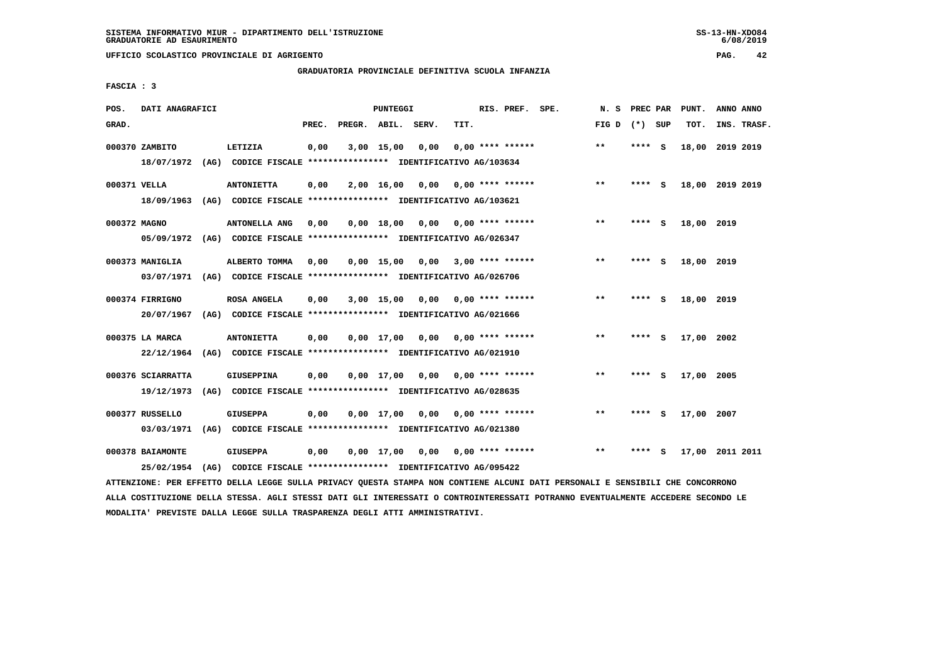**UFFICIO SCOLASTICO PROVINCIALE DI AGRIGENTO PAG. 42**

# **GRADUATORIA PROVINCIALE DEFINITIVA SCUOLA INFANZIA**

 **FASCIA : 3**

| POS.         | DATI ANAGRAFICI   |                                                               |       |                    | PUNTEGGI     |      |      | RIS. PREF. SPE.           | N.S   | PREC PAR |     | PUNT.      | ANNO ANNO       |
|--------------|-------------------|---------------------------------------------------------------|-------|--------------------|--------------|------|------|---------------------------|-------|----------|-----|------------|-----------------|
| GRAD.        |                   |                                                               | PREC. | PREGR. ABIL. SERV. |              |      | TIT. |                           | FIG D | (*) SUP  |     | TOT.       | INS. TRASF.     |
|              | 000370 ZAMBITO    | LETIZIA                                                       | 0,00  |                    | 3,00 15,00   | 0,00 |      | $0.00$ **** ******        | $* *$ | ****     | - S | 18,00      | 2019 2019       |
|              | 18/07/1972        | (AG) CODICE FISCALE **************** IDENTIFICATIVO AG/103634 |       |                    |              |      |      |                           |       |          |     |            |                 |
| 000371 VELLA |                   | <b>ANTONIETTA</b>                                             | 0,00  |                    | 2,00 16,00   | 0.00 |      | 0,00 **** ******          | $***$ | **** S   |     |            | 18,00 2019 2019 |
|              | 18/09/1963        | (AG) CODICE FISCALE **************** IDENTIFICATIVO AG/103621 |       |                    |              |      |      |                           |       |          |     |            |                 |
| 000372 MAGNO |                   | <b>ANTONELLA ANG</b>                                          | 0,00  |                    | $0,00$ 18,00 |      |      | $0,00$ 0,00 **** ******   | $* *$ | ****     | - S | 18,00 2019 |                 |
|              | 05/09/1972        | (AG) CODICE FISCALE **************** IDENTIFICATIVO AG/026347 |       |                    |              |      |      |                           |       |          |     |            |                 |
|              | 000373 MANIGLIA   | ALBERTO TOMMA                                                 | 0.00  |                    | $0.00$ 15.00 | 0,00 |      | $3,00$ **** ******        | $* *$ | ****     | - S | 18,00 2019 |                 |
|              | 03/07/1971        | (AG) CODICE FISCALE **************** IDENTIFICATIVO AG/026706 |       |                    |              |      |      |                           |       |          |     |            |                 |
|              | 000374 FIRRIGNO   | ROSA ANGELA                                                   | 0,00  |                    | $3,00$ 15,00 | 0,00 |      | $0.00$ **** ******        | $* *$ | ****     | - S | 18,00 2019 |                 |
|              | 20/07/1967        | (AG) CODICE FISCALE **************** IDENTIFICATIVO AG/021666 |       |                    |              |      |      |                           |       |          |     |            |                 |
|              | 000375 LA MARCA   | <b>ANTONIETTA</b>                                             | 0,00  |                    | $0,00$ 17,00 | 0,00 |      | 0,00 **** ******          | $***$ | ****     | - S | 17,00 2002 |                 |
|              | 22/12/1964        | (AG) CODICE FISCALE **************** IDENTIFICATIVO AG/021910 |       |                    |              |      |      |                           |       |          |     |            |                 |
|              | 000376 SCIARRATTA | <b>GIUSEPPINA</b>                                             | 0,00  |                    | 0,00 17,00   |      |      | $0.00$ $0.00$ **** ****** | $* *$ | ****     | - S | 17,00 2005 |                 |
|              | 19/12/1973        | (AG) CODICE FISCALE **************** IDENTIFICATIVO AG/028635 |       |                    |              |      |      |                           |       |          |     |            |                 |
|              | 000377 RUSSELLO   | <b>GIUSEPPA</b>                                               | 0,00  |                    | $0,00$ 17,00 | 0,00 |      | $0.00$ **** ******        | $* *$ | ****     | - S | 17,00      | 2007            |
|              | 03/03/1971        | (AG) CODICE FISCALE **************** IDENTIFICATIVO AG/021380 |       |                    |              |      |      |                           |       |          |     |            |                 |
|              | 000378 BAIAMONTE  | <b>GIUSEPPA</b>                                               | 0,00  |                    | $0.00$ 17.00 | 0.00 |      | $0.00$ **** ******        | $* *$ | ****     | s   | 17,00      | 2011 2011       |
|              | 25/02/1954        | (AG) CODICE FISCALE **************** IDENTIFICATIVO AG/095422 |       |                    |              |      |      |                           |       |          |     |            |                 |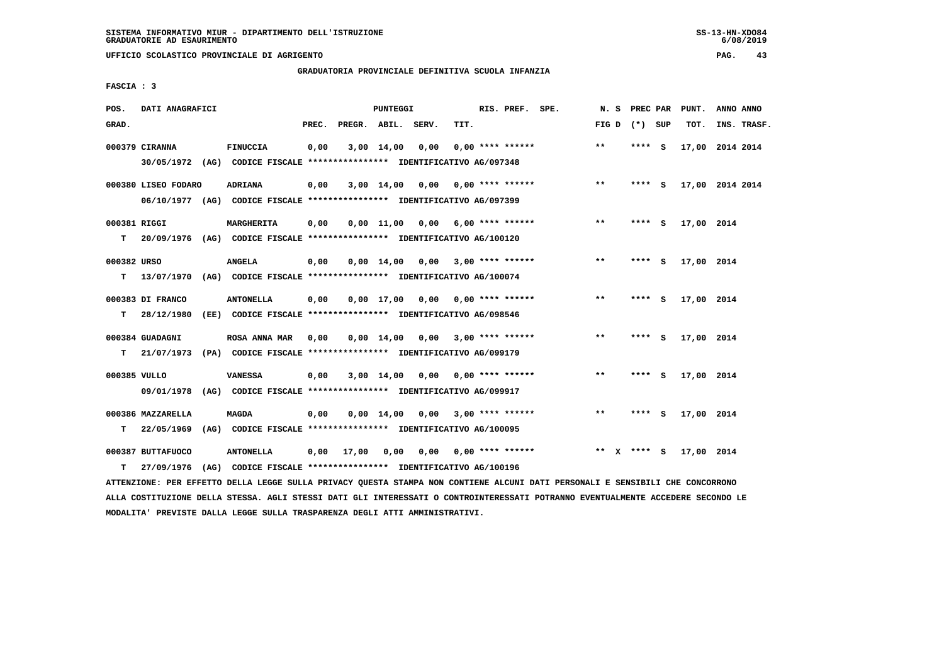**UFFICIO SCOLASTICO PROVINCIALE DI AGRIGENTO PAG. 43**

# **GRADUATORIA PROVINCIALE DEFINITIVA SCUOLA INFANZIA**

 **FASCIA : 3**

| POS.         | DATI ANAGRAFICI     |                                                                          |       |                               | PUNTEGGI           |                                    |      | RIS. PREF. SPE.         | N. S  | PREC PAR    |     | PUNT.      | ANNO ANNO       |  |
|--------------|---------------------|--------------------------------------------------------------------------|-------|-------------------------------|--------------------|------------------------------------|------|-------------------------|-------|-------------|-----|------------|-----------------|--|
| GRAD.        |                     |                                                                          | PREC. | PREGR. ABIL. SERV.            |                    |                                    | TIT. |                         | FIG D | (*) SUP     |     | TOT.       | INS. TRASF.     |  |
|              |                     |                                                                          |       |                               |                    |                                    |      |                         |       |             |     |            |                 |  |
|              | 000379 CIRANNA      | FINUCCIA                                                                 | 0,00  |                               | $3,00$ 14,00       | 0,00                               |      | $0.00$ **** ******      | $* *$ | **** S      |     |            | 17,00 2014 2014 |  |
|              |                     | 30/05/1972 (AG) CODICE FISCALE *************** IDENTIFICATIVO AG/097348  |       |                               |                    |                                    |      |                         |       |             |     |            |                 |  |
|              |                     |                                                                          |       |                               |                    |                                    |      |                         |       |             |     |            |                 |  |
|              | 000380 LISEO FODARO | <b>ADRIANA</b>                                                           | 0,00  |                               | 3,00 14,00         | 0.00                               |      | $0.00$ **** ******      | $***$ | **** S      |     |            | 17,00 2014 2014 |  |
|              |                     | 06/10/1977 (AG) CODICE FISCALE *************** IDENTIFICATIVO AG/097399  |       |                               |                    |                                    |      |                         |       |             |     |            |                 |  |
|              |                     |                                                                          |       |                               |                    |                                    |      |                         |       |             |     |            |                 |  |
| 000381 RIGGI |                     | MARGHERITA                                                               | 0,00  |                               |                    | $0,00$ 11,00 0,00 6,00 **** ****** |      |                         | $* *$ | $***$ S     |     | 17,00 2014 |                 |  |
| T.           |                     | 20/09/1976 (AG) CODICE FISCALE **************** IDENTIFICATIVO AG/100120 |       |                               |                    |                                    |      |                         |       |             |     |            |                 |  |
|              |                     |                                                                          |       |                               |                    |                                    |      |                         |       |             |     |            |                 |  |
| 000382 URSO  |                     | <b>ANGELA</b>                                                            | 0,00  |                               | $0,00 \quad 14,00$ |                                    |      | $0.00$ 3.00 **** ****** | $* *$ | ****        | - S | 17,00 2014 |                 |  |
| т            |                     | 13/07/1970 (AG) CODICE FISCALE **************** IDENTIFICATIVO AG/100074 |       |                               |                    |                                    |      |                         |       |             |     |            |                 |  |
|              |                     |                                                                          |       |                               |                    |                                    |      |                         |       |             |     |            |                 |  |
|              | 000383 DI FRANCO    | <b>ANTONELLA</b>                                                         | 0,00  |                               | $0.00$ 17.00       | 0.00                               |      | $0.00$ **** ******      | $* *$ | **** S      |     | 17,00 2014 |                 |  |
| T.           | 28/12/1980          | (EE) CODICE FISCALE **************** IDENTIFICATIVO AG/098546            |       |                               |                    |                                    |      |                         |       |             |     |            |                 |  |
|              |                     |                                                                          |       |                               |                    |                                    |      |                         |       |             |     |            |                 |  |
|              | 000384 GUADAGNI     | ROSA ANNA MAR 0,00                                                       |       |                               | 0,00 14,00         |                                    |      | $0,00$ 3,00 **** ****** | $***$ | ****        | - 5 | 17,00 2014 |                 |  |
| т            |                     | 21/07/1973 (PA) CODICE FISCALE **************** IDENTIFICATIVO AG/099179 |       |                               |                    |                                    |      |                         |       |             |     |            |                 |  |
|              |                     |                                                                          |       |                               |                    |                                    |      |                         |       |             |     |            |                 |  |
| 000385 VULLO |                     | <b>VANESSA</b>                                                           | 0,00  |                               | 3,00 14,00         | 0,00                               |      | $0.00$ **** ******      | $***$ | **** S      |     | 17,00 2014 |                 |  |
|              |                     | 09/01/1978 (AG) CODICE FISCALE *************** IDENTIFICATIVO AG/099917  |       |                               |                    |                                    |      |                         |       |             |     |            |                 |  |
|              |                     |                                                                          |       |                               |                    |                                    |      |                         |       |             |     |            |                 |  |
|              | 000386 MAZZARELLA   | <b>MAGDA</b>                                                             | 0,00  |                               | 0,00 14,00         | 0,00                               |      | $3.00*********$         | $***$ | **** S      |     | 17,00 2014 |                 |  |
| т            | 22/05/1969          | (AG) CODICE FISCALE **************** IDENTIFICATIVO AG/100095            |       |                               |                    |                                    |      |                         |       |             |     |            |                 |  |
|              |                     |                                                                          |       |                               |                    |                                    |      |                         |       |             |     |            |                 |  |
|              | 000387 BUTTAFUOCO   | <b>ANTONELLA</b>                                                         |       | $0.00 \quad 17.00 \quad 0.00$ |                    |                                    |      | $0,00$ 0,00 **** ****** |       | ** x **** S |     | 17,00 2014 |                 |  |
| т            | 27/09/1976          | (AG) CODICE FISCALE **************** IDENTIFICATIVO AG/100196            |       |                               |                    |                                    |      |                         |       |             |     |            |                 |  |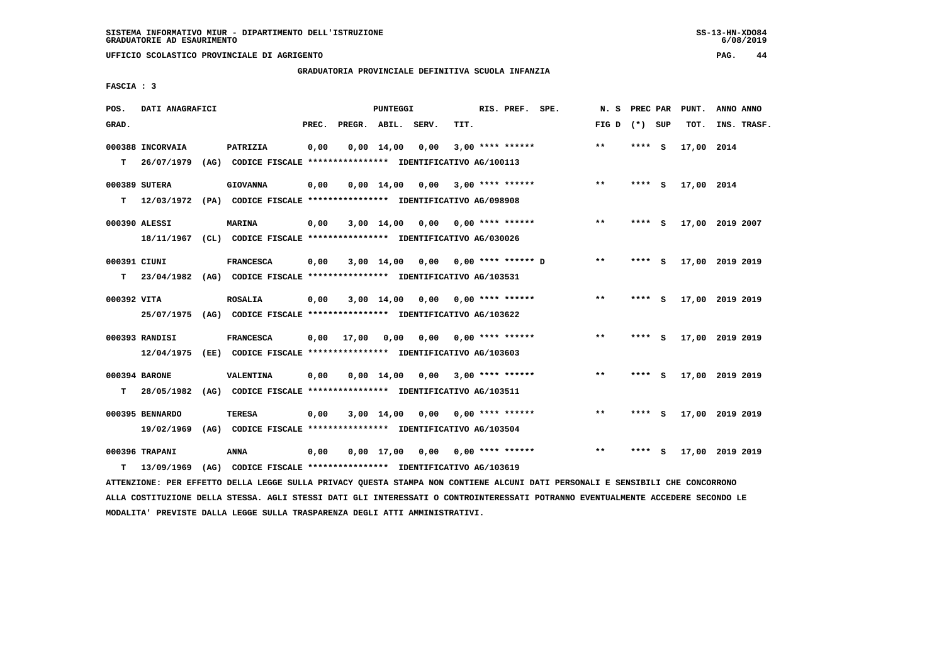**UFFICIO SCOLASTICO PROVINCIALE DI AGRIGENTO PAG. 44**

# **GRADUATORIA PROVINCIALE DEFINITIVA SCUOLA INFANZIA**

 **FASCIA : 3**

| POS.         | DATI ANAGRAFICI  |                                                               |       |                    | PUNTEGGI           |      |      | RIS. PREF. SPE.             | N.S   | PREC PAR |          | PUNT.      | ANNO ANNO       |
|--------------|------------------|---------------------------------------------------------------|-------|--------------------|--------------------|------|------|-----------------------------|-------|----------|----------|------------|-----------------|
| GRAD.        |                  |                                                               | PREC. | PREGR. ABIL. SERV. |                    |      | TIT. |                             | FIG D | (*) SUP  |          | TOT.       | INS. TRASF.     |
|              | 000388 INCORVAIA | PATRIZIA                                                      | 0,00  |                    | $0,00 \quad 14,00$ | 0,00 |      | $3,00$ **** ******          | $* *$ | ****     | <b>S</b> | 17,00 2014 |                 |
| т            | 26/07/1979       | (AG) CODICE FISCALE **************** IDENTIFICATIVO AG/100113 |       |                    |                    |      |      |                             |       |          |          |            |                 |
|              | 000389 SUTERA    | <b>GIOVANNA</b>                                               | 0,00  |                    | $0,00 \quad 14,00$ | 0,00 |      | $3.00*********$             | $***$ | **** S   |          | 17,00 2014 |                 |
| т            | 12/03/1972       | (PA) CODICE FISCALE **************** IDENTIFICATIVO AG/098908 |       |                    |                    |      |      |                             |       |          |          |            |                 |
|              | 000390 ALESSI    | MARINA                                                        | 0,00  |                    | 3,00 14,00         | 0,00 |      | 0,00 **** ******            | $***$ | ****     | - S      |            | 17,00 2019 2007 |
|              | 18/11/1967       | (CL) CODICE FISCALE *************** IDENTIFICATIVO AG/030026  |       |                    |                    |      |      |                             |       |          |          |            |                 |
| 000391 CIUNI |                  | <b>FRANCESCA</b>                                              | 0,00  |                    | $3,00$ 14,00       |      |      | $0.00$ $0.00$ **** ****** D | $* *$ | ****     | - S      |            | 17,00 2019 2019 |
| T.           | 23/04/1982       | (AG) CODICE FISCALE **************** IDENTIFICATIVO AG/103531 |       |                    |                    |      |      |                             |       |          |          |            |                 |
| 000392 VITA  |                  | <b>ROSALIA</b>                                                | 0,00  |                    | 3,00 14,00         |      |      | $0,00$ $0,00$ **** ******   | $***$ | **** S   |          |            | 17,00 2019 2019 |
|              | 25/07/1975       | (AG) CODICE FISCALE **************** IDENTIFICATIVO AG/103622 |       |                    |                    |      |      |                             |       |          |          |            |                 |
|              | 000393 RANDISI   | <b>FRANCESCA</b>                                              | 0,00  | 17,00              | 0,00               | 0,00 |      | $0.00$ **** ******          | $***$ | ****     | - S      |            | 17,00 2019 2019 |
|              | 12/04/1975       | (EE) CODICE FISCALE **************** IDENTIFICATIVO AG/103603 |       |                    |                    |      |      |                             |       |          |          |            |                 |
|              | 000394 BARONE    | VALENTINA                                                     | 0,00  |                    | $0,00 \quad 14,00$ | 0,00 |      | $3.00$ **** ******          | $***$ | ****     | - 5      |            | 17,00 2019 2019 |
| т            | 28/05/1982       | (AG) CODICE FISCALE **************** IDENTIFICATIVO AG/103511 |       |                    |                    |      |      |                             |       |          |          |            |                 |
|              | 000395 BENNARDO  | <b>TERESA</b>                                                 | 0,00  |                    | 3,00 14,00         | 0,00 |      | 0,00 **** ******            | $***$ | ****     | - S      |            | 17,00 2019 2019 |
|              | 19/02/1969       | (AG) CODICE FISCALE **************** IDENTIFICATIVO AG/103504 |       |                    |                    |      |      |                             |       |          |          |            |                 |
|              | 000396 TRAPANI   | <b>ANNA</b>                                                   | 0,00  |                    | $0,00$ 17,00       |      |      | $0,00$ $0,00$ **** ******   | $**$  |          | s        |            | 17,00 2019 2019 |
| т            | 13/09/1969       | (AG) CODICE FISCALE **************** IDENTIFICATIVO AG/103619 |       |                    |                    |      |      |                             |       |          |          |            |                 |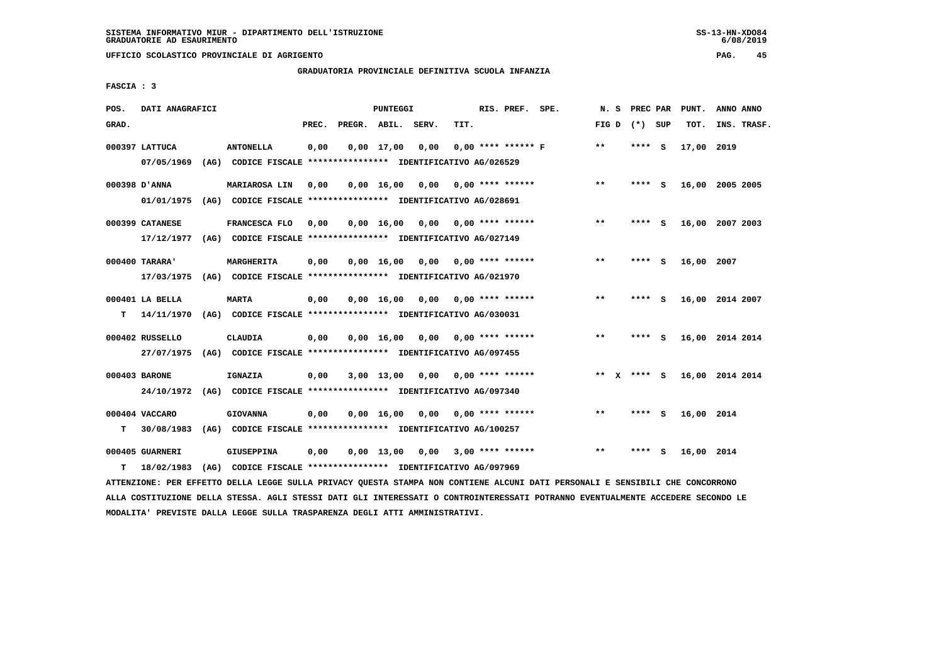**UFFICIO SCOLASTICO PROVINCIALE DI AGRIGENTO PAG. 45**

# **GRADUATORIA PROVINCIALE DEFINITIVA SCUOLA INFANZIA**

 **FASCIA : 3**

| POS.  | DATI ANAGRAFICI               |      |                                                                                   |       |                    | <b>PUNTEGGI</b>    |      |      | RIS. PREF. SPE.           | N.S           | PREC PAR         |   | PUNT.      | ANNO ANNO       |
|-------|-------------------------------|------|-----------------------------------------------------------------------------------|-------|--------------------|--------------------|------|------|---------------------------|---------------|------------------|---|------------|-----------------|
| GRAD. |                               |      |                                                                                   | PREC. | PREGR. ABIL. SERV. |                    |      | TIT. |                           | FIG D         | (*) SUP          |   | TOT.       | INS. TRASF.     |
|       | 000397 LATTUCA<br>07/05/1969  |      | <b>ANTONELLA</b><br>(AG) CODICE FISCALE **************** IDENTIFICATIVO AG/026529 | 0,00  |                    | $0,00 \quad 17,00$ | 0,00 |      | $0.00$ **** ****** F      | $**$          | ****<br><b>S</b> |   | 17,00 2019 |                 |
|       | 000398 D'ANNA<br>01/01/1975   | (AG) | <b>MARIAROSA LIN</b><br>CODICE FISCALE **************** IDENTIFICATIVO AG/028691  | 0,00  |                    | $0,00$ 16,00       | 0,00 |      | $0.00$ **** ******        | $\star\star$  | **** S           |   |            | 16,00 2005 2005 |
|       | 000399 CATANESE<br>17/12/1977 |      | FRANCESCA FLO<br>(AG) CODICE FISCALE **************** IDENTIFICATIVO AG/027149    | 0,00  |                    | $0,00$ 16,00       | 0,00 |      | 0,00 **** ******          | $***$         | **** S           |   |            | 16,00 2007 2003 |
|       | 000400 TARARA'<br>17/03/1975  |      | MARGHERITA<br>(AG) CODICE FISCALE **************** IDENTIFICATIVO AG/021970       | 0,00  |                    | 0.00 16.00         |      |      | $0.00$ $0.00$ **** ****** | $* *$         | ****             | s | 16,00      | 2007            |
| т     | 000401 LA BELLA<br>14/11/1970 |      | <b>MARTA</b><br>(AG) CODICE FISCALE **************** IDENTIFICATIVO AG/030031     | 0,00  |                    | 0.00 16.00         | 0,00 |      | $0.00$ **** ******        | $* *$         | - S<br>****      |   |            | 16,00 2014 2007 |
|       | 000402 RUSSELLO<br>27/07/1975 |      | CLAUDIA<br>(AG) CODICE FISCALE **************** IDENTIFICATIVO AG/097455          | 0,00  |                    | 0.00 16.00         | 0,00 |      | 0,00 **** ******          | $* *$         | ****<br>- S      |   |            | 16,00 2014 2014 |
|       | 000403 BARONE<br>24/10/1972   | (AG) | <b>IGNAZIA</b><br>CODICE FISCALE **************** IDENTIFICATIVO AG/097340        | 0,00  |                    | $3,00$ 13,00       | 0,00 |      | $0.00$ **** ******        | ** $X$ **** S |                  |   |            | 16,00 2014 2014 |
| т     | 000404 VACCARO<br>30/08/1983  |      | <b>GIOVANNA</b><br>(AG) CODICE FISCALE **************** IDENTIFICATIVO AG/100257  | 0,00  |                    | $0,00$ 16,00       | 0,00 |      | $0.00$ **** ******        | $***$         | **** S           |   | 16,00 2014 |                 |
| т     | 000405 GUARNERI<br>18/02/1983 | (AG) | <b>GIUSEPPINA</b><br>CODICE FISCALE **************** IDENTIFICATIVO AG/097969     | 0,00  |                    | $0,00$ 13,00       | 0,00 |      | $3,00$ **** ******        | $***$         | - S<br>****      |   | 16,00 2014 |                 |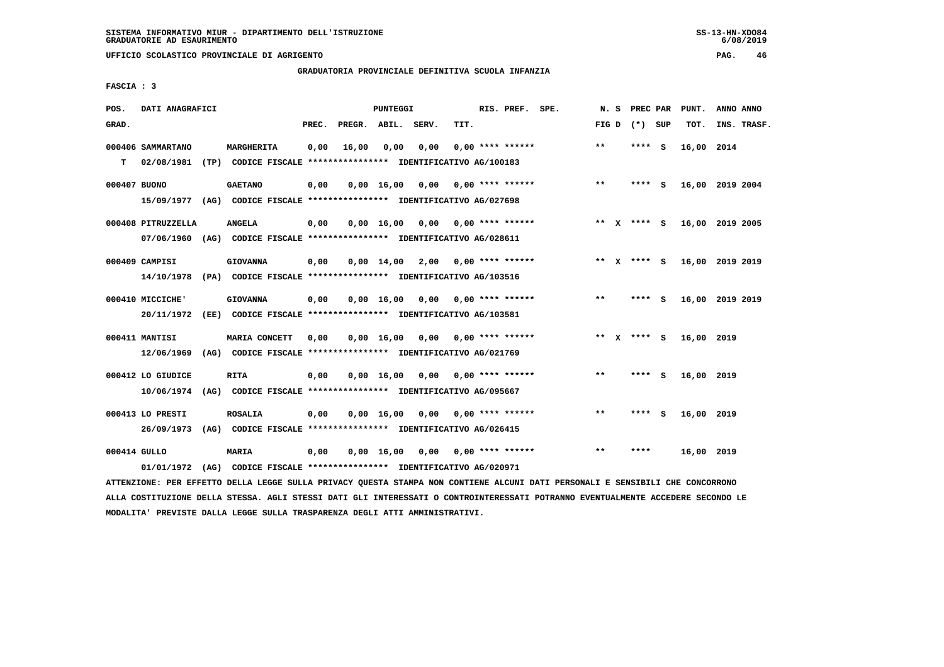# **GRADUATORIA PROVINCIALE DEFINITIVA SCUOLA INFANZIA**

 **FASCIA : 3**

| POS.         | DATI ANAGRAFICI    |      |                                                               |       |                    | <b>PUNTEGGI</b>    |      |                  | RIS. PREF. SPE.    | N.S          | PREC PAR    |     | PUNT.      | ANNO ANNO       |
|--------------|--------------------|------|---------------------------------------------------------------|-------|--------------------|--------------------|------|------------------|--------------------|--------------|-------------|-----|------------|-----------------|
| GRAD.        |                    |      |                                                               | PREC. | PREGR. ABIL. SERV. |                    |      | TIT.             |                    | FIG D        | $(*)$       | SUP | TOT.       | INS. TRASF.     |
|              | 000406 SAMMARTANO  |      | <b>MARGHERITA</b>                                             | 0,00  | 16,00              | 0,00               | 0,00 |                  | $0.00$ **** ****** | $***$        | ****        | - S | 16,00 2014 |                 |
| т            | 02/08/1981         | (TP) | CODICE FISCALE **************** IDENTIFICATIVO AG/100183      |       |                    |                    |      |                  |                    |              |             |     |            |                 |
| 000407 BUONO |                    |      | <b>GAETANO</b>                                                | 0,00  |                    | $0,00$ 16,00       | 0,00 |                  | $0.00$ **** ****** | $* *$        | ****        | - S |            | 16,00 2019 2004 |
|              | 15/09/1977         |      | (AG) CODICE FISCALE **************** IDENTIFICATIVO AG/027698 |       |                    |                    |      |                  |                    |              |             |     |            |                 |
|              | 000408 PITRUZZELLA |      | <b>ANGELA</b>                                                 | 0,00  |                    | $0,00 \quad 16,00$ | 0,00 | 0,00 **** ****** |                    | ** X         | **** S      |     |            | 16,00 2019 2005 |
|              | 07/06/1960         |      | (AG) CODICE FISCALE **************** IDENTIFICATIVO AG/028611 |       |                    |                    |      |                  |                    |              |             |     |            |                 |
|              | 000409 CAMPISI     |      | <b>GIOVANNA</b>                                               | 0,00  |                    | $0,00 \quad 14,00$ | 2,00 |                  | $0.00$ **** ****** |              | ** x **** s |     |            | 16,00 2019 2019 |
|              | 14/10/1978         |      | (PA) CODICE FISCALE **************** IDENTIFICATIVO AG/103516 |       |                    |                    |      |                  |                    |              |             |     |            |                 |
|              | 000410 MICCICHE'   |      | <b>GIOVANNA</b>                                               | 0,00  |                    | $0,00 \quad 16,00$ | 0,00 | 0,00 **** ****** |                    | **           | ****        | - 5 |            | 16,00 2019 2019 |
|              | 20/11/1972         |      | (EE) CODICE FISCALE **************** IDENTIFICATIVO AG/103581 |       |                    |                    |      |                  |                    |              |             |     |            |                 |
|              | 000411 MANTISI     |      | MARIA CONCETT                                                 | 0,00  |                    | 0,00 16,00         | 0,00 | 0,00 **** ****** |                    | ** X         | **** S      |     | 16,00 2019 |                 |
|              | 12/06/1969         |      | (AG) CODICE FISCALE **************** IDENTIFICATIVO AG/021769 |       |                    |                    |      |                  |                    |              |             |     |            |                 |
|              | 000412 LO GIUDICE  |      | <b>RITA</b>                                                   | 0,00  |                    | $0,00$ 16,00       | 0,00 |                  | $0.00$ **** ****** | $\star\star$ | **** S      |     | 16,00 2019 |                 |
|              | 10/06/1974         |      | (AG) CODICE FISCALE **************** IDENTIFICATIVO AG/095667 |       |                    |                    |      |                  |                    |              |             |     |            |                 |
|              | 000413 LO PRESTI   |      | <b>ROSALIA</b>                                                | 0,00  |                    | 0.00 16.00         | 0.00 |                  | $0.00$ **** ****** | $***$        | ****        | - S | 16,00 2019 |                 |
|              | 26/09/1973         |      | (AG) CODICE FISCALE **************** IDENTIFICATIVO AG/026415 |       |                    |                    |      |                  |                    |              |             |     |            |                 |
| 000414 GULLO |                    |      | MARIA                                                         | 0.00  |                    | 0.00 16.00         | 0.00 | 0,00 **** ****** |                    | $* *$        | ****        |     | 16,00 2019 |                 |
|              | 01/01/1972         | (AG) | CODICE FISCALE **************** IDENTIFICATIVO AG/020971      |       |                    |                    |      |                  |                    |              |             |     |            |                 |

 **ATTENZIONE: PER EFFETTO DELLA LEGGE SULLA PRIVACY QUESTA STAMPA NON CONTIENE ALCUNI DATI PERSONALI E SENSIBILI CHE CONCORRONO ALLA COSTITUZIONE DELLA STESSA. AGLI STESSI DATI GLI INTERESSATI O CONTROINTERESSATI POTRANNO EVENTUALMENTE ACCEDERE SECONDO LE MODALITA' PREVISTE DALLA LEGGE SULLA TRASPARENZA DEGLI ATTI AMMINISTRATIVI.**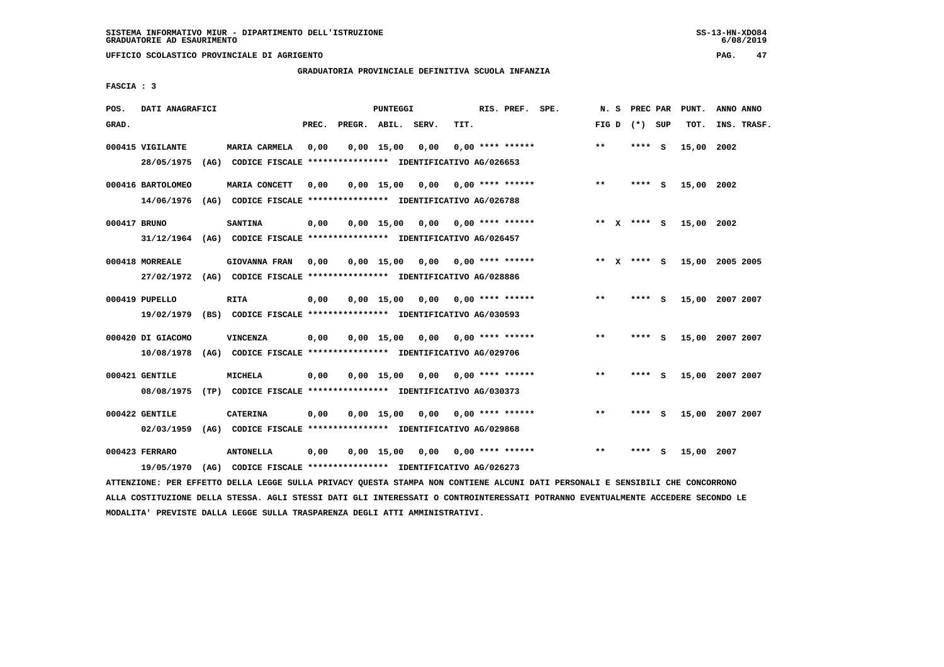**UFFICIO SCOLASTICO PROVINCIALE DI AGRIGENTO PAG. 47**

# **GRADUATORIA PROVINCIALE DEFINITIVA SCUOLA INFANZIA**

 **FASCIA : 3**

| POS.         | DATI ANAGRAFICI                 |      |                                                                                       |       |                    | <b>PUNTEGGI</b>    |      |      | RIS. PREF. SPE.    | N.S          | PREC PAR |     | PUNT.           | ANNO ANNO |             |
|--------------|---------------------------------|------|---------------------------------------------------------------------------------------|-------|--------------------|--------------------|------|------|--------------------|--------------|----------|-----|-----------------|-----------|-------------|
| GRAD.        |                                 |      |                                                                                       | PREC. | PREGR. ABIL. SERV. |                    |      | TIT. |                    | FIG D        | (*) SUP  |     | TOT.            |           | INS. TRASF. |
|              | 000415 VIGILANTE<br>28/05/1975  |      | MARIA CARMELA<br>(AG) CODICE FISCALE **************** IDENTIFICATIVO AG/026653        | 0,00  |                    | 0.00 15.00         | 0,00 |      | $0.00$ **** ****** | $**$         | **** S   |     | 15,00 2002      |           |             |
|              | 000416 BARTOLOMEO<br>14/06/1976 |      | MARIA CONCETT<br>(AG) CODICE FISCALE **************** IDENTIFICATIVO AG/026788        | 0,00  |                    | $0,00$ 15,00       | 0,00 |      | $0.00$ **** ****** | $***$        | ****     | ్   | 15,00 2002      |           |             |
| 000417 BRUNO | 31/12/1964                      |      | <b>SANTINA</b><br>(AG) CODICE FISCALE **************** IDENTIFICATIVO AG/026457       | 0,00  |                    | $0.00$ 15.00       | 0.00 |      | $0.00$ **** ****** | ** $X$       | **** S   |     | 15,00 2002      |           |             |
|              | 000418 MORREALE<br>27/02/1972   |      | <b>GIOVANNA FRAN</b><br>(AG) CODICE FISCALE **************** IDENTIFICATIVO AG/028886 | 0,00  |                    | $0,00$ 15,00       | 0.00 |      | $0.00$ **** ****** | ** X         | **** S   |     | 15,00 2005 2005 |           |             |
|              | 000419 PUPELLO<br>19/02/1979    |      | <b>RITA</b><br>(BS) CODICE FISCALE **************** IDENTIFICATIVO AG/030593          | 0,00  |                    | 0.00 15.00         | 0.00 |      | $0.00$ **** ****** | $* *$        | ****     | - 5 | 15,00 2007 2007 |           |             |
|              | 000420 DI GIACOMO<br>10/08/1978 |      | VINCENZA<br>(AG) CODICE FISCALE **************** IDENTIFICATIVO AG/029706             | 0,00  |                    | $0.00$ 15.00       | 0.00 |      | $0.00$ **** ****** | $**$         | ****     | - S | 15,00 2007 2007 |           |             |
|              | 000421 GENTILE<br>08/08/1975    |      | <b>MICHELA</b><br>(TP) CODICE FISCALE **************** IDENTIFICATIVO AG/030373       | 0,00  |                    | $0.00$ 15.00       | 0.00 |      | $0.00$ **** ****** | $\star\star$ | ****     | - S | 15,00           | 2007 2007 |             |
|              | 000422 GENTILE<br>02/03/1959    | (AG) | <b>CATERINA</b><br>CODICE FISCALE **************** IDENTIFICATIVO AG/029868           | 0,00  |                    | 0.00 15.00         | 0,00 |      | $0.00$ **** ****** | $**$         | ****     | - S | 15,00 2007 2007 |           |             |
|              | 000423 FERRARO<br>19/05/1970    | (AG) | <b>ANTONELLA</b><br>CODICE FISCALE **************** IDENTIFICATIVO AG/026273          | 0,00  |                    | $0,00 \quad 15,00$ | 0,00 |      | $0.00$ **** ****** | $* *$        | ****     | S   | 15,00 2007      |           |             |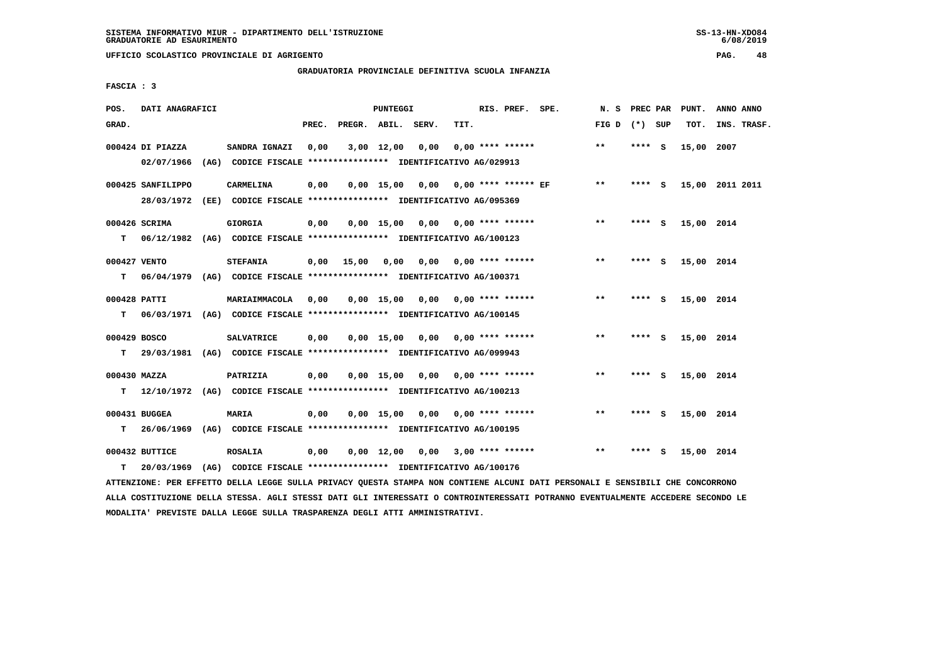**UFFICIO SCOLASTICO PROVINCIALE DI AGRIGENTO PAG. 48**

# **GRADUATORIA PROVINCIALE DEFINITIVA SCUOLA INFANZIA**

 **FASCIA : 3**

| POS.               | DATI ANAGRAFICI                |                                                                                                |       |              | PUNTEGGI     |                                       |      | RIS. PREF. SPE.           | N. S PREC PAR   |         |     | PUNT.      | ANNO ANNO       |
|--------------------|--------------------------------|------------------------------------------------------------------------------------------------|-------|--------------|--------------|---------------------------------------|------|---------------------------|-----------------|---------|-----|------------|-----------------|
| GRAD.              |                                |                                                                                                | PREC. | PREGR. ABIL. |              | SERV.                                 | TIT. |                           | FIG D $(*)$ SUP |         |     | TOT.       | INS. TRASF.     |
|                    | 000424 DI PIAZZA<br>02/07/1966 | SANDRA IGNAZI<br>(AG) CODICE FISCALE **************** IDENTIFICATIVO AG/029913                 | 0,00  |              | $3,00$ 12,00 | 0,00                                  |      | $0.00$ **** ******        | $***$           | **** S  |     | 15,00      | 2007            |
|                    | 000425 SANFILIPPO              | <b>CARMELINA</b><br>28/03/1972 (EE) CODICE FISCALE *************** IDENTIFICATIVO AG/095369    | 0,00  |              |              | $0,00$ 15,00 0,00 0,00 **** ****** EF |      |                           | $* *$           | **** S  |     |            | 15,00 2011 2011 |
| T.                 | 000426 SCRIMA                  | <b>GIORGIA</b><br>06/12/1982 (AG) CODICE FISCALE **************** IDENTIFICATIVO AG/100123     | 0,00  |              | $0.00$ 15.00 | 0,00 0,00 **** ******                 |      |                           | $***$           | **** S  |     | 15,00 2014 |                 |
| т                  | 000427 VENTO                   | <b>STEFANIA</b><br>06/04/1979 (AG) CODICE FISCALE *************** IDENTIFICATIVO AG/100371     |       | $0,00$ 15,00 | 0,00         |                                       |      | $0,00$ $0,00$ **** ****** | $***$           | **** S  |     | 15,00 2014 |                 |
| 000428 PATTI<br>T. |                                | MARIAIMMACOLA<br>06/03/1971 (AG) CODICE FISCALE **************** IDENTIFICATIVO AG/100145      | 0.00  |              |              | $0.00$ 15.00 0.00 0.00 **** ******    |      |                           | $* *$           | **** S  |     | 15,00 2014 |                 |
|                    | 000429 BOSCO                   | <b>SALVATRICE</b><br>T 29/03/1981 (AG) CODICE FISCALE *************** IDENTIFICATIVO AG/099943 | 0,00  |              | 0,00 15,00   | 0,00                                  |      | $0.00$ **** ******        | $***$           | **** S  |     | 15,00 2014 |                 |
|                    | 000430 MAZZA                   | PATRIZIA<br>T 12/10/1972 (AG) CODICE FISCALE *************** IDENTIFICATIVO AG/100213          | 0,00  |              |              | $0,00$ 15,00 0,00 0,00 **** ******    |      |                           | $**$            | $***$ S |     | 15,00 2014 |                 |
| т                  | $000431$ BUGGEA                | <b>MARIA</b><br>26/06/1969 (AG) CODICE FISCALE **************** IDENTIFICATIVO AG/100195       | 0,00  |              | $0.00$ 15,00 |                                       |      |                           | $* *$           | **** S  |     | 15,00 2014 |                 |
| т                  | 000432 BUTTICE<br>20/03/1969   | <b>ROSALIA</b><br>(AG) CODICE FISCALE **************** IDENTIFICATIVO AG/100176                | 0,00  |              | $0,00$ 12,00 |                                       |      | $0,00$ 3,00 **** ******   | $* *$           | ****    | - 5 | 15,00 2014 |                 |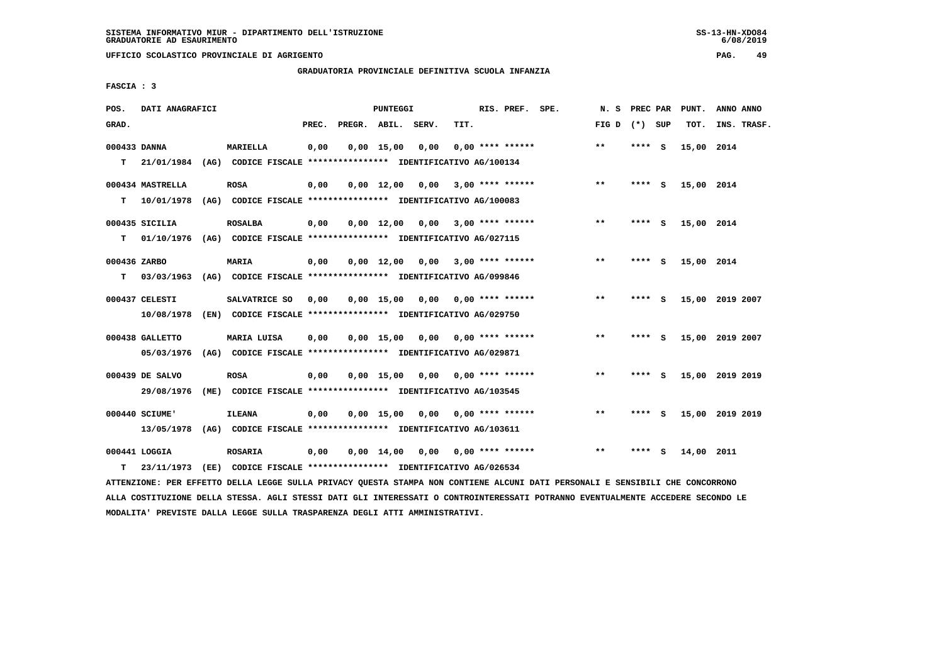# **GRADUATORIA PROVINCIALE DEFINITIVA SCUOLA INFANZIA**

 **FASCIA : 3**

| POS.         | DATI ANAGRAFICI  |                                                               |       |              | <b>PUNTEGGI</b>    |                               |      | RIS. PREF. SPE.    | N.S   | PREC PAR |          | PUNT.      | ANNO ANNO       |
|--------------|------------------|---------------------------------------------------------------|-------|--------------|--------------------|-------------------------------|------|--------------------|-------|----------|----------|------------|-----------------|
| GRAD.        |                  |                                                               | PREC. | PREGR. ABIL. |                    | SERV.                         | TIT. |                    | FIG D | (*) SUP  |          | TOT.       | INS. TRASF.     |
| 000433 DANNA |                  | MARIELLA                                                      | 0,00  |              | $0,00$ 15,00       | 0,00                          |      | $0.00$ **** ****** | $***$ | ****     | - S      | 15,00 2014 |                 |
| т            | 21/01/1984       | (AG) CODICE FISCALE **************** IDENTIFICATIVO AG/100134 |       |              |                    |                               |      |                    |       |          |          |            |                 |
|              | 000434 MASTRELLA | <b>ROSA</b>                                                   | 0,00  |              | $0,00 \quad 12,00$ | 0,00                          |      | $3,00$ **** ****** | $**$  | **** S   |          | 15,00 2014 |                 |
| т            | 10/01/1978       | (AG) CODICE FISCALE **************** IDENTIFICATIVO AG/100083 |       |              |                    |                               |      |                    |       |          |          |            |                 |
|              | 000435 SICILIA   | <b>ROSALBA</b>                                                | 0,00  |              | $0,00 \quad 12,00$ | 0,00                          |      | $3,00$ **** ****** | $* *$ | ****     | <b>S</b> | 15,00 2014 |                 |
| T.           | 01/10/1976       | (AG) CODICE FISCALE **************** IDENTIFICATIVO AG/027115 |       |              |                    |                               |      |                    |       |          |          |            |                 |
| 000436 ZARBO |                  | <b>MARIA</b>                                                  | 0,00  |              | $0,00 \quad 12,00$ | 0,00                          |      | $3,00$ **** ****** | $***$ | **** S   |          | 15,00 2014 |                 |
| т            | 03/03/1963       | (AG) CODICE FISCALE **************** IDENTIFICATIVO AG/099846 |       |              |                    |                               |      |                    |       |          |          |            |                 |
|              | 000437 CELESTI   | SALVATRICE SO                                                 | 0,00  |              | $0.00$ 15,00       | 0,00                          |      | 0,00 **** ******   | $* *$ | ****     | <b>S</b> |            | 15,00 2019 2007 |
|              | 10/08/1978       | (EN) CODICE FISCALE **************** IDENTIFICATIVO AG/029750 |       |              |                    |                               |      |                    |       |          |          |            |                 |
|              | 000438 GALLETTO  | MARIA LUISA                                                   | 0,00  |              |                    | $0.00 \quad 15.00 \quad 0.00$ |      | 0,00 **** ******   | $***$ | **** S   |          |            | 15,00 2019 2007 |
|              | 05/03/1976       | (AG) CODICE FISCALE **************** IDENTIFICATIVO AG/029871 |       |              |                    |                               |      |                    |       |          |          |            |                 |
|              | 000439 DE SALVO  | <b>ROSA</b>                                                   | 0,00  |              | $0,00$ 15,00       | 0,00                          |      | 0,00 **** ******   | $***$ | ****     | - S      |            | 15,00 2019 2019 |
|              | 29/08/1976       | (ME) CODICE FISCALE **************** IDENTIFICATIVO AG/103545 |       |              |                    |                               |      |                    |       |          |          |            |                 |
|              | 000440 SCIUME'   | <b>ILEANA</b>                                                 | 0,00  |              | $0,00$ 15,00       | 0,00                          |      | 0,00 **** ******   | $* *$ | ****     | - S      |            | 15,00 2019 2019 |
|              | 13/05/1978       | (AG) CODICE FISCALE **************** IDENTIFICATIVO AG/103611 |       |              |                    |                               |      |                    |       |          |          |            |                 |
|              | 000441 LOGGIA    | <b>ROSARIA</b>                                                | 0,00  |              | $0,00 \quad 14,00$ | 0.00                          |      | $0.00$ **** ****** | $* *$ | ****     | s        | 14,00 2011 |                 |
| т            | 23/11/1973       | (EE) CODICE FISCALE **************** IDENTIFICATIVO AG/026534 |       |              |                    |                               |      |                    |       |          |          |            |                 |

 **ATTENZIONE: PER EFFETTO DELLA LEGGE SULLA PRIVACY QUESTA STAMPA NON CONTIENE ALCUNI DATI PERSONALI E SENSIBILI CHE CONCORRONO ALLA COSTITUZIONE DELLA STESSA. AGLI STESSI DATI GLI INTERESSATI O CONTROINTERESSATI POTRANNO EVENTUALMENTE ACCEDERE SECONDO LE MODALITA' PREVISTE DALLA LEGGE SULLA TRASPARENZA DEGLI ATTI AMMINISTRATIVI.**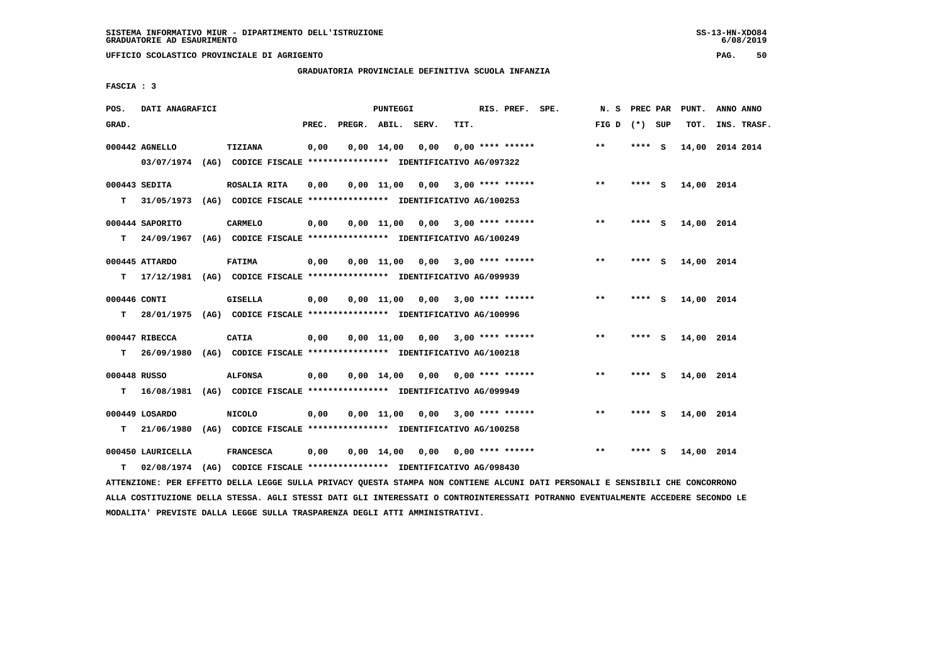**UFFICIO SCOLASTICO PROVINCIALE DI AGRIGENTO PAG. 50**

# **GRADUATORIA PROVINCIALE DEFINITIVA SCUOLA INFANZIA**

 **FASCIA : 3**

| POS.         | DATI ANAGRAFICI                                                                           |                  |       | PUNTEGGI           |                                                               |      | RIS. PREF. SPE.           | N. S            |         | PREC PAR PUNT.  | ANNO ANNO |             |
|--------------|-------------------------------------------------------------------------------------------|------------------|-------|--------------------|---------------------------------------------------------------|------|---------------------------|-----------------|---------|-----------------|-----------|-------------|
| GRAD.        |                                                                                           |                  | PREC. |                    | PREGR. ABIL. SERV.                                            | TIT. |                           | FIG D $(*)$ SUP |         | TOT.            |           | INS. TRASF. |
|              | 000442 AGNELLO<br>03/07/1974 (AG) CODICE FISCALE *************** IDENTIFICATIVO AG/097322 | TIZIANA          | 0,00  | $0,00 \quad 14,00$ | 0,00                                                          |      | $0.00$ **** ******        | $***$           | **** S  | 14,00 2014 2014 |           |             |
|              |                                                                                           |                  |       |                    |                                                               |      |                           |                 |         |                 |           |             |
|              | $000443$ SEDITA                                                                           | ROSALIA RITA     | 0.00  |                    | $0.00$ 11.00 0.00 3.00 **** ******                            |      |                           | $***$           | **** S  | 14,00 2014      |           |             |
| т            | 31/05/1973                                                                                |                  |       |                    | (AG) CODICE FISCALE **************** IDENTIFICATIVO AG/100253 |      |                           |                 |         |                 |           |             |
|              | 000444 SAPORITO                                                                           | <b>CARMELO</b>   | 0,00  |                    | $0,00$ 11,00 0,00 3,00 **** ******                            |      |                           | $***$           | **** S  | 14,00 2014      |           |             |
| T.           | 24/09/1967                                                                                |                  |       |                    | (AG) CODICE FISCALE **************** IDENTIFICATIVO AG/100249 |      |                           |                 |         |                 |           |             |
|              | 000445 ATTARDO                                                                            | <b>FATIMA</b>    | 0,00  |                    | $0,00$ 11,00 0,00 3,00 **** ******                            |      |                           | $***$           | **** S  | 14,00 2014      |           |             |
| т            | 17/12/1981 (AG) CODICE FISCALE **************** IDENTIFICATIVO AG/099939                  |                  |       |                    |                                                               |      |                           |                 |         |                 |           |             |
| 000446 CONTI |                                                                                           | <b>GISELLA</b>   | 0,00  |                    | $0,00$ 11,00 0,00 3,00 **** ******                            |      |                           | $***$           | **** S  | 14,00 2014      |           |             |
| т            | 28/01/1975 (AG) CODICE FISCALE *************** IDENTIFICATIVO AG/100996                   |                  |       |                    |                                                               |      |                           |                 |         |                 |           |             |
|              |                                                                                           |                  |       |                    |                                                               |      |                           |                 |         |                 |           |             |
|              | 000447 RIBECCA                                                                            | <b>CATIA</b>     | 0,00  |                    | $0,00 \quad 11,00 \quad 0,00$                                 |      | $3.00$ **** ******        | $***$           | **** S  | 14,00 2014      |           |             |
| т            | 26/09/1980 (AG) CODICE FISCALE **************** IDENTIFICATIVO AG/100218                  |                  |       |                    |                                                               |      |                           |                 |         |                 |           |             |
| 000448 RUSSO |                                                                                           | <b>ALFONSA</b>   | 0,00  | $0,00$ 14,00       |                                                               |      | $0,00$ $0,00$ **** ****** | $***$           | $***$ S | 14,00 2014      |           |             |
|              | T 16/08/1981 (AG) CODICE FISCALE *************** IDENTIFICATIVO AG/099949                 |                  |       |                    |                                                               |      |                           |                 |         |                 |           |             |
|              | 000449 LOSARDO                                                                            | <b>NICOLO</b>    | 0,00  |                    | $0,00$ 11,00 0,00 3,00 **** ******                            |      |                           | $***$           | **** S  | 14,00 2014      |           |             |
| т            | 21/06/1980                                                                                |                  |       |                    | (AG) CODICE FISCALE **************** IDENTIFICATIVO AG/100258 |      |                           |                 |         |                 |           |             |
|              | 000450 LAURICELLA                                                                         | <b>FRANCESCA</b> | 0,00  | $0,00 \quad 14,00$ |                                                               |      | $0,00$ $0,00$ **** ****** | $**$            | **** S  | 14,00 2014      |           |             |
| т            | 02/08/1974 (AG) CODICE FISCALE **************** IDENTIFICATIVO AG/098430                  |                  |       |                    |                                                               |      |                           |                 |         |                 |           |             |
|              |                                                                                           |                  |       |                    |                                                               |      |                           |                 |         |                 |           |             |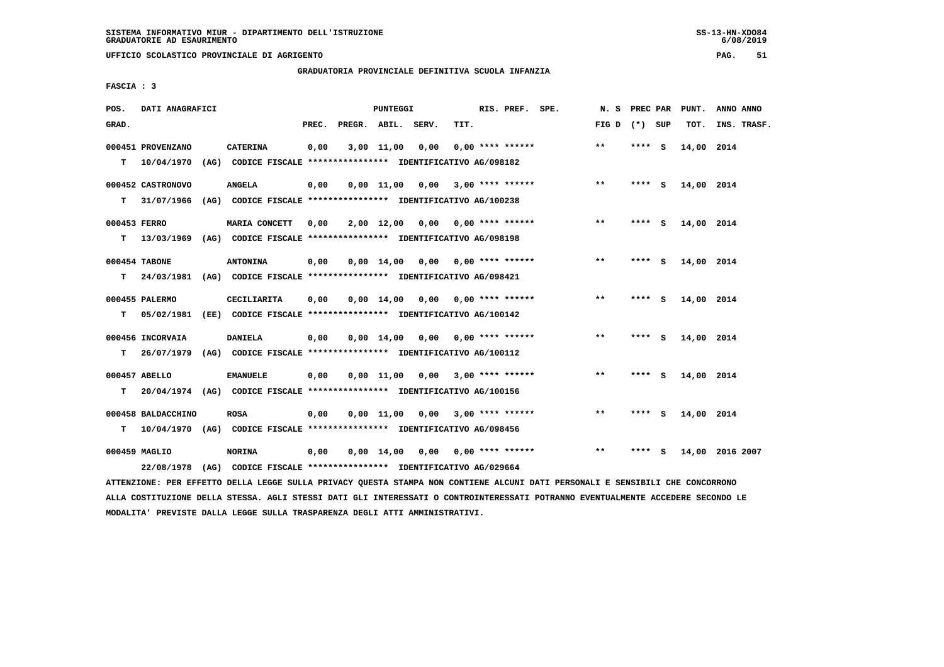# **GRADUATORIA PROVINCIALE DEFINITIVA SCUOLA INFANZIA**

 **FASCIA : 3**

| POS.         | DATI ANAGRAFICI             |                                                                                |       |                    | PUNTEGGI     |                                    |      | RIS. PREF. SPE.           | N.S             | PREC PAR |     | PUNT.      | ANNO ANNO       |
|--------------|-----------------------------|--------------------------------------------------------------------------------|-------|--------------------|--------------|------------------------------------|------|---------------------------|-----------------|----------|-----|------------|-----------------|
| GRAD.        |                             |                                                                                | PREC. | PREGR. ABIL. SERV. |              |                                    | TIT. |                           | FIG D $(*)$ SUP |          |     | TOT.       | INS. TRASF.     |
|              | 000451 PROVENZANO           | <b>CATERINA</b>                                                                | 0,00  |                    | 3,00 11,00   | 0,00                               |      | $0.00$ **** ******        | $***$           | ****     | - S | 14,00 2014 |                 |
| т            | 10/04/1970                  | (AG) CODICE FISCALE **************** IDENTIFICATIVO AG/098182                  |       |                    |              |                                    |      |                           |                 |          |     |            |                 |
|              | 000452 CASTRONOVO           | <b>ANGELA</b>                                                                  | 0,00  |                    | 0.00 11.00   | 0,00                               |      | 3,00 **** ******          | $***$           | **** S   |     | 14,00 2014 |                 |
| т            | 31/07/1966                  | (AG) CODICE FISCALE **************** IDENTIFICATIVO AG/100238                  |       |                    |              |                                    |      |                           |                 |          |     |            |                 |
| 000453 FERRO |                             | MARIA CONCETT                                                                  | 0,00  |                    | 2,00 12,00   |                                    |      | $0,00$ $0,00$ **** ****** | $* *$           | $***$ S  |     | 14,00 2014 |                 |
| т            | 13/03/1969                  | (AG) CODICE FISCALE **************** IDENTIFICATIVO AG/098198                  |       |                    |              |                                    |      |                           |                 |          |     |            |                 |
|              | 000454 TABONE               | <b>ANTONINA</b>                                                                | 0,00  |                    | 0,00 14,00   | 0,00                               |      | 0,00 **** ******          | $***$           | **** S   |     | 14,00 2014 |                 |
| т            | 24/03/1981                  | (AG) CODICE FISCALE **************** IDENTIFICATIVO AG/098421                  |       |                    |              |                                    |      |                           |                 |          |     |            |                 |
|              |                             |                                                                                |       |                    |              |                                    |      |                           |                 |          |     |            |                 |
|              | 000455 PALERMO              | CECILIARITA                                                                    | 0,00  |                    |              | $0.00 \quad 14.00 \quad 0.00$      |      | 0,00 **** ******          | $* *$           | $***$ S  |     | 14,00 2014 |                 |
| т            | 05/02/1981                  | (EE) CODICE FISCALE **************** IDENTIFICATIVO AG/100142                  |       |                    |              |                                    |      |                           |                 |          |     |            |                 |
|              | 000456 INCORVAIA            | <b>DANIELA</b>                                                                 | 0,00  |                    |              | $0,00$ 14,00 0,00 0,00 **** ****** |      |                           | $***$           | **** S   |     | 14,00 2014 |                 |
| т            | 26/07/1979                  | (AG) CODICE FISCALE **************** IDENTIFICATIVO AG/100112                  |       |                    |              |                                    |      |                           |                 |          |     |            |                 |
|              | 000457 ABELLO               | <b>EMANUELE</b>                                                                | 0,00  |                    | $0.00$ 11.00 | 0.00                               |      | $3,00$ **** ******        | $* *$           | ****     | - 5 | 14,00 2014 |                 |
| т            |                             | 20/04/1974 (AG) CODICE FISCALE *************** IDENTIFICATIVO AG/100156        |       |                    |              |                                    |      |                           |                 |          |     |            |                 |
|              | 000458 BALDACCHINO          | <b>ROSA</b>                                                                    | 0,00  |                    | $0,00$ 11,00 | 0,00                               |      | $3,00$ **** ******        | $***$           | ****     | - 5 | 14,00 2014 |                 |
| T.           |                             | 10/04/1970 (AG) CODICE FISCALE *************** IDENTIFICATIVO AG/098456        |       |                    |              |                                    |      |                           |                 |          |     |            |                 |
|              |                             |                                                                                |       |                    |              |                                    |      | 0,00 **** ******          | $* *$           | ****     |     |            |                 |
|              | 000459 MAGLIO<br>22/08/1978 | <b>NORINA</b><br>(AG) CODICE FISCALE **************** IDENTIFICATIVO AG/029664 | 0,00  |                    | 0,00 14,00   | 0,00                               |      |                           |                 |          | - S |            | 14,00 2016 2007 |
|              |                             |                                                                                |       |                    |              |                                    |      |                           |                 |          |     |            |                 |

 **ATTENZIONE: PER EFFETTO DELLA LEGGE SULLA PRIVACY QUESTA STAMPA NON CONTIENE ALCUNI DATI PERSONALI E SENSIBILI CHE CONCORRONO ALLA COSTITUZIONE DELLA STESSA. AGLI STESSI DATI GLI INTERESSATI O CONTROINTERESSATI POTRANNO EVENTUALMENTE ACCEDERE SECONDO LE MODALITA' PREVISTE DALLA LEGGE SULLA TRASPARENZA DEGLI ATTI AMMINISTRATIVI.**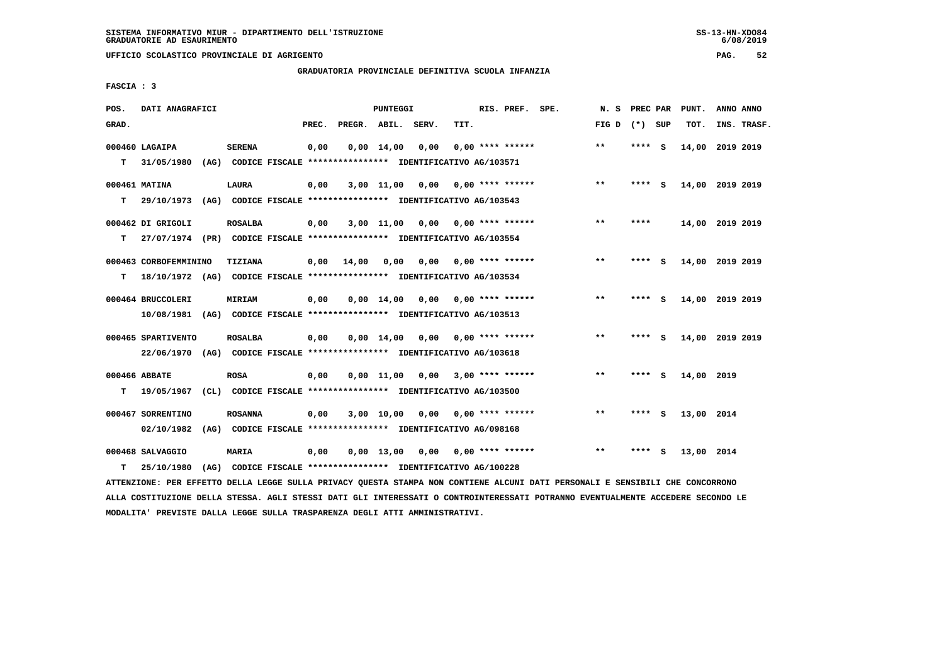# **GRADUATORIA PROVINCIALE DEFINITIVA SCUOLA INFANZIA**

 **FASCIA : 3**

| POS.  | DATI ANAGRAFICI                                                          |      |                                                               |       |              | <b>PUNTEGGI</b>    |                                                          |                  | RIS. PREF.         | SPE. | N. S  | PREC PAR |     | PUNT.           | ANNO ANNO |             |
|-------|--------------------------------------------------------------------------|------|---------------------------------------------------------------|-------|--------------|--------------------|----------------------------------------------------------|------------------|--------------------|------|-------|----------|-----|-----------------|-----------|-------------|
| GRAD. |                                                                          |      |                                                               | PREC. | PREGR. ABIL. |                    | SERV.                                                    | TIT.             |                    |      | FIG D | $(*)$    | SUP | TOT.            |           | INS. TRASF. |
|       | 000460 LAGAIPA                                                           |      | <b>SERENA</b>                                                 | 0,00  |              | $0,00 \quad 14,00$ | 0,00                                                     |                  | $0.00$ **** ****** |      | $* *$ | ****     | - S | 14,00 2019 2019 |           |             |
| т     | 31/05/1980                                                               | (AG) |                                                               |       |              |                    | CODICE FISCALE **************** IDENTIFICATIVO AG/103571 |                  |                    |      |       |          |     |                 |           |             |
|       | 000461 MATINA                                                            |      | <b>LAURA</b>                                                  | 0,00  |              | $3,00$ 11,00       | 0.00                                                     |                  | $0.00$ **** ****** |      | $***$ | ****     | - S | 14,00 2019 2019 |           |             |
| т     | 29/10/1973                                                               |      | (AG) CODICE FISCALE **************** IDENTIFICATIVO AG/103543 |       |              |                    |                                                          |                  |                    |      |       |          |     |                 |           |             |
|       | 000462 DI GRIGOLI                                                        |      | <b>ROSALBA</b>                                                | 0,00  |              | $3,00$ 11,00       | 0,00                                                     | 0,00 **** ****** |                    |      | $***$ | ****     |     | 14,00 2019 2019 |           |             |
| т     | 27/07/1974 (PR) CODICE FISCALE *************** IDENTIFICATIVO AG/103554  |      |                                                               |       |              |                    |                                                          |                  |                    |      |       |          |     |                 |           |             |
|       | 000463 CORBOFEMMININO                                                    |      | TIZIANA                                                       | 0.00  | 14,00        | 0.00               | 0.00                                                     |                  | $0.00$ **** ****** |      | $* *$ | ****     | - S | 14,00 2019 2019 |           |             |
| т     | 18/10/1972 (AG) CODICE FISCALE **************** IDENTIFICATIVO AG/103534 |      |                                                               |       |              |                    |                                                          |                  |                    |      |       |          |     |                 |           |             |
|       | 000464 BRUCCOLERI                                                        |      | <b>MIRIAM</b>                                                 | 0,00  |              | $0,00 \quad 14,00$ | 0,00                                                     | 0,00 **** ****** |                    |      | $* *$ | **** S   |     | 14,00 2019 2019 |           |             |
|       | 10/08/1981 (AG) CODICE FISCALE *************** IDENTIFICATIVO AG/103513  |      |                                                               |       |              |                    |                                                          |                  |                    |      |       |          |     |                 |           |             |
|       | 000465 SPARTIVENTO                                                       |      | <b>ROSALBA</b>                                                | 0,00  |              | $0,00 \quad 14,00$ | 0,00                                                     |                  | $0.00$ **** ****** |      | $* *$ | ****     | - 5 | 14,00 2019 2019 |           |             |
|       | 22/06/1970 (AG) CODICE FISCALE *************** IDENTIFICATIVO AG/103618  |      |                                                               |       |              |                    |                                                          |                  |                    |      |       |          |     |                 |           |             |
|       | 000466 ABBATE                                                            |      | <b>ROSA</b>                                                   | 0,00  |              | 0,00 11,00         | 0,00                                                     |                  | $3,00$ **** ****** |      | $* *$ | ****     | - S | 14,00 2019      |           |             |
| т     | 19/05/1967                                                               |      | (CL) CODICE FISCALE **************** IDENTIFICATIVO AG/103500 |       |              |                    |                                                          |                  |                    |      |       |          |     |                 |           |             |
|       | 000467 SORRENTINO                                                        |      | <b>ROSANNA</b>                                                | 0,00  |              | 3,00 10,00         | 0,00                                                     |                  | $0.00$ **** ****** |      | $* *$ | ****     | - S | 13,00 2014      |           |             |
|       | 02/10/1982                                                               | (AG) |                                                               |       |              |                    | CODICE FISCALE **************** IDENTIFICATIVO AG/098168 |                  |                    |      |       |          |     |                 |           |             |
|       | 000468 SALVAGGIO                                                         |      | MARIA                                                         | 0,00  |              | $0,00$ 13,00       | 0,00                                                     | 0,00 **** ****** |                    |      | $* *$ | ****     | - S | 13,00 2014      |           |             |
| т     | 25/10/1980                                                               | (AG) |                                                               |       |              |                    | CODICE FISCALE **************** IDENTIFICATIVO AG/100228 |                  |                    |      |       |          |     |                 |           |             |

 **ATTENZIONE: PER EFFETTO DELLA LEGGE SULLA PRIVACY QUESTA STAMPA NON CONTIENE ALCUNI DATI PERSONALI E SENSIBILI CHE CONCORRONO ALLA COSTITUZIONE DELLA STESSA. AGLI STESSI DATI GLI INTERESSATI O CONTROINTERESSATI POTRANNO EVENTUALMENTE ACCEDERE SECONDO LE MODALITA' PREVISTE DALLA LEGGE SULLA TRASPARENZA DEGLI ATTI AMMINISTRATIVI.**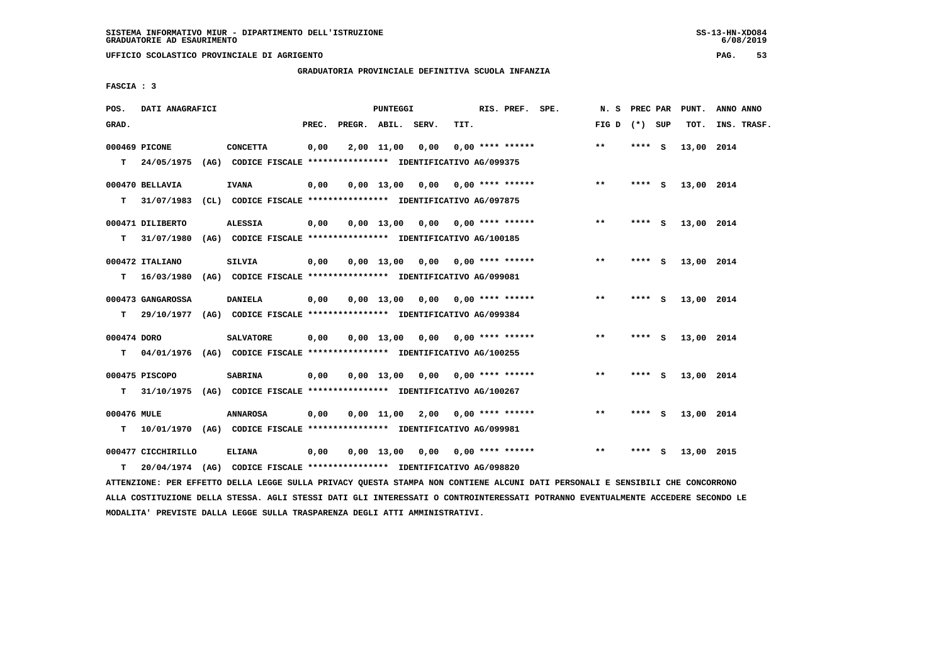# **GRADUATORIA PROVINCIALE DEFINITIVA SCUOLA INFANZIA**

 **FASCIA : 3**

| POS.        | DATI ANAGRAFICI    |      |                                                                         |       |                    | <b>PUNTEGGI</b> |                                    |                           | RIS. PREF. SPE. | N.S             | PREC PAR |          | PUNT.      | ANNO ANNO   |
|-------------|--------------------|------|-------------------------------------------------------------------------|-------|--------------------|-----------------|------------------------------------|---------------------------|-----------------|-----------------|----------|----------|------------|-------------|
| GRAD.       |                    |      |                                                                         | PREC. | PREGR. ABIL. SERV. |                 |                                    | TIT.                      |                 | FIG D $(*)$ SUP |          |          | TOT.       | INS. TRASF. |
|             | 000469 PICONE      |      | <b>CONCETTA</b>                                                         | 0,00  |                    | 2,00 11,00      | 0,00                               | $0.00$ **** ******        |                 | $***$           | $***$ S  |          | 13,00 2014 |             |
| т           | 24/05/1975         |      | (AG) CODICE FISCALE **************** IDENTIFICATIVO AG/099375           |       |                    |                 |                                    |                           |                 |                 |          |          |            |             |
|             | 000470 BELLAVIA    |      | <b>IVANA</b>                                                            | 0,00  |                    | 0,00 13,00      | 0,00                               | 0,00 **** ******          |                 | $**$            | **** S   |          | 13,00 2014 |             |
| т           | 31/07/1983         |      | (CL) CODICE FISCALE *************** IDENTIFICATIVO AG/097875            |       |                    |                 |                                    |                           |                 |                 |          |          |            |             |
|             | 000471 DILIBERTO   |      | <b>ALESSIA</b>                                                          | 0,00  |                    |                 | $0,00$ 13,00 0,00 0,00 **** ****** |                           |                 | $***$           | **** S   |          | 13,00 2014 |             |
| т           | 31/07/1980         |      | (AG) CODICE FISCALE **************** IDENTIFICATIVO AG/100185           |       |                    |                 |                                    |                           |                 |                 |          |          |            |             |
|             | 000472 ITALIANO    |      | SILVIA                                                                  | 0,00  |                    | 0,00 13,00      |                                    | $0,00$ $0,00$ **** ****** |                 | **              | **** S   |          | 13,00 2014 |             |
| т           | 16/03/1980         |      | (AG) CODICE FISCALE **************** IDENTIFICATIVO AG/099081           |       |                    |                 |                                    |                           |                 |                 |          |          |            |             |
|             | 000473 GANGAROSSA  |      | <b>DANIELA</b>                                                          | 0,00  |                    | $0,00$ 13,00    |                                    | 0,00 0,00 **** ******     |                 | $* *$           | **** $S$ |          | 13,00 2014 |             |
| т           |                    |      | 29/10/1977 (AG) CODICE FISCALE *************** IDENTIFICATIVO AG/099384 |       |                    |                 |                                    |                           |                 |                 |          |          |            |             |
|             |                    |      |                                                                         |       |                    |                 |                                    |                           |                 |                 |          |          |            |             |
| 000474 DORO |                    |      | <b>SALVATORE</b>                                                        | 0,00  |                    |                 | $0,00$ 13,00 0,00 0,00 **** ****** |                           |                 | $* *$           | ****     | <b>S</b> | 13,00 2014 |             |
| т           | 04/01/1976         |      | (AG) CODICE FISCALE **************** IDENTIFICATIVO AG/100255           |       |                    |                 |                                    |                           |                 |                 |          |          |            |             |
|             | 000475 PISCOPO     |      | <b>SABRINA</b>                                                          | 0,00  |                    |                 | 0,00 13,00 0,00                    | $0.00$ **** ******        |                 | $\star\star$    | **** $S$ |          | 13,00 2014 |             |
| т           | 31/10/1975         |      | (AG) CODICE FISCALE *************** IDENTIFICATIVO AG/100267            |       |                    |                 |                                    |                           |                 |                 |          |          |            |             |
| 000476 MULE |                    |      | <b>ANNAROSA</b>                                                         | 0,00  |                    |                 | $0,00$ 11,00 2,00                  | 0,00 **** ******          |                 | $***$           | ****     | - S      | 13,00 2014 |             |
| т           |                    |      | 10/01/1970 (AG) CODICE FISCALE *************** IDENTIFICATIVO AG/099981 |       |                    |                 |                                    |                           |                 |                 |          |          |            |             |
|             | 000477 CICCHIRILLO |      | <b>ELIANA</b>                                                           | 0,00  |                    |                 | $0,00$ 13,00 0,00 0,00 **** ****** |                           |                 | $***$           | ****     | - S      | 13,00 2015 |             |
|             |                    |      |                                                                         |       |                    |                 |                                    |                           |                 |                 |          |          |            |             |
| т           | 20/04/1974         | (AG) | CODICE FISCALE **************** IDENTIFICATIVO AG/098820                |       |                    |                 |                                    |                           |                 |                 |          |          |            |             |

 **ATTENZIONE: PER EFFETTO DELLA LEGGE SULLA PRIVACY QUESTA STAMPA NON CONTIENE ALCUNI DATI PERSONALI E SENSIBILI CHE CONCORRONO ALLA COSTITUZIONE DELLA STESSA. AGLI STESSI DATI GLI INTERESSATI O CONTROINTERESSATI POTRANNO EVENTUALMENTE ACCEDERE SECONDO LE MODALITA' PREVISTE DALLA LEGGE SULLA TRASPARENZA DEGLI ATTI AMMINISTRATIVI.**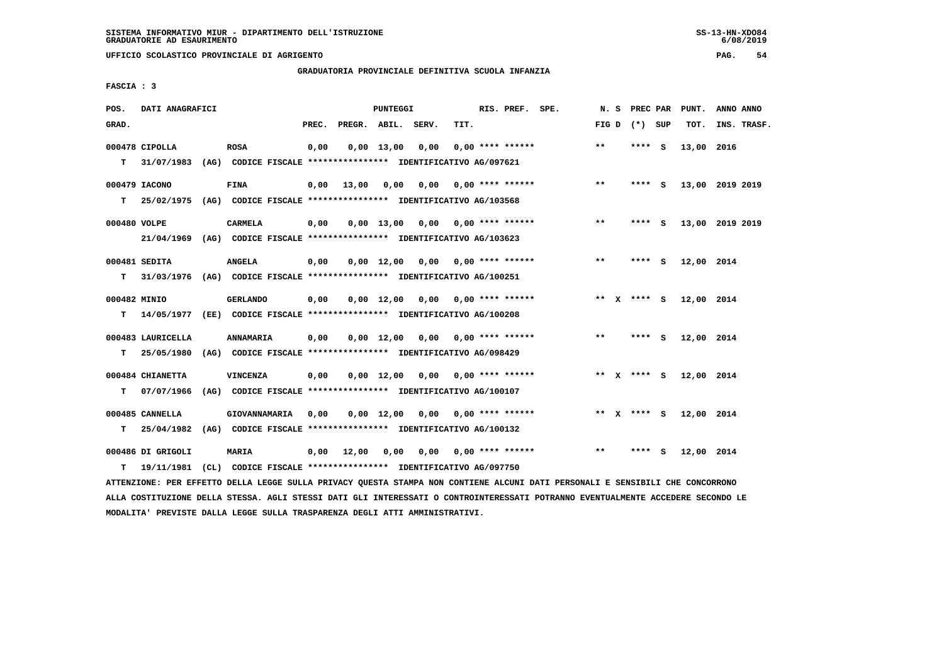# **GRADUATORIA PROVINCIALE DEFINITIVA SCUOLA INFANZIA**

 **FASCIA : 3**

| POS.         | DATI ANAGRAFICI   |                                                                          |       |                    | <b>PUNTEGGI</b>    |                                        |                           | RIS. PREF. SPE.    | N. S            | <b>PREC PAR</b> |     | PUNT.      | ANNO ANNO       |
|--------------|-------------------|--------------------------------------------------------------------------|-------|--------------------|--------------------|----------------------------------------|---------------------------|--------------------|-----------------|-----------------|-----|------------|-----------------|
| GRAD.        |                   |                                                                          | PREC. | PREGR. ABIL. SERV. |                    |                                        | TIT.                      |                    | FIG D $(*)$ SUP |                 |     | TOT.       | INS. TRASF.     |
|              | 000478 CIPOLLA    | <b>ROSA</b>                                                              | 0,00  |                    | 0,00 13,00         | 0,00                                   |                           | $0.00$ **** ****** | $* *$           | ****            | - S | 13,00 2016 |                 |
| т            | 31/07/1983        | (AG) CODICE FISCALE **************** IDENTIFICATIVO AG/097621            |       |                    |                    |                                        |                           |                    |                 |                 |     |            |                 |
|              | 000479 IACONO     | <b>FINA</b>                                                              | 0,00  | 13,00              |                    | $0,00$ $0,00$ $0,00$ $***$ **** ****** |                           |                    | $***$           | **** S          |     |            | 13,00 2019 2019 |
| т            | 25/02/1975        | (AG) CODICE FISCALE **************** IDENTIFICATIVO AG/103568            |       |                    |                    |                                        |                           |                    |                 |                 |     |            |                 |
| 000480 VOLPE |                   | <b>CARMELA</b>                                                           | 0,00  |                    |                    | $0,00$ 13,00 0,00 0,00 **** ******     |                           |                    | $***$           | **** S          |     |            | 13,00 2019 2019 |
|              | 21/04/1969        | (AG) CODICE FISCALE **************** IDENTIFICATIVO AG/103623            |       |                    |                    |                                        |                           |                    |                 |                 |     |            |                 |
|              | 000481 SEDITA     | <b>ANGELA</b>                                                            | 0,00  |                    |                    | $0.00$ 12.00 0.00 0.00 **** ******     |                           |                    | $**$            | **** S          |     | 12,00 2014 |                 |
| т            |                   | 31/03/1976 (AG) CODICE FISCALE **************** IDENTIFICATIVO AG/100251 |       |                    |                    |                                        |                           |                    |                 |                 |     |            |                 |
| 000482 MINIO |                   | <b>GERLANDO</b>                                                          | 0,00  |                    |                    | $0,00$ 12,00 0,00 0,00 **** ******     |                           |                    | ** x **** S     |                 |     | 12,00 2014 |                 |
| T.           |                   | 14/05/1977 (EE) CODICE FISCALE *************** IDENTIFICATIVO AG/100208  |       |                    |                    |                                        |                           |                    |                 |                 |     |            |                 |
|              | 000483 LAURICELLA | ANNAMARIA                                                                | 0,00  |                    |                    | $0,00$ 12,00 0,00 0,00 **** ******     |                           |                    | $***$           | **** S          |     | 12,00 2014 |                 |
| т            | 25/05/1980        | (AG) CODICE FISCALE **************** IDENTIFICATIVO AG/098429            |       |                    |                    |                                        |                           |                    |                 |                 |     |            |                 |
|              | 000484 CHIANETTA  | <b>VINCENZA</b>                                                          | 0,00  |                    |                    | $0,00$ 12,00 0,00 0,00 **** ******     |                           |                    | ** x **** S     |                 |     | 12,00 2014 |                 |
| т            | 07/07/1966        | (AG) CODICE FISCALE **************** IDENTIFICATIVO AG/100107            |       |                    |                    |                                        |                           |                    |                 |                 |     |            |                 |
|              | 000485 CANNELLA   | GIOVANNAMARIA                                                            | 0,00  |                    | $0,00 \quad 12,00$ |                                        | $0,00$ $0,00$ **** ****** |                    | ** $X$ **** S   |                 |     | 12,00 2014 |                 |
| т            | 25/04/1982        | (AG) CODICE FISCALE **************** IDENTIFICATIVO AG/100132            |       |                    |                    |                                        |                           |                    |                 |                 |     |            |                 |
|              | 000486 DI GRIGOLI | <b>MARIA</b>                                                             | 0,00  | 12,00              | 0,00               | 0,00                                   | 0,00 **** ******          |                    | $* *$           | ****            | - S | 12,00 2014 |                 |
| т            | 19/11/1981        | (CL) CODICE FISCALE **************** IDENTIFICATIVO AG/097750            |       |                    |                    |                                        |                           |                    |                 |                 |     |            |                 |

 **ATTENZIONE: PER EFFETTO DELLA LEGGE SULLA PRIVACY QUESTA STAMPA NON CONTIENE ALCUNI DATI PERSONALI E SENSIBILI CHE CONCORRONO ALLA COSTITUZIONE DELLA STESSA. AGLI STESSI DATI GLI INTERESSATI O CONTROINTERESSATI POTRANNO EVENTUALMENTE ACCEDERE SECONDO LE MODALITA' PREVISTE DALLA LEGGE SULLA TRASPARENZA DEGLI ATTI AMMINISTRATIVI.**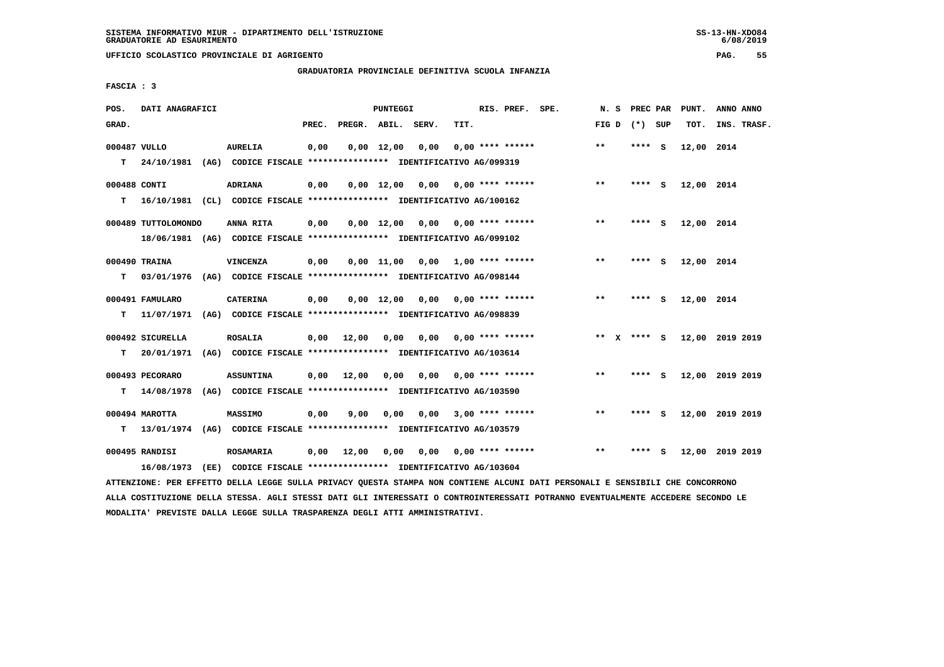# **GRADUATORIA PROVINCIALE DEFINITIVA SCUOLA INFANZIA**

 **FASCIA : 3**

| POS.         | DATI ANAGRAFICI     |                                                                         |       |                    | PUNTEGGI           |                               |                    | RIS. PREF. SPE.    | N.S          | PREC PAR        |     | PUNT.      | ANNO ANNO       |
|--------------|---------------------|-------------------------------------------------------------------------|-------|--------------------|--------------------|-------------------------------|--------------------|--------------------|--------------|-----------------|-----|------------|-----------------|
| GRAD.        |                     |                                                                         | PREC. | PREGR. ABIL. SERV. |                    |                               | TIT.               |                    |              | FIG D $(*)$ SUP |     | TOT.       | INS. TRASF.     |
| 000487 VULLO |                     | <b>AURELIA</b>                                                          | 0,00  |                    | $0,00$ 12,00       | 0,00                          |                    | $0.00$ **** ****** | $***$        | ****            | - S | 12,00 2014 |                 |
| т            | 24/10/1981          | (AG) CODICE FISCALE **************** IDENTIFICATIVO AG/099319           |       |                    |                    |                               |                    |                    |              |                 |     |            |                 |
| 000488 CONTI |                     | ADRIANA                                                                 | 0,00  |                    | $0.00$ 12.00       | 0,00                          | 0,00 **** ******   |                    | $***$        | **** S          |     | 12,00 2014 |                 |
| т            |                     | 16/10/1981 (CL) CODICE FISCALE *************** IDENTIFICATIVO AG/100162 |       |                    |                    |                               |                    |                    |              |                 |     |            |                 |
|              | 000489 TUTTOLOMONDO | ANNA RITA                                                               | 0,00  |                    | $0.00 \quad 12.00$ | 0,00                          | 0,00 **** ******   |                    | $* *$        | $***$ S         |     | 12,00 2014 |                 |
|              |                     | 18/06/1981 (AG) CODICE FISCALE *************** IDENTIFICATIVO AG/099102 |       |                    |                    |                               |                    |                    |              |                 |     |            |                 |
|              | 000490 TRAINA       | VINCENZA                                                                | 0,00  |                    | 0,00 11,00         | 0,00                          | 1,00 **** ******   |                    | $\star\star$ | **** S          |     | 12,00 2014 |                 |
| т            | 03/01/1976          | (AG) CODICE FISCALE **************** IDENTIFICATIVO AG/098144           |       |                    |                    |                               |                    |                    |              |                 |     |            |                 |
|              | 000491 FAMULARO     | <b>CATERINA</b>                                                         | 0,00  |                    |                    | $0,00 \quad 12,00 \quad 0,00$ | 0,00 **** ******   |                    | $* *$        | **** S          |     | 12,00 2014 |                 |
| т            | 11/07/1971          | (AG) CODICE FISCALE **************** IDENTIFICATIVO AG/098839           |       |                    |                    |                               |                    |                    |              |                 |     |            |                 |
|              | 000492 SICURELLA    | <b>ROSALIA</b>                                                          | 0,00  | 12,00              | 0,00               | 0,00                          | 0,00 **** ******   |                    |              | ** x **** S     |     |            | 12,00 2019 2019 |
| т            | 20/01/1971          | (AG) CODICE FISCALE **************** IDENTIFICATIVO AG/103614           |       |                    |                    |                               |                    |                    |              |                 |     |            |                 |
|              | 000493 PECORARO     | <b>ASSUNTINA</b>                                                        | 0,00  | 12,00              | 0,00               | 0,00                          |                    | $0.00$ **** ****** | $* *$        | **** S          |     |            | 12,00 2019 2019 |
| т            | 14/08/1978          | (AG) CODICE FISCALE **************** IDENTIFICATIVO AG/103590           |       |                    |                    |                               |                    |                    |              |                 |     |            |                 |
|              | 000494 MAROTTA      | <b>MASSIMO</b>                                                          | 0,00  | 9,00               | 0,00               | 0.00                          |                    | $3,00$ **** ****** | $***$        | ****            | - 5 |            | 12,00 2019 2019 |
| т            | 13/01/1974          | (AG) CODICE FISCALE **************** IDENTIFICATIVO AG/103579           |       |                    |                    |                               |                    |                    |              |                 |     |            |                 |
|              | 000495 RANDISI      | <b>ROSAMARIA</b>                                                        | 0,00  | 12,00              | 0,00               | 0,00                          | $0.00$ **** ****** |                    | $* *$        | ****            | - 5 |            | 12,00 2019 2019 |
|              | 16/08/1973          | (EE) CODICE FISCALE **************** IDENTIFICATIVO AG/103604           |       |                    |                    |                               |                    |                    |              |                 |     |            |                 |

 **ATTENZIONE: PER EFFETTO DELLA LEGGE SULLA PRIVACY QUESTA STAMPA NON CONTIENE ALCUNI DATI PERSONALI E SENSIBILI CHE CONCORRONO ALLA COSTITUZIONE DELLA STESSA. AGLI STESSI DATI GLI INTERESSATI O CONTROINTERESSATI POTRANNO EVENTUALMENTE ACCEDERE SECONDO LE MODALITA' PREVISTE DALLA LEGGE SULLA TRASPARENZA DEGLI ATTI AMMINISTRATIVI.**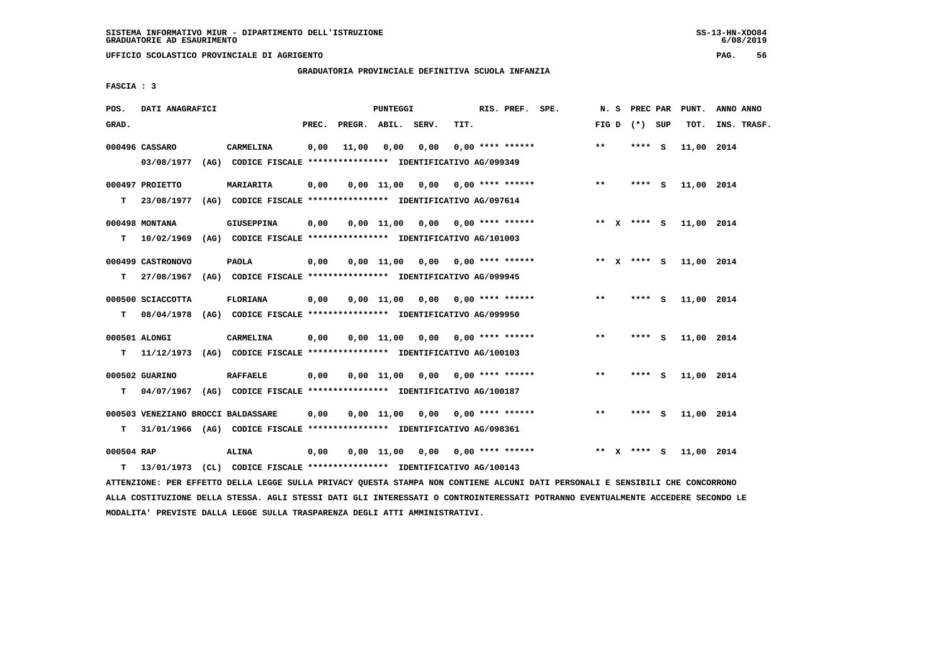**UFFICIO SCOLASTICO PROVINCIALE DI AGRIGENTO PAG. 56**

# **GRADUATORIA PROVINCIALE DEFINITIVA SCUOLA INFANZIA**

 **FASCIA : 3**

| POS.            | DATI ANAGRAFICI                    |                                                                                               |       |              | PUNTEGGI           |                                    |      | RIS. PREF. SPE.           |       | N.S | PREC PAR    | PUNT.      | ANNO ANNO   |
|-----------------|------------------------------------|-----------------------------------------------------------------------------------------------|-------|--------------|--------------------|------------------------------------|------|---------------------------|-------|-----|-------------|------------|-------------|
| GRAD.           |                                    |                                                                                               | PREC. | PREGR. ABIL. |                    | SERV.                              | TIT. |                           | FIG D |     | (*) SUP     | TOT.       | INS. TRASF. |
|                 | 000496 CASSARO<br>03/08/1977       | CARMELINA<br>(AG) CODICE FISCALE **************** IDENTIFICATIVO AG/099349                    | 0,00  | 11,00        | 0.00               | 0.00                               |      | $0.00$ **** ******        | $***$ |     | **** S      | 11,00 2014 |             |
| T.              | 000497 PROIETTO<br>23/08/1977      | MARIARITA<br>(AG) CODICE FISCALE **************** IDENTIFICATIVO AG/097614                    | 0,00  |              |                    | $0,00$ $11,00$ $0,00$              |      | $0.00$ **** ******        | $***$ |     | $***$ S     | 11,00 2014 |             |
| т               | 000498 MONTANA                     | <b>GIUSEPPINA</b><br>10/02/1969 (AG) CODICE FISCALE **************** IDENTIFICATIVO AG/101003 | 0,00  |              |                    | $0,00$ 11,00 0,00 0,00 **** ****** |      |                           |       |     | ** x **** S | 11,00 2014 |             |
| т               | 000499 CASTRONOVO                  | <b>PAOLA</b><br>27/08/1967 (AG) CODICE FISCALE *************** IDENTIFICATIVO AG/099945       | 0,00  |              | 0,00 11,00         |                                    |      | $0,00$ $0,00$ **** ****** |       |     | ** x **** S | 11,00 2014 |             |
| т               | 000500 SCIACCOTTA                  | <b>FLORIANA</b><br>08/04/1978 (AG) CODICE FISCALE *************** IDENTIFICATIVO AG/099950    | 0,00  |              | $0,00 \quad 11,00$ | 0,00                               |      | $0.00$ **** ******        | $* *$ |     | **** S      | 11,00 2014 |             |
| T.              | 000501 ALONGI                      | CARMELINA<br>11/12/1973 (AG) CODICE FISCALE *************** IDENTIFICATIVO AG/100103          | 0,00  |              |                    | $0.00$ 11.00 0.00 0.00 **** ****** |      |                           | $* *$ |     | **** S      | 11,00 2014 |             |
| т               | 000502 GUARINO                     | <b>RAFFAELE</b><br>04/07/1967 (AG) CODICE FISCALE *************** IDENTIFICATIVO AG/100187    | 0,00  |              | 0,00 11,00         | 0,00                               |      | $0.00$ **** ******        | $* *$ |     | **** S      | 11,00 2014 |             |
| т               | 000503 VENEZIANO BROCCI BALDASSARE | 31/01/1966 (AG) CODICE FISCALE *************** IDENTIFICATIVO AG/098361                       | 0,00  |              | 0,00 11,00         | 0,00                               |      | $0.00$ **** ******        | $***$ |     | **** S      | 11,00 2014 |             |
| 000504 RAP<br>т |                                    | <b>ALINA</b><br>13/01/1973 (CL) CODICE FISCALE **************** IDENTIFICATIVO AG/100143      | 0,00  |              |                    | $0,00$ 11,00 0,00 0,00 **** ****** |      |                           |       |     | ** x **** s | 11,00 2014 |             |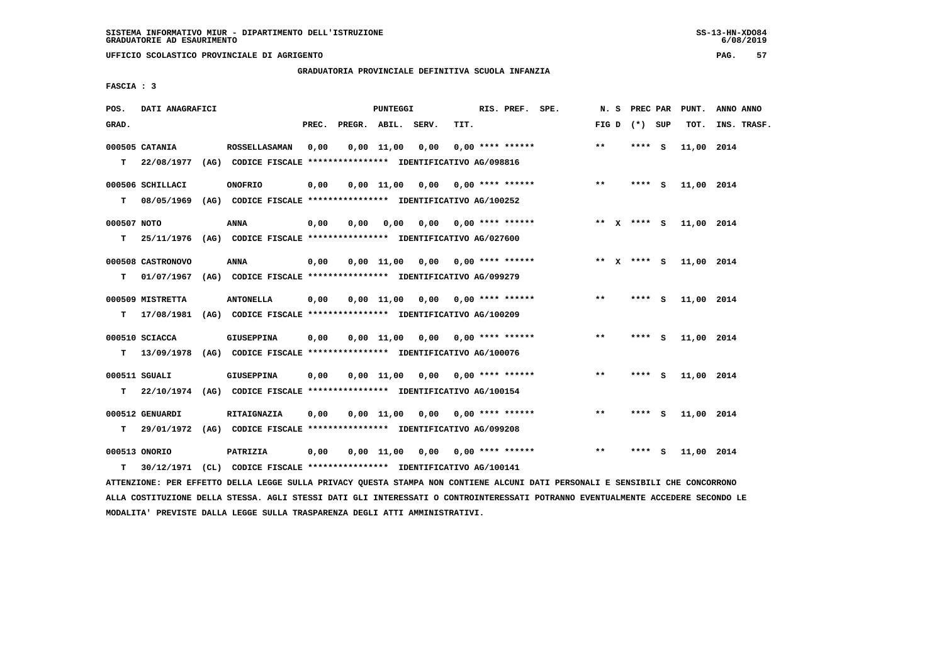**UFFICIO SCOLASTICO PROVINCIALE DI AGRIGENTO PAG. 57**

# **GRADUATORIA PROVINCIALE DEFINITIVA SCUOLA INFANZIA**

 **FASCIA : 3**

| POS.        | DATI ANAGRAFICI   |                                                                         |       |              | PUNTEGGI           |                                    |                           | RIS. PREF. SPE.    | N. S         | PREC PAR        |   | PUNT.      | ANNO ANNO   |
|-------------|-------------------|-------------------------------------------------------------------------|-------|--------------|--------------------|------------------------------------|---------------------------|--------------------|--------------|-----------------|---|------------|-------------|
| GRAD.       |                   |                                                                         | PREC. | PREGR. ABIL. |                    | SERV.                              | TIT.                      |                    |              | FIG D $(*)$ SUP |   | TOT.       | INS. TRASF. |
|             | 000505 CATANIA    | <b>ROSSELLASAMAN</b>                                                    | 0,00  |              | $0,00 \quad 11,00$ | 0,00                               |                           | $0.00$ **** ****** | $***$        | **** S          |   | 11,00 2014 |             |
| T.          | 22/08/1977        | (AG) CODICE FISCALE **************** IDENTIFICATIVO AG/098816           |       |              |                    |                                    |                           |                    |              |                 |   |            |             |
|             | 000506 SCHILLACI  | <b>ONOFRIO</b>                                                          | 0,00  |              | $0,00 \quad 11,00$ | 0,00                               |                           | $0.00$ **** ****** | $* *$        | **** S          |   | 11,00 2014 |             |
| т           | 08/05/1969        | (AG) CODICE FISCALE **************** IDENTIFICATIVO AG/100252           |       |              |                    |                                    |                           |                    |              |                 |   |            |             |
| 000507 NOTO |                   | ANNA                                                                    | 0,00  | 0,00         | 0,00               | 0,00                               |                           | $0.00$ **** ****** |              | ** x **** s     |   | 11,00 2014 |             |
| т           |                   | 25/11/1976 (AG) CODICE FISCALE *************** IDENTIFICATIVO AG/027600 |       |              |                    |                                    |                           |                    |              |                 |   |            |             |
|             | 000508 CASTRONOVO | ANNA                                                                    | 0,00  |              | $0,00$ 11,00       | 0,00                               |                           | $0.00$ **** ****** |              | ** x **** S     |   | 11,00 2014 |             |
| т           | 01/07/1967        | (AG) CODICE FISCALE **************** IDENTIFICATIVO AG/099279           |       |              |                    |                                    |                           |                    |              |                 |   |            |             |
|             | 000509 MISTRETTA  | <b>ANTONELLA</b>                                                        | 0,00  |              | $0,00 \quad 11,00$ | 0,00                               |                           | $0.00$ **** ****** | $\star\star$ | **** S          |   | 11,00 2014 |             |
| т           | 17/08/1981        | (AG) CODICE FISCALE **************** IDENTIFICATIVO AG/100209           |       |              |                    |                                    |                           |                    |              |                 |   |            |             |
|             | 000510 SCIACCA    | <b>GIUSEPPINA</b>                                                       | 0,00  |              |                    | $0,00$ 11,00 0,00 0,00 **** ****** |                           |                    | $**$         | **** S          |   | 11,00 2014 |             |
| т           | 13/09/1978        | (AG) CODICE FISCALE **************** IDENTIFICATIVO AG/100076           |       |              |                    |                                    |                           |                    |              |                 |   |            |             |
|             | 000511 SGUALI     | <b>GIUSEPPINA</b>                                                       | 0,00  |              | 0.00 11.00         |                                    | $0.00$ $0.00$ **** ****** |                    | $***$        | **** S          |   | 11,00 2014 |             |
| т           |                   | 22/10/1974 (AG) CODICE FISCALE *************** IDENTIFICATIVO AG/100154 |       |              |                    |                                    |                           |                    |              |                 |   |            |             |
|             | 000512 GENUARDI   | RITAIGNAZIA                                                             | 0,00  |              | $0,00 \quad 11,00$ | 0.00                               |                           | $0.00$ **** ****** | $* *$        | **** S          |   | 11,00 2014 |             |
| т           |                   | 29/01/1972 (AG) CODICE FISCALE *************** IDENTIFICATIVO AG/099208 |       |              |                    |                                    |                           |                    |              |                 |   |            |             |
|             | 000513 ONORIO     | <b>PATRIZIA</b>                                                         | 0,00  |              | 0,00 11,00         | 0,00                               |                           | $0.00$ **** ****** | $**$         | ****            | s | 11,00 2014 |             |
| т           |                   | 30/12/1971 (CL) CODICE FISCALE *************** IDENTIFICATIVO AG/100141 |       |              |                    |                                    |                           |                    |              |                 |   |            |             |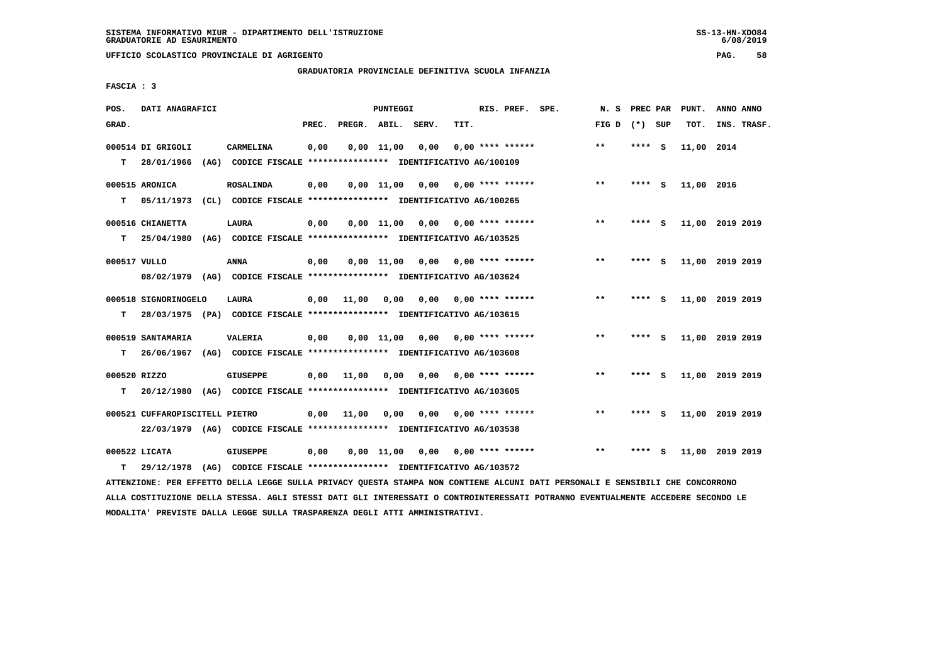**UFFICIO SCOLASTICO PROVINCIALE DI AGRIGENTO PAG. 58**

 **GRADUATORIA PROVINCIALE DEFINITIVA SCUOLA INFANZIA**

 **FASCIA : 3**

| POS.              | DATI ANAGRAFICI                 |                                                                                            |       |              | <b>PUNTEGGI</b>    |       |      | RIS. PREF. SPE.           | N. S         | PREC PAR |          | PUNT.      | ANNO ANNO       |
|-------------------|---------------------------------|--------------------------------------------------------------------------------------------|-------|--------------|--------------------|-------|------|---------------------------|--------------|----------|----------|------------|-----------------|
| GRAD.             |                                 |                                                                                            | PREC. | PREGR. ABIL. |                    | SERV. | TIT. |                           | FIG D        | (*) SUP  |          | TOT.       | INS. TRASF.     |
| T.                | 000514 DI GRIGOLI<br>28/01/1966 | CARMELINA<br>(AG) CODICE FISCALE **************** IDENTIFICATIVO AG/100109                 | 0,00  |              | $0.00$ 11.00       | 0.00  |      | $0.00$ **** ******        | $\star\star$ | **** S   |          | 11,00 2014 |                 |
| т                 | 000515 ARONICA<br>05/11/1973    | <b>ROSALINDA</b><br>(CL) CODICE FISCALE **************** IDENTIFICATIVO AG/100265          | 0,00  |              | $0,00 \quad 11,00$ | 0,00  |      | $0.00$ **** ******        | $* *$        | **** S   |          | 11,00 2016 |                 |
| т                 | 000516 CHIANETTA<br>25/04/1980  | LAURA<br>(AG) CODICE FISCALE **************** IDENTIFICATIVO AG/103525                     | 0,00  |              | $0.00$ 11.00       |       |      | $0.00$ $0.00$ **** ****** | $***$        | **** S   |          |            | 11,00 2019 2019 |
| 000517 VULLO      |                                 | <b>ANNA</b><br>08/02/1979 (AG) CODICE FISCALE *************** IDENTIFICATIVO AG/103624     | 0,00  |              | $0.00$ $11.00$     | 0,00  |      | $0.00$ **** ******        | $* *$        | ****     | - S      |            | 11,00 2019 2019 |
| т                 | 000518 SIGNORINOGELO            | LAURA<br>28/03/1975 (PA) CODICE FISCALE **************** IDENTIFICATIVO AG/103615          | 0,00  | 11,00        | 0,00               | 0,00  |      | $0.00$ **** ******        | $***$        | $***5$   |          |            | 11,00 2019 2019 |
| т                 | 000519 SANTAMARIA               | <b>VALERIA</b><br>26/06/1967 (AG) CODICE FISCALE *************** IDENTIFICATIVO AG/103608  | 0,00  |              | 0,00 11,00         | 0,00  |      | $0.00$ **** ******        | $* *$        | ****     | <b>S</b> |            | 11,00 2019 2019 |
| 000520 RIZZO<br>т |                                 | <b>GIUSEPPE</b><br>20/12/1980 (AG) CODICE FISCALE *************** IDENTIFICATIVO AG/103605 | 0,00  | 11,00        | 0,00               | 0,00  |      | $0.00$ **** ******        | $***$        | **** S   |          |            | 11,00 2019 2019 |
|                   | 000521 CUFFAROPISCITELL PIETRO  | 22/03/1979 (AG) CODICE FISCALE *************** IDENTIFICATIVO AG/103538                    |       | $0,00$ 11,00 | 0,00               | 0.00  |      | $0.00$ **** ******        | $***$        | ****     | <b>S</b> |            | 11,00 2019 2019 |
| т                 | 000522 LICATA<br>29/12/1978     | <b>GIUSEPPE</b><br>(AG) CODICE FISCALE **************** IDENTIFICATIVO AG/103572           | 0,00  |              | 0,00 11,00         | 0.00  |      | $0.00$ **** ******        | $* *$        | ****     | - S      |            | 11,00 2019 2019 |